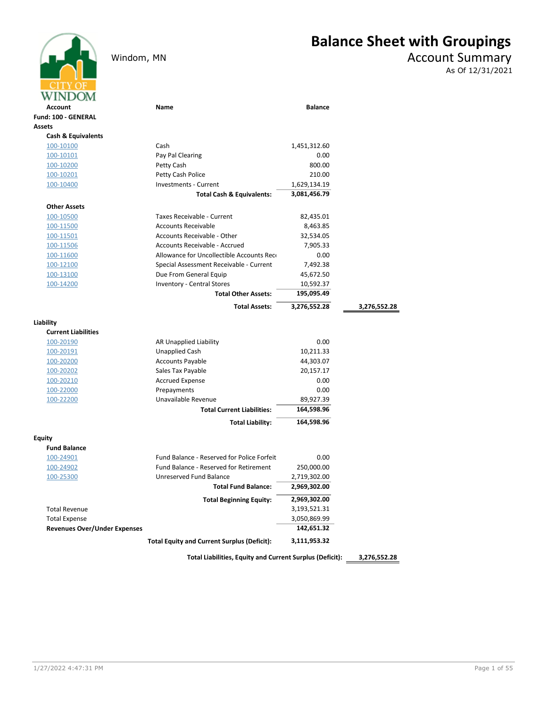# Windom, MN Account Summary

## Balance Sheet with Groupings

As Of 12/31/2021

| WINDOM                              |                                                    |                |              |
|-------------------------------------|----------------------------------------------------|----------------|--------------|
| Account                             | <b>Name</b>                                        | <b>Balance</b> |              |
| Fund: 100 - GENERAL                 |                                                    |                |              |
| <b>Assets</b>                       |                                                    |                |              |
| <b>Cash &amp; Equivalents</b>       |                                                    |                |              |
| 100-10100                           | Cash                                               | 1,451,312.60   |              |
| <u>100-10101</u>                    | Pay Pal Clearing                                   | 0.00           |              |
| 100-10200                           | Petty Cash                                         | 800.00         |              |
| 100-10201                           | Petty Cash Police                                  | 210.00         |              |
| 100-10400                           | <b>Investments - Current</b>                       | 1,629,134.19   |              |
|                                     | <b>Total Cash &amp; Equivalents:</b>               | 3,081,456.79   |              |
| <b>Other Assets</b>                 |                                                    |                |              |
| 100-10500                           | Taxes Receivable - Current                         | 82,435.01      |              |
| 100-11500                           | <b>Accounts Receivable</b>                         | 8,463.85       |              |
| 100-11501                           | Accounts Receivable - Other                        | 32,534.05      |              |
| 100-11506                           | Accounts Receivable - Accrued                      | 7,905.33       |              |
| 100-11600                           | Allowance for Uncollectible Accounts Rece          | 0.00           |              |
| 100-12100                           | Special Assessment Receivable - Current            | 7,492.38       |              |
| 100-13100                           | Due From General Equip                             | 45,672.50      |              |
| 100-14200                           | <b>Inventory - Central Stores</b>                  | 10,592.37      |              |
|                                     | <b>Total Other Assets:</b>                         | 195,095.49     |              |
|                                     | <b>Total Assets:</b>                               | 3,276,552.28   | 3,276,552.28 |
| Liability                           |                                                    |                |              |
| <b>Current Liabilities</b>          |                                                    |                |              |
| 100-20190                           | AR Unapplied Liability                             | 0.00           |              |
| 100-20191                           | <b>Unapplied Cash</b>                              | 10,211.33      |              |
| 100-20200                           | <b>Accounts Payable</b>                            | 44,303.07      |              |
| 100-20202                           | Sales Tax Payable                                  | 20,157.17      |              |
| 100-20210                           | <b>Accrued Expense</b>                             | 0.00           |              |
| 100-22000                           | Prepayments                                        | 0.00           |              |
| 100-22200                           | Unavailable Revenue                                | 89,927.39      |              |
|                                     | <b>Total Current Liabilities:</b>                  | 164,598.96     |              |
|                                     | <b>Total Liability:</b>                            | 164,598.96     |              |
| <b>Equity</b>                       |                                                    |                |              |
| <b>Fund Balance</b>                 |                                                    |                |              |
| 100-24901                           | Fund Balance - Reserved for Police Forfeit         | 0.00           |              |
| 100-24902                           | <b>Fund Balance - Reserved for Retirement</b>      | 250,000.00     |              |
| 100-25300                           | Unreserved Fund Balance                            | 2,719,302.00   |              |
|                                     | <b>Total Fund Balance:</b>                         | 2,969,302.00   |              |
|                                     | <b>Total Beginning Equity:</b>                     | 2,969,302.00   |              |
| <b>Total Revenue</b>                |                                                    | 3,193,521.31   |              |
| <b>Total Expense</b>                |                                                    | 3,050,869.99   |              |
| <b>Revenues Over/Under Expenses</b> |                                                    | 142,651.32     |              |
|                                     | <b>Total Equity and Current Surplus (Deficit):</b> | 3,111,953.32   |              |

Total Liabilities, Equity and Current Surplus (Deficit): 3,276,552.28

1/27/2022 4:47:31 PM Page 1 of 55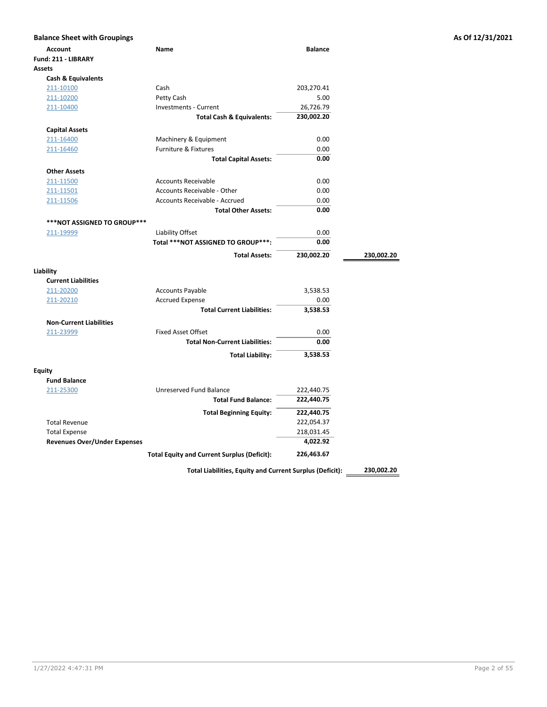| <b>Balance Sheet with Groupings</b>                         |                                                                                                |                          |            | As Of 12/31/2021 |
|-------------------------------------------------------------|------------------------------------------------------------------------------------------------|--------------------------|------------|------------------|
| <b>Account</b>                                              | Name                                                                                           | <b>Balance</b>           |            |                  |
| Fund: 211 - LIBRARY                                         |                                                                                                |                          |            |                  |
| <b>Assets</b>                                               |                                                                                                |                          |            |                  |
| <b>Cash &amp; Equivalents</b>                               |                                                                                                |                          |            |                  |
| 211-10100                                                   | Cash                                                                                           | 203,270.41               |            |                  |
| 211-10200                                                   | Petty Cash                                                                                     | 5.00                     |            |                  |
| 211-10400                                                   | Investments - Current                                                                          | 26,726.79                |            |                  |
|                                                             | <b>Total Cash &amp; Equivalents:</b>                                                           | 230,002.20               |            |                  |
| <b>Capital Assets</b>                                       |                                                                                                |                          |            |                  |
| 211-16400                                                   | Machinery & Equipment                                                                          | 0.00                     |            |                  |
| 211-16460                                                   | Furniture & Fixtures                                                                           | 0.00                     |            |                  |
|                                                             | <b>Total Capital Assets:</b>                                                                   | 0.00                     |            |                  |
| <b>Other Assets</b>                                         |                                                                                                |                          |            |                  |
| 211-11500                                                   | <b>Accounts Receivable</b>                                                                     | 0.00                     |            |                  |
| 211-11501                                                   | Accounts Receivable - Other                                                                    | 0.00                     |            |                  |
| 211-11506                                                   | Accounts Receivable - Accrued                                                                  | 0.00                     |            |                  |
|                                                             | <b>Total Other Assets:</b>                                                                     | 0.00                     |            |                  |
| ***NOT ASSIGNED TO GROUP***                                 |                                                                                                |                          |            |                  |
| 211-19999                                                   | Liability Offset                                                                               | 0.00                     |            |                  |
|                                                             | Total ***NOT ASSIGNED TO GROUP***:                                                             | 0.00                     |            |                  |
|                                                             | <b>Total Assets:</b>                                                                           | 230,002.20               | 230,002.20 |                  |
|                                                             |                                                                                                |                          |            |                  |
| Liability                                                   |                                                                                                |                          |            |                  |
| <b>Current Liabilities</b>                                  |                                                                                                |                          |            |                  |
| 211-20200                                                   | <b>Accounts Payable</b>                                                                        | 3,538.53                 |            |                  |
| 211-20210                                                   | <b>Accrued Expense</b>                                                                         | 0.00                     |            |                  |
|                                                             | <b>Total Current Liabilities:</b>                                                              | 3,538.53                 |            |                  |
| <b>Non-Current Liabilities</b>                              |                                                                                                |                          |            |                  |
| 211-23999                                                   | <b>Fixed Asset Offset</b>                                                                      | 0.00                     |            |                  |
|                                                             | <b>Total Non-Current Liabilities:</b>                                                          | 0.00                     |            |                  |
|                                                             | <b>Total Liability:</b>                                                                        | 3,538.53                 |            |                  |
|                                                             |                                                                                                |                          |            |                  |
| <b>Equity</b><br><b>Fund Balance</b>                        |                                                                                                |                          |            |                  |
| 211-25300                                                   | Unreserved Fund Balance                                                                        | 222,440.75               |            |                  |
|                                                             | <b>Total Fund Balance:</b>                                                                     | 222,440.75               |            |                  |
|                                                             |                                                                                                |                          |            |                  |
|                                                             | <b>Total Beginning Equity:</b>                                                                 | 222,440.75               |            |                  |
| <b>Total Revenue</b>                                        |                                                                                                | 222,054.37<br>218,031.45 |            |                  |
| <b>Total Expense</b><br><b>Revenues Over/Under Expenses</b> |                                                                                                | 4,022.92                 |            |                  |
|                                                             |                                                                                                |                          |            |                  |
|                                                             | <b>Total Equity and Current Surplus (Deficit):</b><br>ままきん しきせんきょう こまい こうせいしょう<br>$\mathbf{A}$ | 226,463.67               | 220.002.20 |                  |

Total Liabilities, Equity and Current Surplus (Deficit): 230,002.20

1/27/2022 4:47:31 PM Page 2 of 55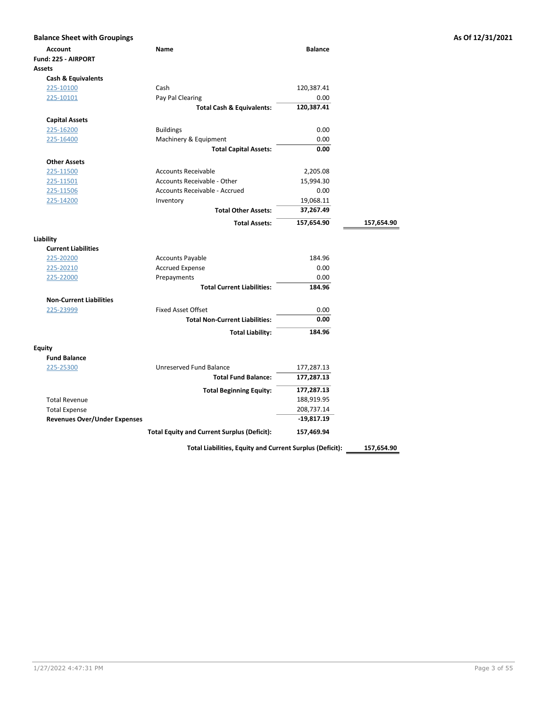| <b>Balance Sheet with Groupings</b> |                                                    |                |            | As Of 12/31/2021 |
|-------------------------------------|----------------------------------------------------|----------------|------------|------------------|
| Account                             | Name                                               | <b>Balance</b> |            |                  |
| Fund: 225 - AIRPORT                 |                                                    |                |            |                  |
| <b>Assets</b>                       |                                                    |                |            |                  |
| <b>Cash &amp; Equivalents</b>       |                                                    |                |            |                  |
| 225-10100                           | Cash                                               | 120,387.41     |            |                  |
| 225-10101                           | Pay Pal Clearing                                   | 0.00           |            |                  |
|                                     | <b>Total Cash &amp; Equivalents:</b>               | 120,387.41     |            |                  |
| <b>Capital Assets</b>               |                                                    |                |            |                  |
| 225-16200                           | <b>Buildings</b>                                   | 0.00           |            |                  |
| 225-16400                           | Machinery & Equipment                              | 0.00           |            |                  |
|                                     | <b>Total Capital Assets:</b>                       | 0.00           |            |                  |
| <b>Other Assets</b>                 |                                                    |                |            |                  |
| 225-11500                           | <b>Accounts Receivable</b>                         | 2,205.08       |            |                  |
| 225-11501                           | Accounts Receivable - Other                        | 15,994.30      |            |                  |
| 225-11506                           | Accounts Receivable - Accrued                      | 0.00           |            |                  |
| 225-14200                           | Inventory                                          | 19,068.11      |            |                  |
|                                     | <b>Total Other Assets:</b>                         | 37,267.49      |            |                  |
|                                     | <b>Total Assets:</b>                               | 157,654.90     | 157,654.90 |                  |
| Liability                           |                                                    |                |            |                  |
| <b>Current Liabilities</b>          |                                                    |                |            |                  |
| 225-20200                           | <b>Accounts Payable</b>                            | 184.96         |            |                  |
| 225-20210                           | <b>Accrued Expense</b>                             | 0.00           |            |                  |
| 225-22000                           | Prepayments                                        | 0.00           |            |                  |
|                                     | <b>Total Current Liabilities:</b>                  | 184.96         |            |                  |
| <b>Non-Current Liabilities</b>      |                                                    |                |            |                  |
| 225-23999                           | <b>Fixed Asset Offset</b>                          | 0.00           |            |                  |
|                                     | <b>Total Non-Current Liabilities:</b>              | 0.00           |            |                  |
|                                     | <b>Total Liability:</b>                            | 184.96         |            |                  |
| <b>Equity</b>                       |                                                    |                |            |                  |
| <b>Fund Balance</b>                 |                                                    |                |            |                  |
| 225-25300                           | Unreserved Fund Balance                            | 177,287.13     |            |                  |
|                                     | <b>Total Fund Balance:</b>                         | 177,287.13     |            |                  |
|                                     | <b>Total Beginning Equity:</b>                     | 177,287.13     |            |                  |
| <b>Total Revenue</b>                |                                                    | 188,919.95     |            |                  |
| <b>Total Expense</b>                |                                                    | 208,737.14     |            |                  |
| <b>Revenues Over/Under Expenses</b> |                                                    | $-19,817.19$   |            |                  |
|                                     | <b>Total Equity and Current Surplus (Deficit):</b> | 157,469.94     |            |                  |
|                                     |                                                    |                |            |                  |

Total Liabilities, Equity and Current Surplus (Deficit): 157,654.90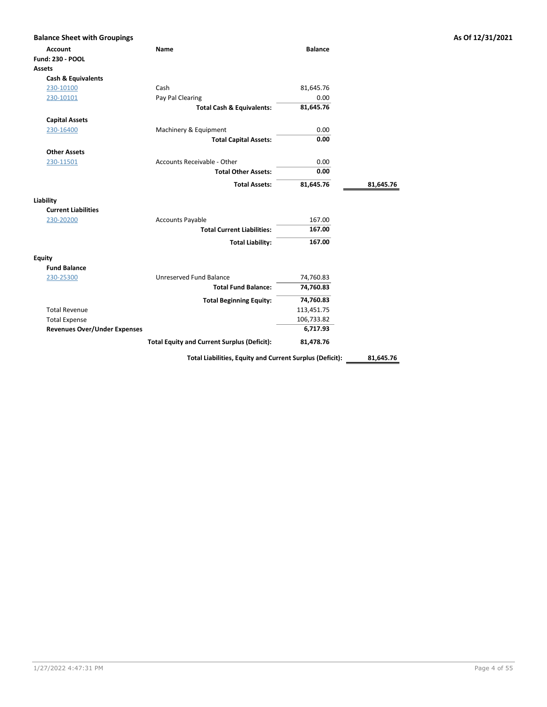| <b>Balance Sheet with Groupings</b> |                                                    |                |           |
|-------------------------------------|----------------------------------------------------|----------------|-----------|
| <b>Account</b>                      | <b>Name</b>                                        | <b>Balance</b> |           |
| <b>Fund: 230 - POOL</b>             |                                                    |                |           |
| Assets                              |                                                    |                |           |
| <b>Cash &amp; Equivalents</b>       |                                                    |                |           |
| 230-10100                           | Cash                                               | 81,645.76      |           |
| 230-10101                           | Pay Pal Clearing                                   | 0.00           |           |
|                                     | <b>Total Cash &amp; Equivalents:</b>               | 81,645.76      |           |
| <b>Capital Assets</b>               |                                                    |                |           |
| 230-16400                           | Machinery & Equipment                              | 0.00           |           |
|                                     | <b>Total Capital Assets:</b>                       | 0.00           |           |
| <b>Other Assets</b>                 |                                                    |                |           |
| 230-11501                           | Accounts Receivable - Other                        | 0.00           |           |
|                                     | <b>Total Other Assets:</b>                         | 0.00           |           |
|                                     | <b>Total Assets:</b>                               | 81,645.76      | 81,645.76 |
|                                     |                                                    |                |           |
| Liability                           |                                                    |                |           |
| <b>Current Liabilities</b>          |                                                    |                |           |
| 230-20200                           | <b>Accounts Payable</b>                            | 167.00         |           |
|                                     | <b>Total Current Liabilities:</b>                  | 167.00         |           |
|                                     | <b>Total Liability:</b>                            | 167.00         |           |
| Equity                              |                                                    |                |           |
| <b>Fund Balance</b>                 |                                                    |                |           |
| 230-25300                           | Unreserved Fund Balance                            | 74,760.83      |           |
|                                     | <b>Total Fund Balance:</b>                         | 74,760.83      |           |
|                                     | <b>Total Beginning Equity:</b>                     | 74,760.83      |           |
| <b>Total Revenue</b>                |                                                    | 113,451.75     |           |
| <b>Total Expense</b>                |                                                    | 106,733.82     |           |
| <b>Revenues Over/Under Expenses</b> |                                                    | 6,717.93       |           |
|                                     | <b>Total Equity and Current Surplus (Deficit):</b> | 81,478.76      |           |
|                                     |                                                    |                |           |

Total Liabilities, Equity and Current Surplus (Deficit): \_\_\_\_\_\_\_\_\_\_\_\_\_\_\_\_\_\_\_\_\_\_\_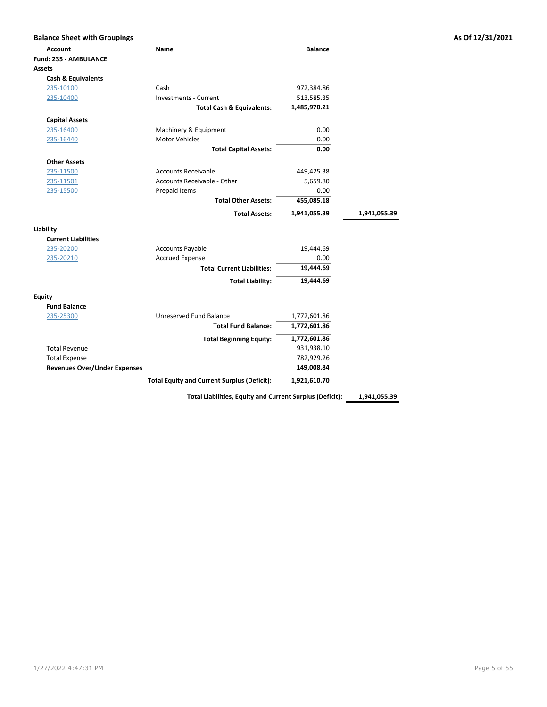| <b>Balance Sheet with Groupings</b> |                                                    |                |              |
|-------------------------------------|----------------------------------------------------|----------------|--------------|
| <b>Account</b>                      | Name                                               | <b>Balance</b> |              |
| <b>Fund: 235 - AMBULANCE</b>        |                                                    |                |              |
| <b>Assets</b>                       |                                                    |                |              |
| Cash & Equivalents                  |                                                    |                |              |
| 235-10100                           | Cash                                               | 972,384.86     |              |
| 235-10400                           | <b>Investments - Current</b>                       | 513,585.35     |              |
|                                     | <b>Total Cash &amp; Equivalents:</b>               | 1,485,970.21   |              |
| <b>Capital Assets</b>               |                                                    |                |              |
| 235-16400                           | Machinery & Equipment                              | 0.00           |              |
| 235-16440                           | <b>Motor Vehicles</b>                              | 0.00           |              |
|                                     | <b>Total Capital Assets:</b>                       | 0.00           |              |
|                                     |                                                    |                |              |
| <b>Other Assets</b>                 | <b>Accounts Receivable</b>                         |                |              |
| 235-11500                           | Accounts Receivable - Other                        | 449,425.38     |              |
| 235-11501                           |                                                    | 5,659.80       |              |
| 235-15500                           | Prepaid Items                                      | 0.00           |              |
|                                     | <b>Total Other Assets:</b>                         | 455,085.18     |              |
|                                     | <b>Total Assets:</b>                               | 1,941,055.39   | 1,941,055.39 |
| Liability                           |                                                    |                |              |
| <b>Current Liabilities</b>          |                                                    |                |              |
| 235-20200                           | <b>Accounts Payable</b>                            | 19,444.69      |              |
| 235-20210                           | <b>Accrued Expense</b>                             | 0.00           |              |
|                                     | <b>Total Current Liabilities:</b>                  | 19,444.69      |              |
|                                     | <b>Total Liability:</b>                            | 19,444.69      |              |
| <b>Equity</b>                       |                                                    |                |              |
| <b>Fund Balance</b>                 |                                                    |                |              |
| 235-25300                           | Unreserved Fund Balance                            | 1,772,601.86   |              |
|                                     | <b>Total Fund Balance:</b>                         | 1,772,601.86   |              |
|                                     | <b>Total Beginning Equity:</b>                     | 1,772,601.86   |              |
| <b>Total Revenue</b>                |                                                    | 931,938.10     |              |
| <b>Total Expense</b>                |                                                    | 782,929.26     |              |
| <b>Revenues Over/Under Expenses</b> |                                                    | 149,008.84     |              |
|                                     | <b>Total Equity and Current Surplus (Deficit):</b> | 1,921,610.70   |              |

Total Liabilities, Equity and Current Surplus (Deficit): 1,941,055.39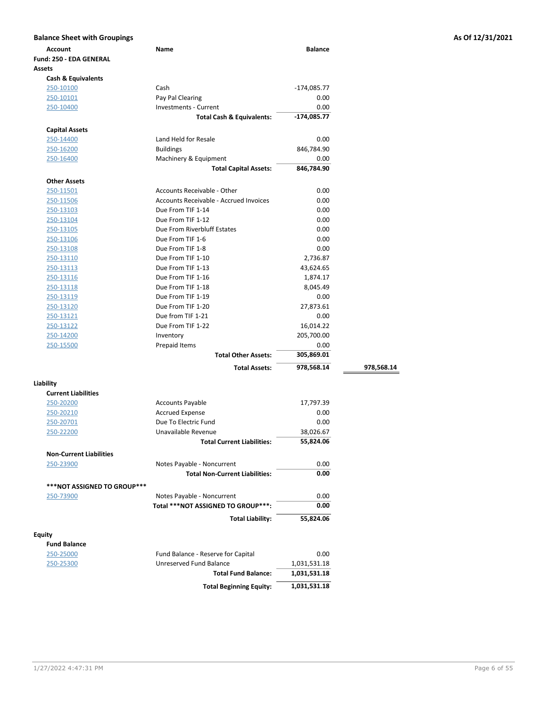| <b>Balance Sheet with Groupings</b> |                                        |                |            | As Of 12/31/2021 |
|-------------------------------------|----------------------------------------|----------------|------------|------------------|
| <b>Account</b>                      | Name                                   | <b>Balance</b> |            |                  |
| Fund: 250 - EDA GENERAL             |                                        |                |            |                  |
| <b>Assets</b>                       |                                        |                |            |                  |
| <b>Cash &amp; Equivalents</b>       |                                        |                |            |                  |
| 250-10100                           | Cash                                   | $-174,085.77$  |            |                  |
| 250-10101                           | Pay Pal Clearing                       | 0.00           |            |                  |
| 250-10400                           | Investments - Current                  | 0.00           |            |                  |
|                                     | <b>Total Cash &amp; Equivalents:</b>   | $-174,085.77$  |            |                  |
| <b>Capital Assets</b>               |                                        |                |            |                  |
| 250-14400                           | Land Held for Resale                   | 0.00           |            |                  |
|                                     | <b>Buildings</b>                       | 846,784.90     |            |                  |
| 250-16200                           | Machinery & Equipment                  |                |            |                  |
| 250-16400                           |                                        | 0.00           |            |                  |
|                                     | <b>Total Capital Assets:</b>           | 846,784.90     |            |                  |
| <b>Other Assets</b>                 |                                        |                |            |                  |
| 250-11501                           | Accounts Receivable - Other            | 0.00           |            |                  |
| 250-11506                           | Accounts Receivable - Accrued Invoices | 0.00           |            |                  |
| 250-13103                           | Due From TIF 1-14                      | 0.00           |            |                  |
| 250-13104                           | Due From TIF 1-12                      | 0.00           |            |                  |
| 250-13105                           | Due From Riverbluff Estates            | 0.00           |            |                  |
| 250-13106                           | Due From TIF 1-6                       | 0.00           |            |                  |
| 250-13108                           | Due From TIF 1-8                       | 0.00           |            |                  |
| 250-13110                           | Due From TIF 1-10                      | 2,736.87       |            |                  |
| 250-13113                           | Due From TIF 1-13                      | 43,624.65      |            |                  |
| 250-13116                           | Due From TIF 1-16                      | 1,874.17       |            |                  |
| 250-13118                           | Due From TIF 1-18                      | 8,045.49       |            |                  |
| 250-13119                           | Due From TIF 1-19                      | 0.00           |            |                  |
| 250-13120                           | Due From TIF 1-20                      | 27,873.61      |            |                  |
| 250-13121                           | Due from TIF 1-21                      | 0.00           |            |                  |
| 250-13122                           | Due From TIF 1-22                      | 16,014.22      |            |                  |
| 250-14200                           | Inventory                              | 205,700.00     |            |                  |
| 250-15500                           | Prepaid Items                          | 0.00           |            |                  |
|                                     | <b>Total Other Assets:</b>             | 305,869.01     |            |                  |
|                                     | <b>Total Assets:</b>                   | 978,568.14     | 978,568.14 |                  |
|                                     |                                        |                |            |                  |
| Liability                           |                                        |                |            |                  |
| <b>Current Liabilities</b>          |                                        |                |            |                  |
| 250-20200                           | Accounts Payable                       | 17,797.39      |            |                  |
| 250-20210                           | <b>Accrued Expense</b>                 | 0.00           |            |                  |
| 250-20701                           | Due To Electric Fund                   | 0.00           |            |                  |
| 250-22200                           | Unavailable Revenue                    | 38,026.67      |            |                  |
|                                     | <b>Total Current Liabilities:</b>      | 55,824.06      |            |                  |
| <b>Non-Current Liabilities</b>      |                                        |                |            |                  |
| 250-23900                           | Notes Payable - Noncurrent             | 0.00           |            |                  |
|                                     | <b>Total Non-Current Liabilities:</b>  | 0.00           |            |                  |
| ***NOT ASSIGNED TO GROUP***         |                                        |                |            |                  |
| 250-73900                           | Notes Payable - Noncurrent             | 0.00           |            |                  |
|                                     | Total *** NOT ASSIGNED TO GROUP***:    | 0.00           |            |                  |
|                                     | <b>Total Liability:</b>                | 55,824.06      |            |                  |
|                                     |                                        |                |            |                  |
| <b>Equity</b>                       |                                        |                |            |                  |
| <b>Fund Balance</b>                 |                                        |                |            |                  |
| 250-25000                           | Fund Balance - Reserve for Capital     | 0.00           |            |                  |
| 250-25300                           | Unreserved Fund Balance                | 1,031,531.18   |            |                  |
|                                     | <b>Total Fund Balance:</b>             | 1,031,531.18   |            |                  |
|                                     | <b>Total Beginning Equity:</b>         | 1,031,531.18   |            |                  |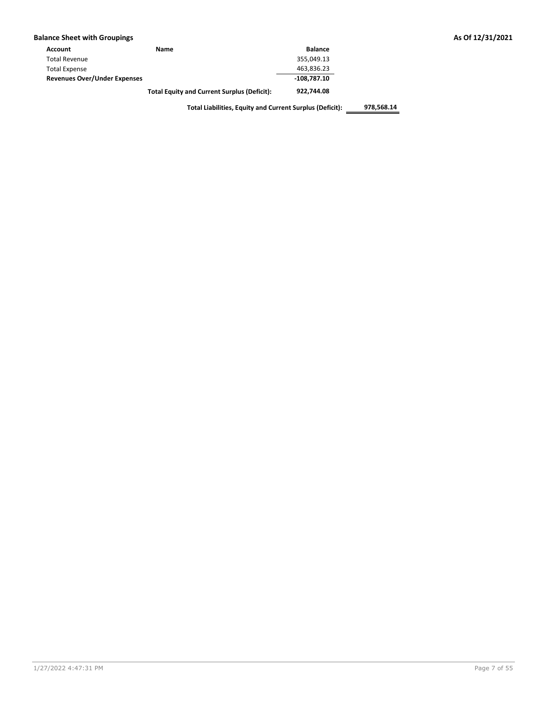|  |  |  | <b>Balance Sheet with Groupings</b> |  |
|--|--|--|-------------------------------------|--|
|--|--|--|-------------------------------------|--|

| Account                             | Name                                               | <b>Balance</b> |
|-------------------------------------|----------------------------------------------------|----------------|
| <b>Total Revenue</b>                |                                                    | 355.049.13     |
| <b>Total Expense</b>                |                                                    | 463,836.23     |
| <b>Revenues Over/Under Expenses</b> |                                                    | 108.787.10     |
|                                     | <b>Total Equity and Current Surplus (Deficit):</b> | 922.744.08     |

As Of 12/31/2021

Total Liabilities, Equity and Current Surplus (Deficit): 978,568.14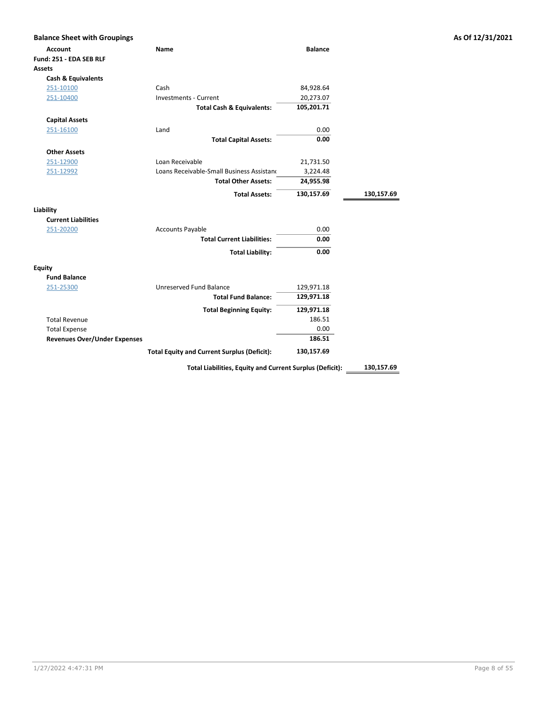| <b>Account</b><br>Fund: 251 - EDA SEB RLF | Name                                                     | <b>Balance</b> |            |
|-------------------------------------------|----------------------------------------------------------|----------------|------------|
| Assets                                    |                                                          |                |            |
| <b>Cash &amp; Equivalents</b>             |                                                          |                |            |
| 251-10100                                 | Cash                                                     | 84,928.64      |            |
| 251-10400                                 | <b>Investments - Current</b>                             | 20,273.07      |            |
|                                           | <b>Total Cash &amp; Equivalents:</b>                     | 105,201.71     |            |
| <b>Capital Assets</b>                     |                                                          |                |            |
| 251-16100                                 | Land                                                     | 0.00           |            |
|                                           | <b>Total Capital Assets:</b>                             | 0.00           |            |
| <b>Other Assets</b>                       |                                                          |                |            |
| 251-12900                                 | Loan Receivable                                          | 21,731.50      |            |
| 251-12992                                 | Loans Receivable-Small Business Assistano                | 3,224.48       |            |
|                                           | <b>Total Other Assets:</b>                               | 24,955.98      |            |
|                                           | <b>Total Assets:</b>                                     | 130,157.69     | 130,157.69 |
| Liability                                 |                                                          |                |            |
| <b>Current Liabilities</b>                |                                                          |                |            |
| 251-20200                                 | <b>Accounts Payable</b>                                  | 0.00           |            |
|                                           | <b>Total Current Liabilities:</b>                        | 0.00           |            |
|                                           | <b>Total Liability:</b>                                  | 0.00           |            |
| <b>Equity</b>                             |                                                          |                |            |
| <b>Fund Balance</b>                       |                                                          |                |            |
| 251-25300                                 | Unreserved Fund Balance                                  | 129,971.18     |            |
|                                           | <b>Total Fund Balance:</b>                               | 129,971.18     |            |
|                                           | <b>Total Beginning Equity:</b>                           | 129,971.18     |            |
| <b>Total Revenue</b>                      |                                                          | 186.51         |            |
| <b>Total Expense</b>                      |                                                          | 0.00           |            |
| <b>Revenues Over/Under Expenses</b>       |                                                          | 186.51         |            |
|                                           | <b>Total Equity and Current Surplus (Deficit):</b>       | 130,157.69     |            |
|                                           | Total Liabilities, Equity and Current Surplus (Deficit): |                | 130,157.69 |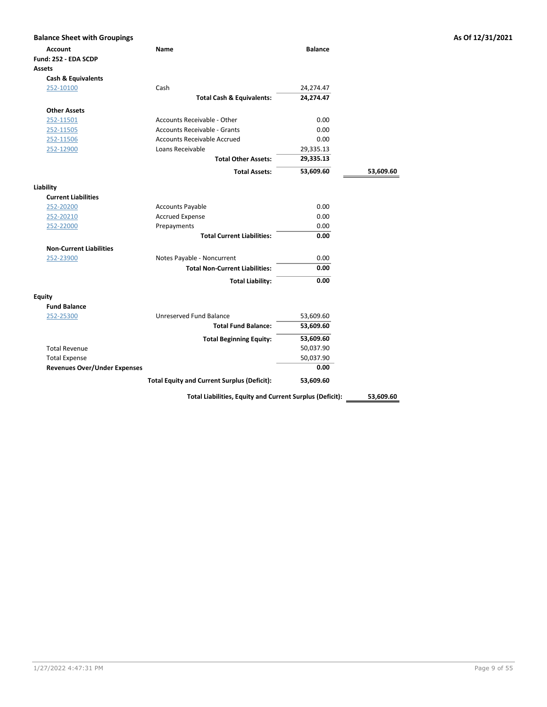| <b>Balance Sheet with Groupings</b>    |                                                    |                |           | As Of 12/31/2021 |
|----------------------------------------|----------------------------------------------------|----------------|-----------|------------------|
| <b>Account</b><br>Fund: 252 - EDA SCDP | Name                                               | <b>Balance</b> |           |                  |
| Assets                                 |                                                    |                |           |                  |
| <b>Cash &amp; Equivalents</b>          |                                                    |                |           |                  |
| 252-10100                              | Cash                                               | 24,274.47      |           |                  |
|                                        | <b>Total Cash &amp; Equivalents:</b>               | 24,274.47      |           |                  |
| <b>Other Assets</b>                    |                                                    |                |           |                  |
| 252-11501                              | Accounts Receivable - Other                        | 0.00           |           |                  |
| 252-11505                              | <b>Accounts Receivable - Grants</b>                | 0.00           |           |                  |
| 252-11506                              | <b>Accounts Receivable Accrued</b>                 | 0.00           |           |                  |
| 252-12900                              | Loans Receivable                                   | 29,335.13      |           |                  |
|                                        | <b>Total Other Assets:</b>                         | 29,335.13      |           |                  |
|                                        | <b>Total Assets:</b>                               | 53,609.60      | 53,609.60 |                  |
| Liability                              |                                                    |                |           |                  |
| <b>Current Liabilities</b>             |                                                    |                |           |                  |
| 252-20200                              | <b>Accounts Payable</b>                            | 0.00           |           |                  |
| 252-20210                              | <b>Accrued Expense</b>                             | 0.00           |           |                  |
| 252-22000                              | Prepayments                                        | 0.00           |           |                  |
|                                        | <b>Total Current Liabilities:</b>                  | 0.00           |           |                  |
| <b>Non-Current Liabilities</b>         |                                                    |                |           |                  |
| 252-23900                              | Notes Payable - Noncurrent                         | 0.00           |           |                  |
|                                        | <b>Total Non-Current Liabilities:</b>              | 0.00           |           |                  |
|                                        | <b>Total Liability:</b>                            | 0.00           |           |                  |
| <b>Equity</b>                          |                                                    |                |           |                  |
| <b>Fund Balance</b>                    |                                                    |                |           |                  |
| 252-25300                              | Unreserved Fund Balance                            | 53,609.60      |           |                  |
|                                        | <b>Total Fund Balance:</b>                         | 53,609.60      |           |                  |
|                                        | <b>Total Beginning Equity:</b>                     | 53,609.60      |           |                  |
| <b>Total Revenue</b>                   |                                                    | 50,037.90      |           |                  |
| <b>Total Expense</b>                   |                                                    | 50,037.90      |           |                  |
| <b>Revenues Over/Under Expenses</b>    |                                                    | 0.00           |           |                  |
|                                        | <b>Total Equity and Current Surplus (Deficit):</b> | 53,609.60      |           |                  |

Total Liabilities, Equity and Current Surplus (Deficit): 53,609.60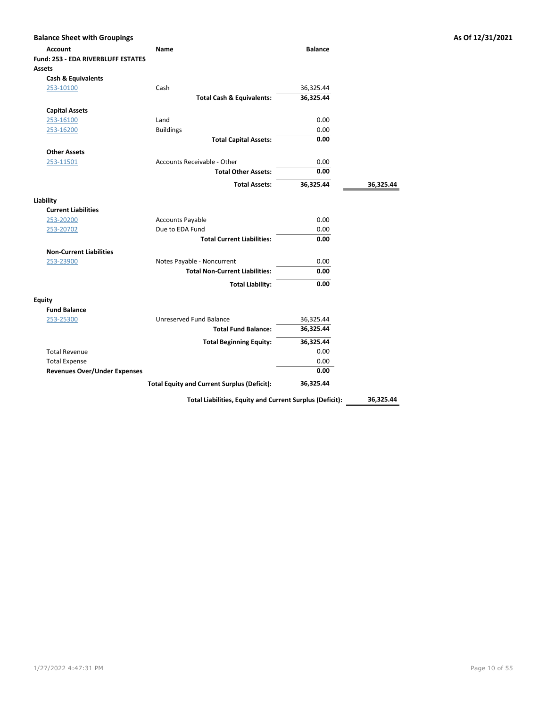| <b>Balance Sheet with Groupings</b>        |                                                    |                |           |
|--------------------------------------------|----------------------------------------------------|----------------|-----------|
| <b>Account</b>                             | <b>Name</b>                                        | <b>Balance</b> |           |
| <b>Fund: 253 - EDA RIVERBLUFF ESTATES</b>  |                                                    |                |           |
| Assets                                     |                                                    |                |           |
| <b>Cash &amp; Equivalents</b><br>253-10100 | Cash                                               | 36,325.44      |           |
|                                            | <b>Total Cash &amp; Equivalents:</b>               | 36,325.44      |           |
|                                            |                                                    |                |           |
| <b>Capital Assets</b>                      |                                                    |                |           |
| 253-16100                                  | Land                                               | 0.00           |           |
| 253-16200                                  | <b>Buildings</b>                                   | 0.00           |           |
|                                            | <b>Total Capital Assets:</b>                       | 0.00           |           |
| <b>Other Assets</b>                        |                                                    |                |           |
| 253-11501                                  | Accounts Receivable - Other                        | 0.00           |           |
|                                            | <b>Total Other Assets:</b>                         | 0.00           |           |
|                                            | <b>Total Assets:</b>                               | 36,325.44      | 36,325.44 |
| Liability                                  |                                                    |                |           |
| <b>Current Liabilities</b>                 |                                                    |                |           |
| 253-20200                                  | <b>Accounts Payable</b>                            | 0.00           |           |
| 253-20702                                  | Due to EDA Fund                                    | 0.00           |           |
|                                            | <b>Total Current Liabilities:</b>                  | 0.00           |           |
| <b>Non-Current Liabilities</b>             |                                                    |                |           |
| 253-23900                                  | Notes Payable - Noncurrent                         | 0.00           |           |
|                                            | <b>Total Non-Current Liabilities:</b>              | 0.00           |           |
|                                            | <b>Total Liability:</b>                            | 0.00           |           |
| <b>Equity</b>                              |                                                    |                |           |
| <b>Fund Balance</b>                        |                                                    |                |           |
| 253-25300                                  | Unreserved Fund Balance                            | 36,325.44      |           |
|                                            | <b>Total Fund Balance:</b>                         | 36,325.44      |           |
|                                            | <b>Total Beginning Equity:</b>                     | 36,325.44      |           |
| <b>Total Revenue</b>                       |                                                    | 0.00           |           |
| <b>Total Expense</b>                       |                                                    | 0.00           |           |
| <b>Revenues Over/Under Expenses</b>        |                                                    | 0.00           |           |
|                                            | <b>Total Equity and Current Surplus (Deficit):</b> | 36,325.44      |           |

Total Liabilities, Equity and Current Surplus (Deficit): 36,325.44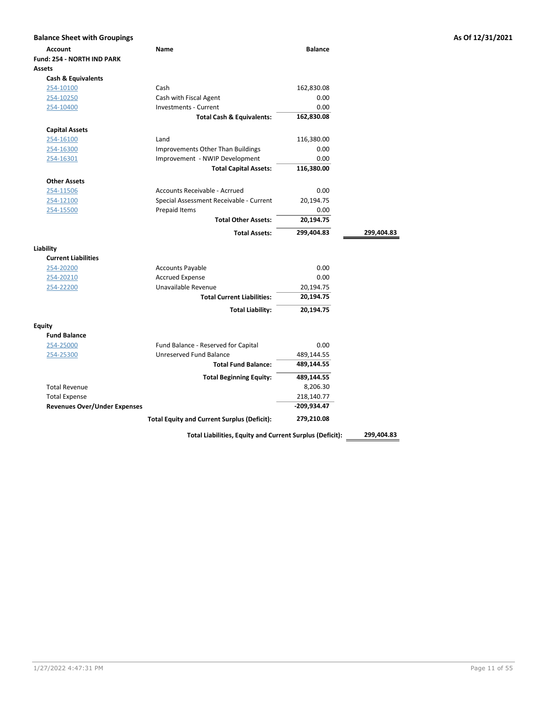| <b>Balance Sheet with Groupings</b> |                                                    |                |            |
|-------------------------------------|----------------------------------------------------|----------------|------------|
| <b>Account</b>                      | Name                                               | <b>Balance</b> |            |
| <b>Fund: 254 - NORTH IND PARK</b>   |                                                    |                |            |
| <b>Assets</b>                       |                                                    |                |            |
| <b>Cash &amp; Equivalents</b>       |                                                    |                |            |
| 254-10100                           | Cash                                               | 162,830.08     |            |
| 254-10250                           | Cash with Fiscal Agent                             | 0.00           |            |
| 254-10400                           | <b>Investments - Current</b>                       | 0.00           |            |
|                                     | <b>Total Cash &amp; Equivalents:</b>               | 162,830.08     |            |
| <b>Capital Assets</b>               |                                                    |                |            |
| 254-16100                           | Land                                               | 116,380.00     |            |
| 254-16300                           | Improvements Other Than Buildings                  | 0.00           |            |
| 254-16301                           | Improvement - NWIP Development                     | 0.00           |            |
|                                     | <b>Total Capital Assets:</b>                       | 116,380.00     |            |
| <b>Other Assets</b>                 |                                                    |                |            |
| 254-11506                           | Accounts Receivable - Acrrued                      | 0.00           |            |
| 254-12100                           | Special Assessment Receivable - Current            | 20,194.75      |            |
| 254-15500                           | Prepaid Items                                      | 0.00           |            |
|                                     | <b>Total Other Assets:</b>                         | 20,194.75      |            |
|                                     | <b>Total Assets:</b>                               | 299,404.83     | 299,404.83 |
| Liability                           |                                                    |                |            |
| <b>Current Liabilities</b>          |                                                    |                |            |
| 254-20200                           | <b>Accounts Payable</b>                            | 0.00           |            |
| 254-20210                           | <b>Accrued Expense</b>                             | 0.00           |            |
| 254-22200                           | Unavailable Revenue                                | 20,194.75      |            |
|                                     | <b>Total Current Liabilities:</b>                  | 20,194.75      |            |
|                                     | <b>Total Liability:</b>                            | 20,194.75      |            |
| <b>Equity</b>                       |                                                    |                |            |
| <b>Fund Balance</b>                 |                                                    |                |            |
| 254-25000                           | Fund Balance - Reserved for Capital                | 0.00           |            |
| 254-25300                           | Unreserved Fund Balance                            | 489,144.55     |            |
|                                     | <b>Total Fund Balance:</b>                         | 489,144.55     |            |
|                                     | <b>Total Beginning Equity:</b>                     | 489,144.55     |            |
| <b>Total Revenue</b>                |                                                    | 8,206.30       |            |
| <b>Total Expense</b>                |                                                    | 218,140.77     |            |
| <b>Revenues Over/Under Expenses</b> |                                                    | $-209,934.47$  |            |
|                                     | <b>Total Equity and Current Surplus (Deficit):</b> | 279,210.08     |            |
|                                     |                                                    |                |            |

Total Liabilities, Equity and Current Surplus (Deficit): 299,404.83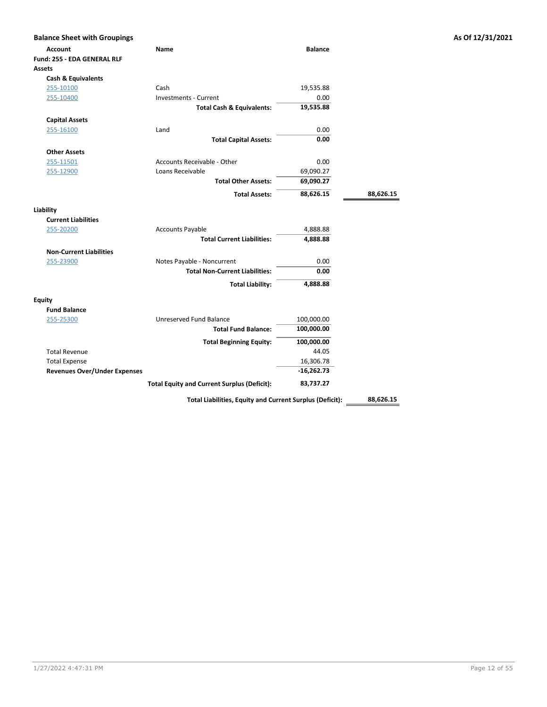| <b>Balance Sheet with Groupings</b> |                                       |                |           |
|-------------------------------------|---------------------------------------|----------------|-----------|
| <b>Account</b>                      | Name                                  | <b>Balance</b> |           |
| Fund: 255 - EDA GENERAL RLF         |                                       |                |           |
| Assets                              |                                       |                |           |
| <b>Cash &amp; Equivalents</b>       |                                       |                |           |
| 255-10100                           | Cash                                  | 19,535.88      |           |
| 255-10400                           | <b>Investments - Current</b>          | 0.00           |           |
|                                     | <b>Total Cash &amp; Equivalents:</b>  | 19,535.88      |           |
| <b>Capital Assets</b>               |                                       |                |           |
| 255-16100                           | Land                                  | 0.00           |           |
|                                     | <b>Total Capital Assets:</b>          | 0.00           |           |
| <b>Other Assets</b>                 |                                       |                |           |
| 255-11501                           | Accounts Receivable - Other           | 0.00           |           |
| 255-12900                           | Loans Receivable                      | 69,090.27      |           |
|                                     | <b>Total Other Assets:</b>            | 69,090.27      |           |
|                                     |                                       |                |           |
|                                     | <b>Total Assets:</b>                  | 88,626.15      | 88,626.15 |
| Liability                           |                                       |                |           |
| <b>Current Liabilities</b>          |                                       |                |           |
| 255-20200                           | <b>Accounts Payable</b>               | 4,888.88       |           |
|                                     | <b>Total Current Liabilities:</b>     | 4,888.88       |           |
| <b>Non-Current Liabilities</b>      |                                       |                |           |
| 255-23900                           | Notes Payable - Noncurrent            | 0.00           |           |
|                                     | <b>Total Non-Current Liabilities:</b> | 0.00           |           |
|                                     | <b>Total Liability:</b>               | 4,888.88       |           |
|                                     |                                       |                |           |
| Equity                              |                                       |                |           |
| <b>Fund Balance</b>                 |                                       |                |           |
| 255-25300                           | Unreserved Fund Balance               | 100,000.00     |           |
|                                     | <b>Total Fund Balance:</b>            | 100,000.00     |           |
|                                     | <b>Total Beginning Equity:</b>        | 100,000.00     |           |
| <b>Total Revenue</b>                |                                       | 44.05          |           |
| <b>Total Expense</b>                |                                       | 16,306.78      |           |
|                                     |                                       | $-16,262.73$   |           |
| <b>Revenues Over/Under Expenses</b> |                                       |                |           |

Total Liabilities, Equity and Current Surplus (Deficit): \_\_\_\_\_\_\_\_\_\_\_\_\_\_\_\_\_\_\_\_\_\_\_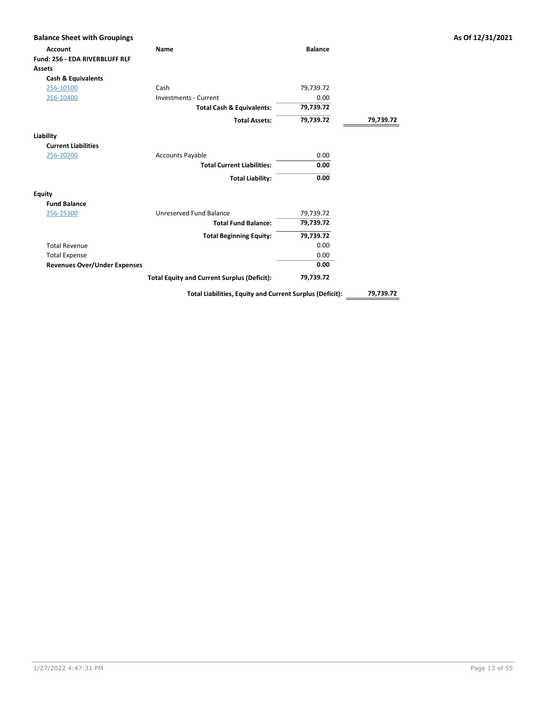| <b>Balance Sheet with Groupings</b> |                                                          |                |           | As Of 12/31/2021 |
|-------------------------------------|----------------------------------------------------------|----------------|-----------|------------------|
| <b>Account</b>                      | Name                                                     | <b>Balance</b> |           |                  |
| Fund: 256 - EDA RIVERBLUFF RLF      |                                                          |                |           |                  |
| <b>Assets</b>                       |                                                          |                |           |                  |
| <b>Cash &amp; Equivalents</b>       |                                                          |                |           |                  |
| 256-10100                           | Cash                                                     | 79,739.72      |           |                  |
| 256-10400                           | Investments - Current                                    | 0.00           |           |                  |
|                                     | <b>Total Cash &amp; Equivalents:</b>                     | 79,739.72      |           |                  |
|                                     | <b>Total Assets:</b>                                     | 79,739.72      | 79,739.72 |                  |
| Liability                           |                                                          |                |           |                  |
| <b>Current Liabilities</b>          |                                                          |                |           |                  |
| 256-20200                           | <b>Accounts Payable</b>                                  | 0.00           |           |                  |
|                                     | <b>Total Current Liabilities:</b>                        | 0.00           |           |                  |
|                                     | <b>Total Liability:</b>                                  | 0.00           |           |                  |
| <b>Equity</b>                       |                                                          |                |           |                  |
| <b>Fund Balance</b>                 |                                                          |                |           |                  |
| 256-25300                           | Unreserved Fund Balance                                  | 79,739.72      |           |                  |
|                                     | <b>Total Fund Balance:</b>                               | 79,739.72      |           |                  |
|                                     | <b>Total Beginning Equity:</b>                           | 79,739.72      |           |                  |
| <b>Total Revenue</b>                |                                                          | 0.00           |           |                  |
| <b>Total Expense</b>                |                                                          | 0.00           |           |                  |
| <b>Revenues Over/Under Expenses</b> |                                                          | 0.00           |           |                  |
|                                     | <b>Total Equity and Current Surplus (Deficit):</b>       | 79,739.72      |           |                  |
|                                     | Total Liabilities, Equity and Current Surplus (Deficit): |                | 79,739.72 |                  |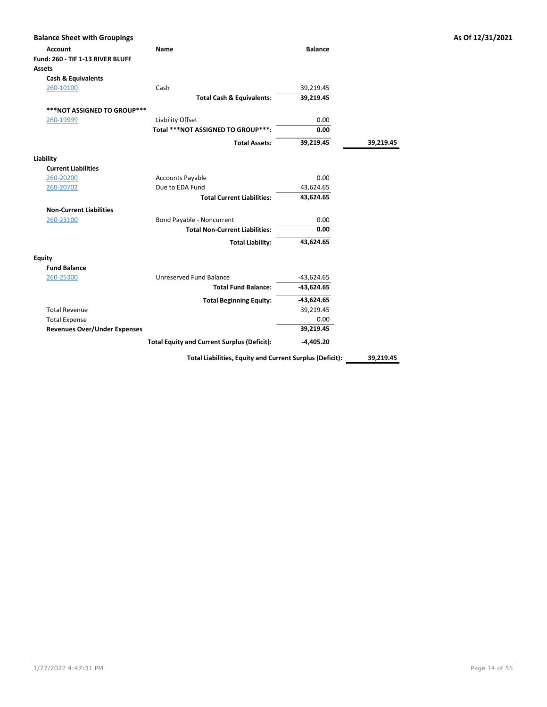| <b>Balance Sheet with Groupings</b>                          |                                                    |                                    |           | As Of 12/31/2021 |
|--------------------------------------------------------------|----------------------------------------------------|------------------------------------|-----------|------------------|
| <b>Account</b><br>Fund: 260 - TIF 1-13 RIVER BLUFF<br>Assets | Name                                               | <b>Balance</b>                     |           |                  |
| <b>Cash &amp; Equivalents</b>                                |                                                    |                                    |           |                  |
| 260-10100                                                    | Cash                                               | 39,219.45                          |           |                  |
|                                                              | <b>Total Cash &amp; Equivalents:</b>               | 39,219.45                          |           |                  |
| ***NOT ASSIGNED TO GROUP***                                  |                                                    |                                    |           |                  |
| 260-19999                                                    | Liability Offset                                   | 0.00                               |           |                  |
|                                                              | Total *** NOT ASSIGNED TO GROUP***:                | 0.00                               |           |                  |
|                                                              | <b>Total Assets:</b>                               | 39,219.45                          | 39,219.45 |                  |
| Liability                                                    |                                                    |                                    |           |                  |
| <b>Current Liabilities</b>                                   |                                                    |                                    |           |                  |
| 260-20200                                                    | <b>Accounts Payable</b>                            | 0.00                               |           |                  |
| 260-20702                                                    | Due to EDA Fund                                    | 43,624.65                          |           |                  |
|                                                              | <b>Total Current Liabilities:</b>                  | 43,624.65                          |           |                  |
| <b>Non-Current Liabilities</b>                               |                                                    |                                    |           |                  |
| 260-23100                                                    | Bond Payable - Noncurrent                          | 0.00                               |           |                  |
|                                                              | <b>Total Non-Current Liabilities:</b>              | 0.00                               |           |                  |
|                                                              | <b>Total Liability:</b>                            | 43,624.65                          |           |                  |
| <b>Equity</b>                                                |                                                    |                                    |           |                  |
| <b>Fund Balance</b>                                          |                                                    |                                    |           |                  |
| 260-25300                                                    | Unreserved Fund Balance                            | $-43,624.65$                       |           |                  |
|                                                              | <b>Total Fund Balance:</b>                         | $-43,624.65$                       |           |                  |
|                                                              | <b>Total Beginning Equity:</b>                     | -43,624.65                         |           |                  |
| <b>Total Revenue</b>                                         |                                                    | 39,219.45                          |           |                  |
| <b>Total Expense</b>                                         |                                                    | 0.00                               |           |                  |
| <b>Revenues Over/Under Expenses</b>                          |                                                    | 39,219.45                          |           |                  |
|                                                              | <b>Total Equity and Current Surplus (Deficit):</b> | $-4,405.20$                        |           |                  |
|                                                              |                                                    | $\sim$ $\sim$ $\sim$ $\sim$ $\sim$ |           |                  |

Total Liabilities, Equity and Current Surplus (Deficit): 39,219.45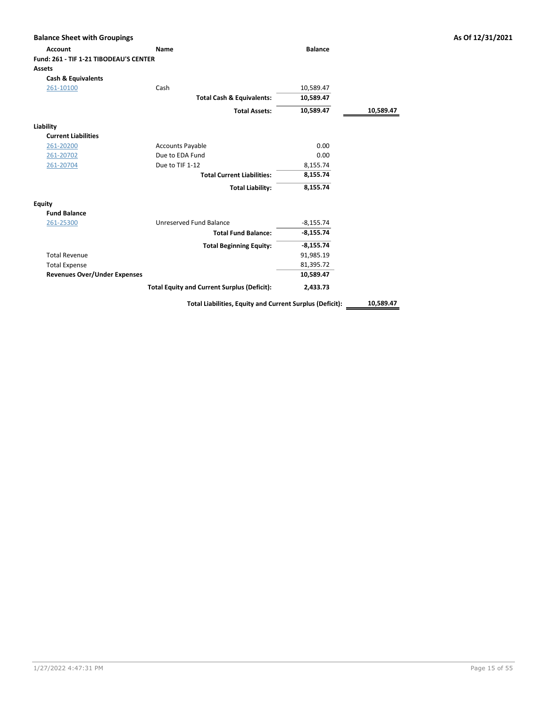| <b>Balance Sheet with Groupings</b>    |                                                    |                |           | As Of 12/31/2021 |
|----------------------------------------|----------------------------------------------------|----------------|-----------|------------------|
| <b>Account</b>                         | <b>Name</b>                                        | <b>Balance</b> |           |                  |
| Fund: 261 - TIF 1-21 TIBODEAU'S CENTER |                                                    |                |           |                  |
| <b>Assets</b>                          |                                                    |                |           |                  |
| Cash & Equivalents                     |                                                    |                |           |                  |
| 261-10100                              | Cash                                               | 10,589.47      |           |                  |
|                                        | <b>Total Cash &amp; Equivalents:</b>               | 10,589.47      |           |                  |
|                                        | <b>Total Assets:</b>                               | 10,589.47      | 10,589.47 |                  |
| Liability                              |                                                    |                |           |                  |
| <b>Current Liabilities</b>             |                                                    |                |           |                  |
| 261-20200                              | <b>Accounts Payable</b>                            | 0.00           |           |                  |
| 261-20702                              | Due to EDA Fund                                    | 0.00           |           |                  |
| 261-20704                              | Due to TIF 1-12                                    | 8,155.74       |           |                  |
|                                        | <b>Total Current Liabilities:</b>                  | 8,155.74       |           |                  |
|                                        | <b>Total Liability:</b>                            | 8,155.74       |           |                  |
| <b>Equity</b>                          |                                                    |                |           |                  |
| <b>Fund Balance</b>                    |                                                    |                |           |                  |
| 261-25300                              | Unreserved Fund Balance                            | $-8,155.74$    |           |                  |
|                                        | <b>Total Fund Balance:</b>                         | $-8,155.74$    |           |                  |
|                                        | <b>Total Beginning Equity:</b>                     | $-8,155.74$    |           |                  |
| <b>Total Revenue</b>                   |                                                    | 91,985.19      |           |                  |
| <b>Total Expense</b>                   |                                                    | 81,395.72      |           |                  |
| <b>Revenues Over/Under Expenses</b>    |                                                    | 10,589.47      |           |                  |
|                                        | <b>Total Equity and Current Surplus (Deficit):</b> | 2,433.73       |           |                  |

Total Liabilities, Equity and Current Surplus (Deficit): \_\_\_\_\_\_ 10,589.47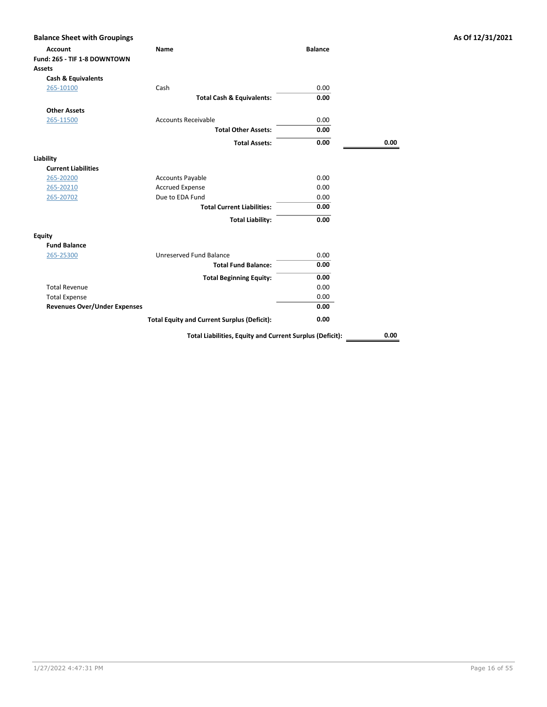| <b>Balance Sheet with Groupings</b>                             |                                                          |                |      | As Of 12/31/2021 |
|-----------------------------------------------------------------|----------------------------------------------------------|----------------|------|------------------|
| <b>Account</b><br>Fund: 265 - TIF 1-8 DOWNTOWN<br><b>Assets</b> | Name                                                     | <b>Balance</b> |      |                  |
| <b>Cash &amp; Equivalents</b>                                   |                                                          |                |      |                  |
| 265-10100                                                       | Cash                                                     | 0.00           |      |                  |
|                                                                 | <b>Total Cash &amp; Equivalents:</b>                     | 0.00           |      |                  |
| <b>Other Assets</b>                                             |                                                          |                |      |                  |
| 265-11500                                                       | <b>Accounts Receivable</b>                               | 0.00           |      |                  |
|                                                                 | <b>Total Other Assets:</b>                               | 0.00           |      |                  |
|                                                                 | <b>Total Assets:</b>                                     | 0.00           | 0.00 |                  |
| Liability                                                       |                                                          |                |      |                  |
| <b>Current Liabilities</b>                                      |                                                          |                |      |                  |
| 265-20200                                                       | <b>Accounts Payable</b>                                  | 0.00           |      |                  |
| 265-20210                                                       | <b>Accrued Expense</b>                                   | 0.00           |      |                  |
| 265-20702                                                       | Due to EDA Fund                                          | 0.00           |      |                  |
|                                                                 | <b>Total Current Liabilities:</b>                        | 0.00           |      |                  |
|                                                                 | <b>Total Liability:</b>                                  | 0.00           |      |                  |
| <b>Equity</b>                                                   |                                                          |                |      |                  |
| <b>Fund Balance</b>                                             |                                                          |                |      |                  |
| 265-25300                                                       | Unreserved Fund Balance                                  | 0.00           |      |                  |
|                                                                 | <b>Total Fund Balance:</b>                               | 0.00           |      |                  |
|                                                                 | <b>Total Beginning Equity:</b>                           | 0.00           |      |                  |
| <b>Total Revenue</b>                                            |                                                          | 0.00           |      |                  |
| <b>Total Expense</b>                                            |                                                          | 0.00           |      |                  |
| <b>Revenues Over/Under Expenses</b>                             |                                                          | 0.00           |      |                  |
|                                                                 | <b>Total Equity and Current Surplus (Deficit):</b>       | 0.00           |      |                  |
|                                                                 | Total Liabilities, Equity and Current Surplus (Deficit): |                | 0.00 |                  |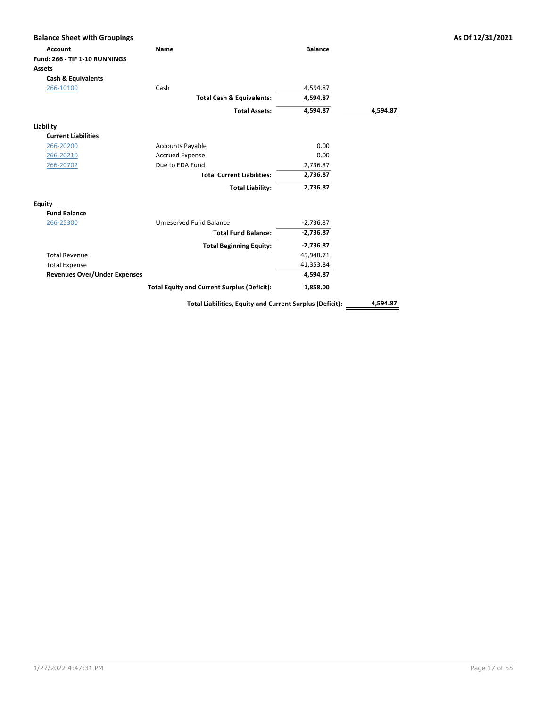| <b>Account</b>                      | <b>Name</b>                                        | <b>Balance</b> |          |
|-------------------------------------|----------------------------------------------------|----------------|----------|
| Fund: 266 - TIF 1-10 RUNNINGS       |                                                    |                |          |
| <b>Assets</b>                       |                                                    |                |          |
| <b>Cash &amp; Equivalents</b>       |                                                    |                |          |
| 266-10100                           | Cash                                               | 4,594.87       |          |
|                                     | <b>Total Cash &amp; Equivalents:</b>               | 4,594.87       |          |
|                                     | <b>Total Assets:</b>                               | 4,594.87       | 4,594.87 |
| Liability                           |                                                    |                |          |
| <b>Current Liabilities</b>          |                                                    |                |          |
| 266-20200                           | <b>Accounts Payable</b>                            | 0.00           |          |
| 266-20210                           | <b>Accrued Expense</b>                             | 0.00           |          |
| 266-20702                           | Due to EDA Fund                                    | 2,736.87       |          |
|                                     | <b>Total Current Liabilities:</b>                  | 2,736.87       |          |
|                                     | <b>Total Liability:</b>                            | 2,736.87       |          |
| <b>Equity</b>                       |                                                    |                |          |
| <b>Fund Balance</b>                 |                                                    |                |          |
| 266-25300                           | Unreserved Fund Balance                            | $-2,736.87$    |          |
|                                     | <b>Total Fund Balance:</b>                         | $-2,736.87$    |          |
|                                     | <b>Total Beginning Equity:</b>                     | $-2,736.87$    |          |
| <b>Total Revenue</b>                |                                                    | 45,948.71      |          |
| <b>Total Expense</b>                |                                                    | 41,353.84      |          |
| <b>Revenues Over/Under Expenses</b> |                                                    | 4,594.87       |          |
|                                     | <b>Total Equity and Current Surplus (Deficit):</b> | 1,858.00       |          |

Total Liabilities, Equity and Current Surplus (Deficit): 4,594.87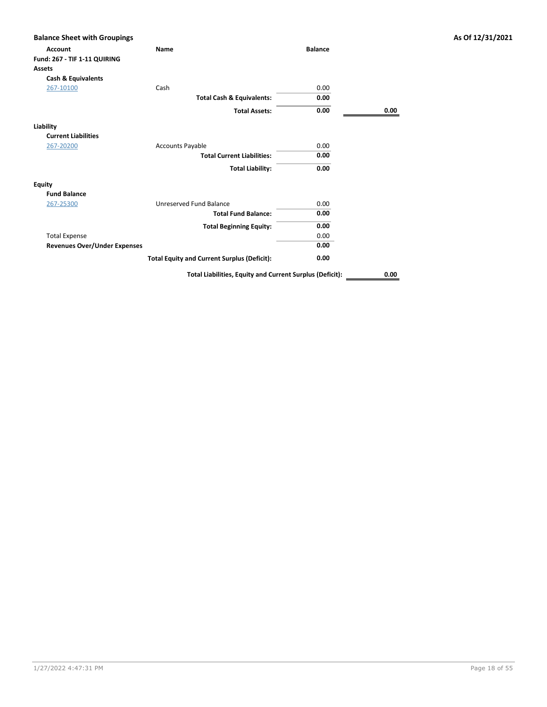| <b>Account</b>                      | Name                                                     | <b>Balance</b> |      |
|-------------------------------------|----------------------------------------------------------|----------------|------|
| Fund: 267 - TIF 1-11 QUIRING        |                                                          |                |      |
| Assets                              |                                                          |                |      |
| <b>Cash &amp; Equivalents</b>       |                                                          |                |      |
| 267-10100                           | Cash                                                     | 0.00           |      |
|                                     | <b>Total Cash &amp; Equivalents:</b>                     | 0.00           |      |
|                                     | <b>Total Assets:</b>                                     | 0.00           | 0.00 |
| Liability                           |                                                          |                |      |
| <b>Current Liabilities</b>          |                                                          |                |      |
| 267-20200                           | <b>Accounts Payable</b>                                  | 0.00           |      |
|                                     | <b>Total Current Liabilities:</b>                        | 0.00           |      |
|                                     | <b>Total Liability:</b>                                  | 0.00           |      |
| <b>Equity</b>                       |                                                          |                |      |
| <b>Fund Balance</b>                 |                                                          |                |      |
| 267-25300                           | Unreserved Fund Balance                                  | 0.00           |      |
|                                     | <b>Total Fund Balance:</b>                               | 0.00           |      |
|                                     | <b>Total Beginning Equity:</b>                           | 0.00           |      |
| <b>Total Expense</b>                |                                                          | 0.00           |      |
| <b>Revenues Over/Under Expenses</b> |                                                          | 0.00           |      |
|                                     | <b>Total Equity and Current Surplus (Deficit):</b>       | 0.00           |      |
|                                     | Total Liabilities, Equity and Current Surplus (Deficit): |                | 0.00 |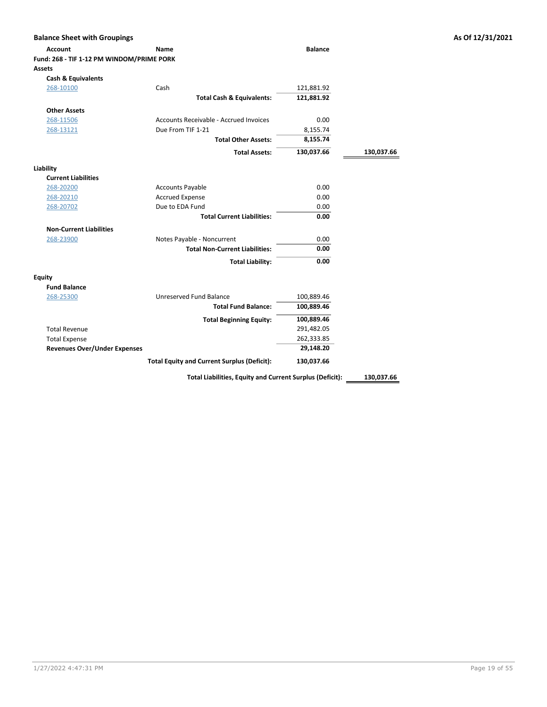| <b>Balance Sheet with Groupings</b><br><b>Account</b> | Name                                                     | <b>Balance</b> |            |
|-------------------------------------------------------|----------------------------------------------------------|----------------|------------|
| Fund: 268 - TIF 1-12 PM WINDOM/PRIME PORK             |                                                          |                |            |
| <b>Assets</b>                                         |                                                          |                |            |
| <b>Cash &amp; Equivalents</b>                         |                                                          |                |            |
| 268-10100                                             | Cash                                                     | 121,881.92     |            |
|                                                       | <b>Total Cash &amp; Equivalents:</b>                     | 121,881.92     |            |
| <b>Other Assets</b>                                   |                                                          |                |            |
| 268-11506                                             | Accounts Receivable - Accrued Invoices                   | 0.00           |            |
| 268-13121                                             | Due From TIF 1-21                                        | 8,155.74       |            |
|                                                       | <b>Total Other Assets:</b>                               | 8,155.74       |            |
|                                                       | <b>Total Assets:</b>                                     | 130,037.66     | 130,037.66 |
| Liability                                             |                                                          |                |            |
| <b>Current Liabilities</b>                            |                                                          |                |            |
| 268-20200                                             | <b>Accounts Payable</b>                                  | 0.00           |            |
| 268-20210                                             | <b>Accrued Expense</b>                                   | 0.00           |            |
| 268-20702                                             | Due to EDA Fund                                          | 0.00           |            |
|                                                       | <b>Total Current Liabilities:</b>                        | 0.00           |            |
| <b>Non-Current Liabilities</b>                        |                                                          |                |            |
| 268-23900                                             | Notes Payable - Noncurrent                               | 0.00           |            |
|                                                       | <b>Total Non-Current Liabilities:</b>                    | 0.00           |            |
|                                                       | <b>Total Liability:</b>                                  | 0.00           |            |
| <b>Equity</b>                                         |                                                          |                |            |
| <b>Fund Balance</b>                                   |                                                          |                |            |
| 268-25300                                             | Unreserved Fund Balance                                  | 100,889.46     |            |
|                                                       | <b>Total Fund Balance:</b>                               | 100,889.46     |            |
|                                                       | <b>Total Beginning Equity:</b>                           | 100,889.46     |            |
| <b>Total Revenue</b>                                  |                                                          | 291,482.05     |            |
| <b>Total Expense</b>                                  |                                                          | 262,333.85     |            |
| <b>Revenues Over/Under Expenses</b>                   |                                                          | 29,148.20      |            |
|                                                       | <b>Total Equity and Current Surplus (Deficit):</b>       | 130,037.66     |            |
|                                                       | Total Liabilities, Equity and Current Surplus (Deficit): |                | 130,037.66 |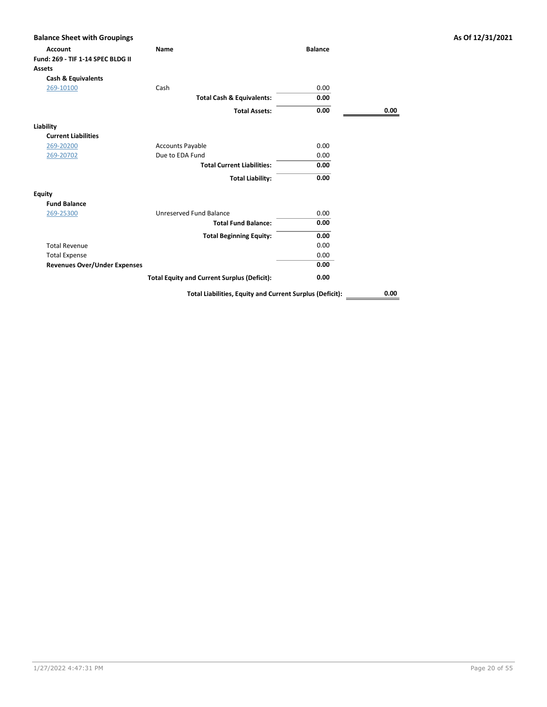| <b>Account</b>                      | <b>Name</b>                                              | <b>Balance</b> |      |
|-------------------------------------|----------------------------------------------------------|----------------|------|
| Fund: 269 - TIF 1-14 SPEC BLDG II   |                                                          |                |      |
| <b>Assets</b>                       |                                                          |                |      |
| <b>Cash &amp; Equivalents</b>       |                                                          |                |      |
| 269-10100                           | Cash                                                     | 0.00           |      |
|                                     | <b>Total Cash &amp; Equivalents:</b>                     | 0.00           |      |
|                                     | <b>Total Assets:</b>                                     | 0.00           | 0.00 |
| Liability                           |                                                          |                |      |
| <b>Current Liabilities</b>          |                                                          |                |      |
| 269-20200                           | <b>Accounts Payable</b>                                  | 0.00           |      |
| 269-20702                           | Due to EDA Fund                                          | 0.00           |      |
|                                     | <b>Total Current Liabilities:</b>                        | 0.00           |      |
|                                     | <b>Total Liability:</b>                                  | 0.00           |      |
| <b>Equity</b>                       |                                                          |                |      |
| <b>Fund Balance</b>                 |                                                          |                |      |
| 269-25300                           | Unreserved Fund Balance                                  | 0.00           |      |
|                                     | <b>Total Fund Balance:</b>                               | 0.00           |      |
|                                     | <b>Total Beginning Equity:</b>                           | 0.00           |      |
| <b>Total Revenue</b>                |                                                          | 0.00           |      |
| <b>Total Expense</b>                |                                                          | 0.00           |      |
| <b>Revenues Over/Under Expenses</b> |                                                          | 0.00           |      |
|                                     | <b>Total Equity and Current Surplus (Deficit):</b>       | 0.00           |      |
|                                     | Total Liabilities, Equity and Current Surplus (Deficit): |                | 0.00 |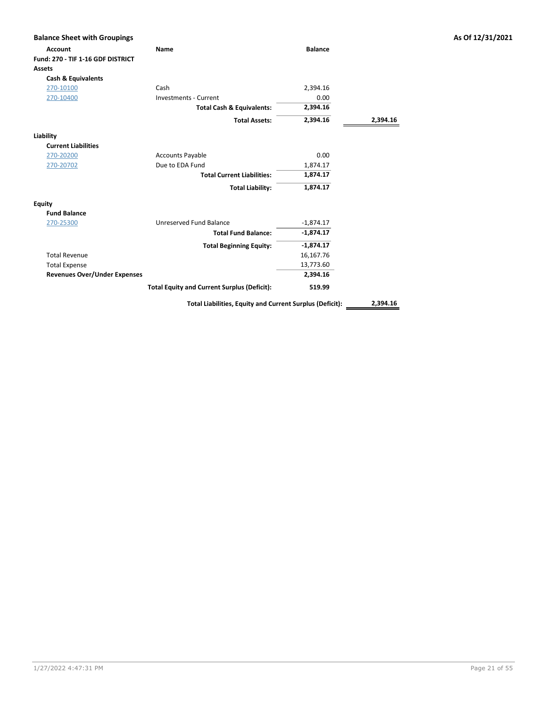| <b>Account</b>                      | <b>Name</b>                                              | <b>Balance</b> |          |
|-------------------------------------|----------------------------------------------------------|----------------|----------|
| Fund: 270 - TIF 1-16 GDF DISTRICT   |                                                          |                |          |
| <b>Assets</b>                       |                                                          |                |          |
| <b>Cash &amp; Equivalents</b>       |                                                          |                |          |
| 270-10100                           | Cash                                                     | 2,394.16       |          |
| 270-10400                           | <b>Investments - Current</b>                             | 0.00           |          |
|                                     | <b>Total Cash &amp; Equivalents:</b>                     | 2,394.16       |          |
|                                     | <b>Total Assets:</b>                                     | 2,394.16       | 2,394.16 |
| Liability                           |                                                          |                |          |
| <b>Current Liabilities</b>          |                                                          |                |          |
| 270-20200                           | <b>Accounts Payable</b>                                  | 0.00           |          |
| 270-20702                           | Due to EDA Fund                                          | 1,874.17       |          |
|                                     | <b>Total Current Liabilities:</b>                        | 1,874.17       |          |
|                                     | <b>Total Liability:</b>                                  | 1,874.17       |          |
| <b>Equity</b>                       |                                                          |                |          |
| <b>Fund Balance</b>                 |                                                          |                |          |
| 270-25300                           | Unreserved Fund Balance                                  | $-1,874.17$    |          |
|                                     | <b>Total Fund Balance:</b>                               | $-1,874.17$    |          |
|                                     | <b>Total Beginning Equity:</b>                           | $-1,874.17$    |          |
| <b>Total Revenue</b>                |                                                          | 16,167.76      |          |
| <b>Total Expense</b>                |                                                          | 13,773.60      |          |
| <b>Revenues Over/Under Expenses</b> |                                                          | 2,394.16       |          |
|                                     | <b>Total Equity and Current Surplus (Deficit):</b>       | 519.99         |          |
|                                     | Total Liabilities, Equity and Current Surplus (Deficit): |                | 2,394.16 |

As Of 12/31/2021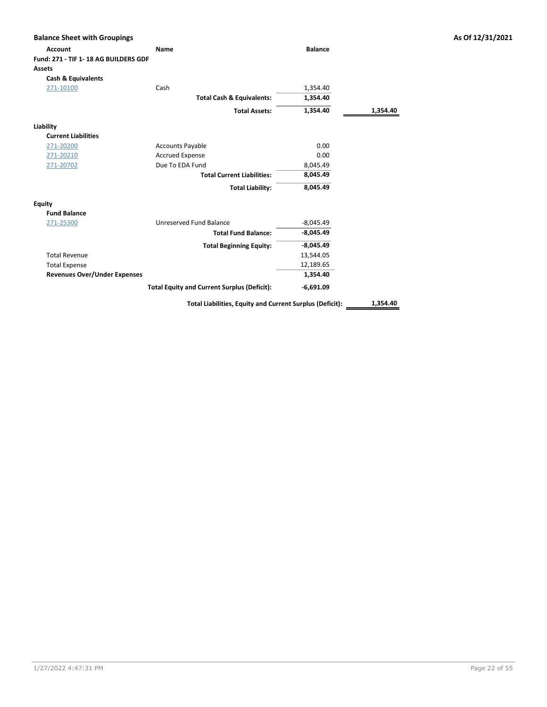| <b>Balance Sheet with Groupings</b>                     |                                                    |                |          |
|---------------------------------------------------------|----------------------------------------------------|----------------|----------|
| <b>Account</b>                                          | <b>Name</b>                                        | <b>Balance</b> |          |
| Fund: 271 - TIF 1 - 18 AG BUILDERS GDF<br><b>Assets</b> |                                                    |                |          |
|                                                         |                                                    |                |          |
| <b>Cash &amp; Equivalents</b>                           |                                                    |                |          |
| 271-10100                                               | Cash                                               | 1,354.40       |          |
|                                                         | <b>Total Cash &amp; Equivalents:</b>               | 1,354.40       |          |
|                                                         | <b>Total Assets:</b>                               | 1,354.40       | 1,354.40 |
| Liability                                               |                                                    |                |          |
| <b>Current Liabilities</b>                              |                                                    |                |          |
| 271-20200                                               | <b>Accounts Payable</b>                            | 0.00           |          |
| 271-20210                                               | <b>Accrued Expense</b>                             | 0.00           |          |
| 271-20702                                               | Due To EDA Fund                                    | 8,045.49       |          |
|                                                         | <b>Total Current Liabilities:</b>                  | 8,045.49       |          |
|                                                         | <b>Total Liability:</b>                            | 8,045.49       |          |
| <b>Equity</b>                                           |                                                    |                |          |
| <b>Fund Balance</b>                                     |                                                    |                |          |
| 271-25300                                               | Unreserved Fund Balance                            | $-8,045.49$    |          |
|                                                         | <b>Total Fund Balance:</b>                         | $-8,045.49$    |          |
|                                                         | <b>Total Beginning Equity:</b>                     | $-8,045.49$    |          |
| <b>Total Revenue</b>                                    |                                                    | 13,544.05      |          |
| <b>Total Expense</b>                                    |                                                    | 12,189.65      |          |
| <b>Revenues Over/Under Expenses</b>                     |                                                    | 1,354.40       |          |
|                                                         | <b>Total Equity and Current Surplus (Deficit):</b> | $-6,691.09$    |          |

Total Liabilities, Equity and Current Surplus (Deficit): 1,354.40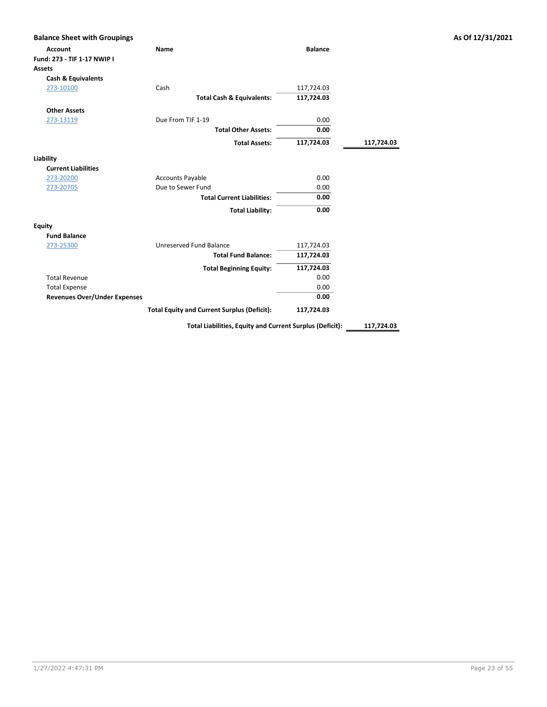| <b>Balance Sheet with Groupings</b> |                                                          |                |            |
|-------------------------------------|----------------------------------------------------------|----------------|------------|
| <b>Account</b>                      | Name                                                     | <b>Balance</b> |            |
| Fund: 273 - TIF 1-17 NWIP I         |                                                          |                |            |
| Assets                              |                                                          |                |            |
| <b>Cash &amp; Equivalents</b>       |                                                          |                |            |
| 273-10100                           | Cash                                                     | 117,724.03     |            |
|                                     | <b>Total Cash &amp; Equivalents:</b>                     | 117,724.03     |            |
| <b>Other Assets</b>                 |                                                          |                |            |
| 273-13119                           | Due From TIF 1-19                                        | 0.00           |            |
|                                     | <b>Total Other Assets:</b>                               | 0.00           |            |
|                                     | <b>Total Assets:</b>                                     | 117,724.03     | 117,724.03 |
| Liability                           |                                                          |                |            |
| <b>Current Liabilities</b>          |                                                          |                |            |
| 273-20200                           | <b>Accounts Payable</b>                                  | 0.00           |            |
| 273-20705                           | Due to Sewer Fund                                        | 0.00           |            |
|                                     | <b>Total Current Liabilities:</b>                        | 0.00           |            |
|                                     | <b>Total Liability:</b>                                  | 0.00           |            |
| <b>Equity</b>                       |                                                          |                |            |
| <b>Fund Balance</b>                 |                                                          |                |            |
| 273-25300                           | Unreserved Fund Balance                                  | 117,724.03     |            |
|                                     | <b>Total Fund Balance:</b>                               | 117,724.03     |            |
|                                     | <b>Total Beginning Equity:</b>                           | 117,724.03     |            |
| <b>Total Revenue</b>                |                                                          | 0.00           |            |
| <b>Total Expense</b>                |                                                          | 0.00           |            |
| <b>Revenues Over/Under Expenses</b> |                                                          | 0.00           |            |
|                                     | <b>Total Equity and Current Surplus (Deficit):</b>       | 117,724.03     |            |
|                                     | Total Liabilities, Equity and Current Surplus (Deficit): |                | 117,724.03 |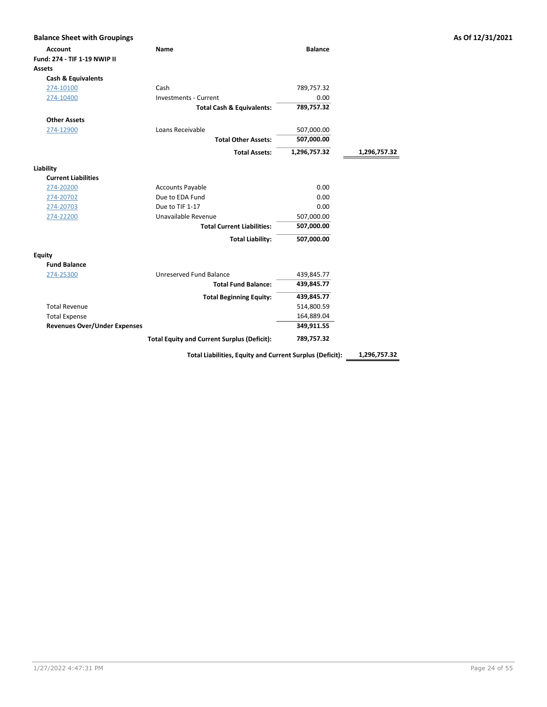| <b>Balance Sheet with Groupings</b> |                                                    |                |              | As Of 12/31/2021 |
|-------------------------------------|----------------------------------------------------|----------------|--------------|------------------|
| <b>Account</b>                      | Name                                               | <b>Balance</b> |              |                  |
| Fund: 274 - TIF 1-19 NWIP II        |                                                    |                |              |                  |
| <b>Assets</b>                       |                                                    |                |              |                  |
| <b>Cash &amp; Equivalents</b>       |                                                    |                |              |                  |
| 274-10100                           | Cash                                               | 789,757.32     |              |                  |
| 274-10400                           | <b>Investments - Current</b>                       | 0.00           |              |                  |
|                                     | <b>Total Cash &amp; Equivalents:</b>               | 789,757.32     |              |                  |
| <b>Other Assets</b>                 |                                                    |                |              |                  |
| 274-12900                           | Loans Receivable                                   | 507,000.00     |              |                  |
|                                     | <b>Total Other Assets:</b>                         | 507,000.00     |              |                  |
|                                     | <b>Total Assets:</b>                               | 1,296,757.32   | 1,296,757.32 |                  |
| Liability                           |                                                    |                |              |                  |
| <b>Current Liabilities</b>          |                                                    |                |              |                  |
| 274-20200                           | <b>Accounts Payable</b>                            | 0.00           |              |                  |
| 274-20702                           | Due to EDA Fund                                    | 0.00           |              |                  |
| 274-20703                           | Due to TIF 1-17                                    | 0.00           |              |                  |
| 274-22200                           | Unavailable Revenue                                | 507,000.00     |              |                  |
|                                     | <b>Total Current Liabilities:</b>                  | 507,000.00     |              |                  |
|                                     | <b>Total Liability:</b>                            | 507,000.00     |              |                  |
| <b>Equity</b>                       |                                                    |                |              |                  |
| <b>Fund Balance</b>                 |                                                    |                |              |                  |
| 274-25300                           | Unreserved Fund Balance                            | 439,845.77     |              |                  |
|                                     | <b>Total Fund Balance:</b>                         | 439,845.77     |              |                  |
|                                     | <b>Total Beginning Equity:</b>                     | 439,845.77     |              |                  |
| <b>Total Revenue</b>                |                                                    | 514,800.59     |              |                  |
| <b>Total Expense</b>                |                                                    | 164,889.04     |              |                  |
| <b>Revenues Over/Under Expenses</b> |                                                    | 349,911.55     |              |                  |
|                                     | <b>Total Equity and Current Surplus (Deficit):</b> | 789,757.32     |              |                  |

Total Liabilities, Equity and Current Surplus (Deficit): 1,296,757.32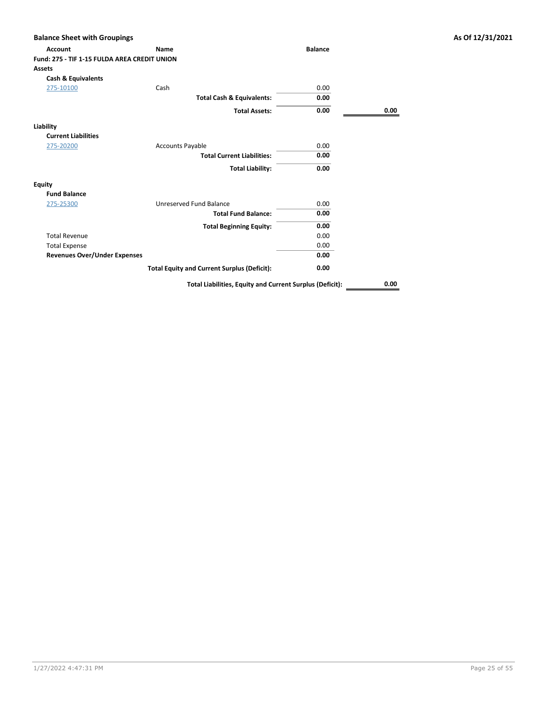| <b>Balance Sheet with Groupings</b>          |                                                          |                |      | As Of 12/31/2021 |
|----------------------------------------------|----------------------------------------------------------|----------------|------|------------------|
| <b>Account</b>                               | Name                                                     | <b>Balance</b> |      |                  |
| Fund: 275 - TIF 1-15 FULDA AREA CREDIT UNION |                                                          |                |      |                  |
| Assets                                       |                                                          |                |      |                  |
| <b>Cash &amp; Equivalents</b>                |                                                          |                |      |                  |
| 275-10100                                    | Cash                                                     | 0.00           |      |                  |
|                                              | <b>Total Cash &amp; Equivalents:</b>                     | 0.00           |      |                  |
|                                              | <b>Total Assets:</b>                                     | 0.00           | 0.00 |                  |
| Liability                                    |                                                          |                |      |                  |
| <b>Current Liabilities</b>                   |                                                          |                |      |                  |
| 275-20200                                    | <b>Accounts Payable</b>                                  | 0.00           |      |                  |
|                                              | <b>Total Current Liabilities:</b>                        | 0.00           |      |                  |
|                                              | <b>Total Liability:</b>                                  | 0.00           |      |                  |
| <b>Equity</b>                                |                                                          |                |      |                  |
| <b>Fund Balance</b>                          |                                                          |                |      |                  |
| 275-25300                                    | Unreserved Fund Balance                                  | 0.00           |      |                  |
|                                              | <b>Total Fund Balance:</b>                               | 0.00           |      |                  |
|                                              | <b>Total Beginning Equity:</b>                           | 0.00           |      |                  |
| <b>Total Revenue</b>                         |                                                          | 0.00           |      |                  |
| <b>Total Expense</b>                         |                                                          | 0.00           |      |                  |
| <b>Revenues Over/Under Expenses</b>          |                                                          | 0.00           |      |                  |
|                                              | <b>Total Equity and Current Surplus (Deficit):</b>       | 0.00           |      |                  |
|                                              | Total Liabilities, Equity and Current Surplus (Deficit): |                | 0.00 |                  |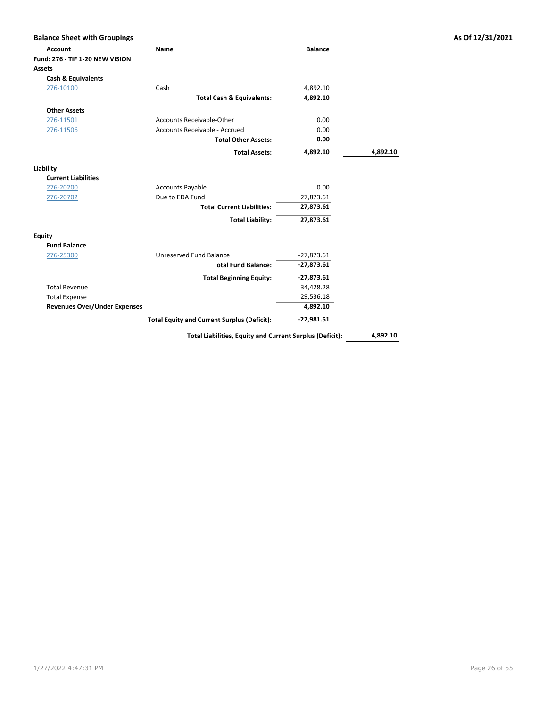| <b>Balance Sheet with Groupings</b> |                                                          |                |          | As Of 12/31/2021 |
|-------------------------------------|----------------------------------------------------------|----------------|----------|------------------|
| <b>Account</b>                      | Name                                                     | <b>Balance</b> |          |                  |
| Fund: 276 - TIF 1-20 NEW VISION     |                                                          |                |          |                  |
| <b>Assets</b>                       |                                                          |                |          |                  |
| <b>Cash &amp; Equivalents</b>       |                                                          |                |          |                  |
| 276-10100                           | Cash                                                     | 4,892.10       |          |                  |
|                                     | <b>Total Cash &amp; Equivalents:</b>                     | 4,892.10       |          |                  |
| <b>Other Assets</b>                 |                                                          |                |          |                  |
| 276-11501                           | <b>Accounts Receivable-Other</b>                         | 0.00           |          |                  |
| 276-11506                           | Accounts Receivable - Accrued                            | 0.00           |          |                  |
|                                     | <b>Total Other Assets:</b>                               | 0.00           |          |                  |
|                                     | <b>Total Assets:</b>                                     | 4,892.10       | 4,892.10 |                  |
| Liability                           |                                                          |                |          |                  |
| <b>Current Liabilities</b>          |                                                          |                |          |                  |
| 276-20200                           | <b>Accounts Payable</b>                                  | 0.00           |          |                  |
| 276-20702                           | Due to EDA Fund                                          | 27,873.61      |          |                  |
|                                     | <b>Total Current Liabilities:</b>                        | 27,873.61      |          |                  |
|                                     | <b>Total Liability:</b>                                  | 27,873.61      |          |                  |
| <b>Equity</b>                       |                                                          |                |          |                  |
| <b>Fund Balance</b>                 |                                                          |                |          |                  |
| 276-25300                           | Unreserved Fund Balance                                  | $-27,873.61$   |          |                  |
|                                     | <b>Total Fund Balance:</b>                               | $-27,873.61$   |          |                  |
|                                     | <b>Total Beginning Equity:</b>                           | $-27,873.61$   |          |                  |
| <b>Total Revenue</b>                |                                                          | 34,428.28      |          |                  |
| <b>Total Expense</b>                |                                                          | 29,536.18      |          |                  |
| <b>Revenues Over/Under Expenses</b> |                                                          | 4,892.10       |          |                  |
|                                     | <b>Total Equity and Current Surplus (Deficit):</b>       | $-22,981.51$   |          |                  |
|                                     | Total Liabilities, Equity and Current Surplus (Deficit): |                | 4,892.10 |                  |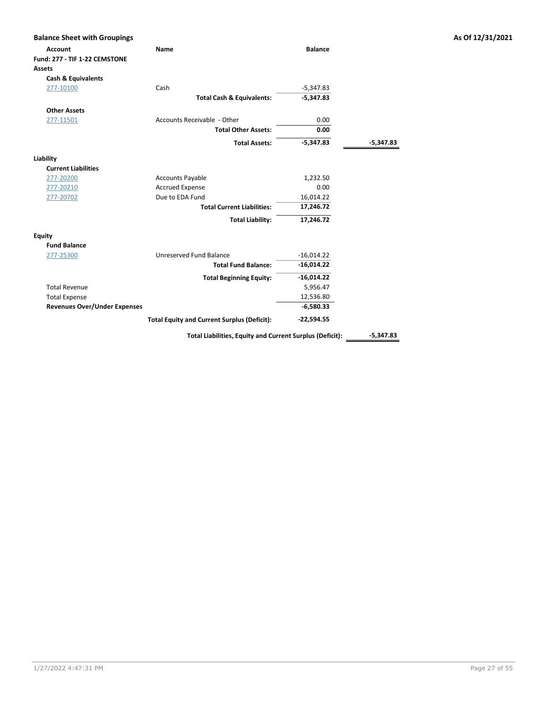| <b>Balance Sheet with Groupings</b> |                                                          |                |             | As Of 12/31/2021 |
|-------------------------------------|----------------------------------------------------------|----------------|-------------|------------------|
| <b>Account</b>                      | <b>Name</b>                                              | <b>Balance</b> |             |                  |
| Fund: 277 - TIF 1-22 CEMSTONE       |                                                          |                |             |                  |
| <b>Assets</b>                       |                                                          |                |             |                  |
| <b>Cash &amp; Equivalents</b>       |                                                          |                |             |                  |
| 277-10100                           | Cash                                                     | $-5,347.83$    |             |                  |
|                                     | <b>Total Cash &amp; Equivalents:</b>                     | $-5,347.83$    |             |                  |
| <b>Other Assets</b>                 |                                                          |                |             |                  |
| 277-11501                           | Accounts Receivable - Other                              | 0.00           |             |                  |
|                                     | <b>Total Other Assets:</b>                               | 0.00           |             |                  |
|                                     | <b>Total Assets:</b>                                     | $-5,347.83$    | -5,347.83   |                  |
| Liability                           |                                                          |                |             |                  |
| <b>Current Liabilities</b>          |                                                          |                |             |                  |
| 277-20200                           | <b>Accounts Payable</b>                                  | 1,232.50       |             |                  |
| 277-20210                           | <b>Accrued Expense</b>                                   | 0.00           |             |                  |
| 277-20702                           | Due to EDA Fund                                          | 16,014.22      |             |                  |
|                                     | <b>Total Current Liabilities:</b>                        | 17,246.72      |             |                  |
|                                     | <b>Total Liability:</b>                                  | 17,246.72      |             |                  |
| <b>Equity</b>                       |                                                          |                |             |                  |
| <b>Fund Balance</b>                 |                                                          |                |             |                  |
| 277-25300                           | <b>Unreserved Fund Balance</b>                           | $-16,014.22$   |             |                  |
|                                     | <b>Total Fund Balance:</b>                               | $-16,014.22$   |             |                  |
|                                     | <b>Total Beginning Equity:</b>                           | $-16,014.22$   |             |                  |
| <b>Total Revenue</b>                |                                                          | 5,956.47       |             |                  |
| <b>Total Expense</b>                |                                                          | 12,536.80      |             |                  |
| <b>Revenues Over/Under Expenses</b> |                                                          | $-6,580.33$    |             |                  |
|                                     | <b>Total Equity and Current Surplus (Deficit):</b>       | $-22,594.55$   |             |                  |
|                                     | Total Liabilities, Equity and Current Surplus (Deficit): |                | $-5,347.83$ |                  |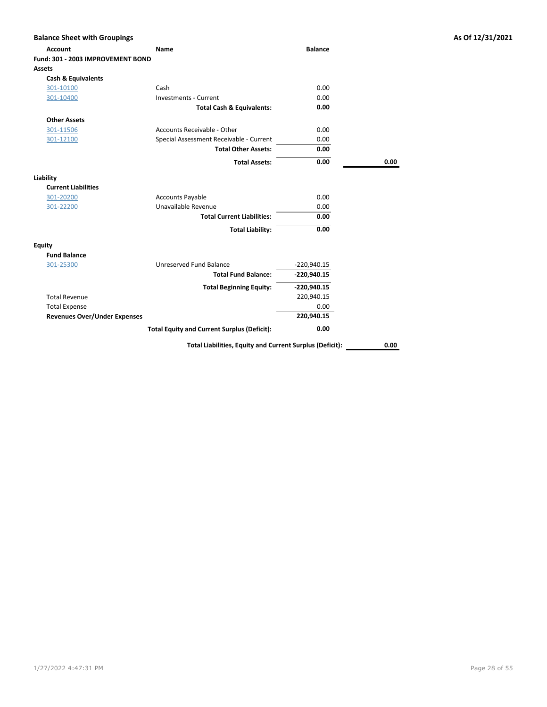| <b>Balance Sheet with Groupings</b> |                                                          |                |      | As Of 12/31/2021 |
|-------------------------------------|----------------------------------------------------------|----------------|------|------------------|
| <b>Account</b>                      | Name                                                     | <b>Balance</b> |      |                  |
| Fund: 301 - 2003 IMPROVEMENT BOND   |                                                          |                |      |                  |
| <b>Assets</b>                       |                                                          |                |      |                  |
| <b>Cash &amp; Equivalents</b>       |                                                          |                |      |                  |
| 301-10100                           | Cash                                                     | 0.00           |      |                  |
| 301-10400                           | <b>Investments - Current</b>                             | 0.00           |      |                  |
|                                     | <b>Total Cash &amp; Equivalents:</b>                     | 0.00           |      |                  |
| <b>Other Assets</b>                 |                                                          |                |      |                  |
| 301-11506                           | Accounts Receivable - Other                              | 0.00           |      |                  |
| 301-12100                           | Special Assessment Receivable - Current                  | 0.00           |      |                  |
|                                     | <b>Total Other Assets:</b>                               | 0.00           |      |                  |
|                                     | <b>Total Assets:</b>                                     | 0.00           | 0.00 |                  |
| Liability                           |                                                          |                |      |                  |
| <b>Current Liabilities</b>          |                                                          |                |      |                  |
| 301-20200                           | <b>Accounts Payable</b>                                  | 0.00           |      |                  |
| 301-22200                           | Unavailable Revenue                                      | 0.00           |      |                  |
|                                     | <b>Total Current Liabilities:</b>                        | 0.00           |      |                  |
|                                     | <b>Total Liability:</b>                                  | 0.00           |      |                  |
| <b>Equity</b>                       |                                                          |                |      |                  |
| <b>Fund Balance</b>                 |                                                          |                |      |                  |
| 301-25300                           | Unreserved Fund Balance                                  | $-220,940.15$  |      |                  |
|                                     | <b>Total Fund Balance:</b>                               | $-220,940.15$  |      |                  |
|                                     | <b>Total Beginning Equity:</b>                           | $-220,940.15$  |      |                  |
| <b>Total Revenue</b>                |                                                          | 220,940.15     |      |                  |
| <b>Total Expense</b>                |                                                          | 0.00           |      |                  |
| <b>Revenues Over/Under Expenses</b> |                                                          | 220,940.15     |      |                  |
|                                     | <b>Total Equity and Current Surplus (Deficit):</b>       | 0.00           |      |                  |
|                                     | Total Liabilities, Equity and Current Surplus (Deficit): |                | 0.00 |                  |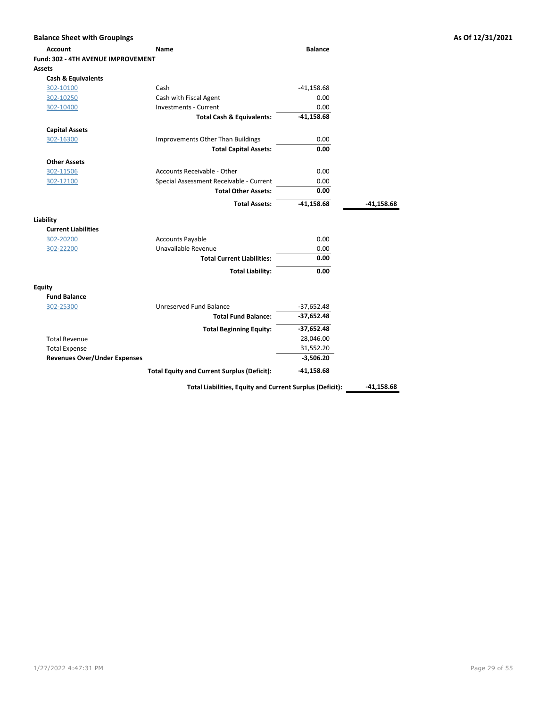| <b>Balance Sheet with Groupings</b> |                                                          |                |              | As Of 12/31/2021 |
|-------------------------------------|----------------------------------------------------------|----------------|--------------|------------------|
| <b>Account</b>                      | Name                                                     | <b>Balance</b> |              |                  |
| Fund: 302 - 4TH AVENUE IMPROVEMENT  |                                                          |                |              |                  |
| Assets                              |                                                          |                |              |                  |
| Cash & Equivalents                  |                                                          |                |              |                  |
| 302-10100                           | Cash                                                     | $-41,158.68$   |              |                  |
| 302-10250                           | Cash with Fiscal Agent                                   | 0.00           |              |                  |
| 302-10400                           | <b>Investments - Current</b>                             | 0.00           |              |                  |
|                                     | <b>Total Cash &amp; Equivalents:</b>                     | $-41,158.68$   |              |                  |
| <b>Capital Assets</b>               |                                                          |                |              |                  |
| 302-16300                           | Improvements Other Than Buildings                        | 0.00           |              |                  |
|                                     | <b>Total Capital Assets:</b>                             | 0.00           |              |                  |
| <b>Other Assets</b>                 |                                                          |                |              |                  |
| 302-11506                           | <b>Accounts Receivable - Other</b>                       | 0.00           |              |                  |
| 302-12100                           | Special Assessment Receivable - Current                  | 0.00           |              |                  |
|                                     | <b>Total Other Assets:</b>                               | 0.00           |              |                  |
|                                     | <b>Total Assets:</b>                                     | $-41,158.68$   | $-41,158.68$ |                  |
| Liability                           |                                                          |                |              |                  |
| <b>Current Liabilities</b>          |                                                          |                |              |                  |
| 302-20200                           | <b>Accounts Payable</b>                                  | 0.00           |              |                  |
| 302-22200                           | Unavailable Revenue                                      | 0.00           |              |                  |
|                                     | <b>Total Current Liabilities:</b>                        | 0.00           |              |                  |
|                                     | <b>Total Liability:</b>                                  | 0.00           |              |                  |
| <b>Equity</b>                       |                                                          |                |              |                  |
| <b>Fund Balance</b>                 |                                                          |                |              |                  |
| 302-25300                           | Unreserved Fund Balance                                  | $-37,652.48$   |              |                  |
|                                     | <b>Total Fund Balance:</b>                               | $-37,652.48$   |              |                  |
|                                     | <b>Total Beginning Equity:</b>                           | $-37,652.48$   |              |                  |
| <b>Total Revenue</b>                |                                                          | 28,046.00      |              |                  |
| <b>Total Expense</b>                |                                                          | 31,552.20      |              |                  |
| <b>Revenues Over/Under Expenses</b> |                                                          | $-3,506.20$    |              |                  |
|                                     | <b>Total Equity and Current Surplus (Deficit):</b>       | $-41,158.68$   |              |                  |
|                                     | Total Liabilities, Equity and Current Surplus (Deficit): |                | $-41,158.68$ |                  |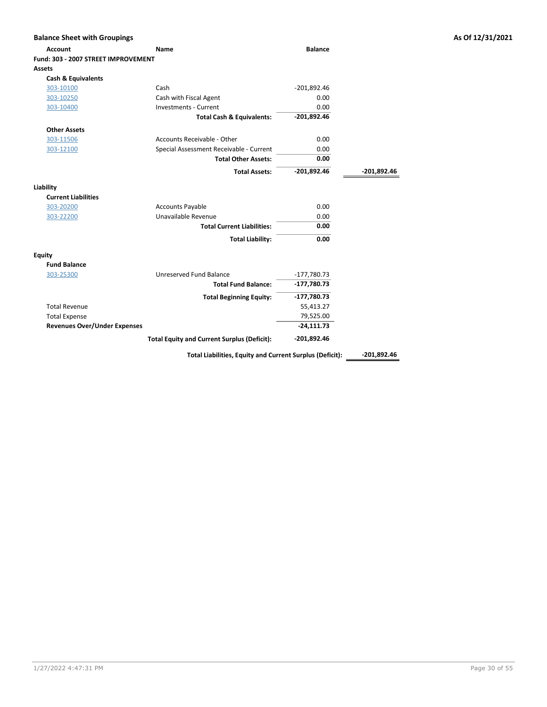| <b>Balance Sheet with Groupings</b> |                                                    |                |               | As Of 12/31/2021 |
|-------------------------------------|----------------------------------------------------|----------------|---------------|------------------|
| <b>Account</b>                      | <b>Name</b>                                        | <b>Balance</b> |               |                  |
| Fund: 303 - 2007 STREET IMPROVEMENT |                                                    |                |               |                  |
| <b>Assets</b>                       |                                                    |                |               |                  |
| <b>Cash &amp; Equivalents</b>       |                                                    |                |               |                  |
| 303-10100                           | Cash                                               | $-201,892.46$  |               |                  |
| 303-10250                           | Cash with Fiscal Agent                             | 0.00           |               |                  |
| 303-10400                           | <b>Investments - Current</b>                       | 0.00           |               |                  |
|                                     | <b>Total Cash &amp; Equivalents:</b>               | $-201,892.46$  |               |                  |
| <b>Other Assets</b>                 |                                                    |                |               |                  |
| 303-11506                           | Accounts Receivable - Other                        | 0.00           |               |                  |
| 303-12100                           | Special Assessment Receivable - Current            | 0.00           |               |                  |
|                                     | <b>Total Other Assets:</b>                         | 0.00           |               |                  |
|                                     | <b>Total Assets:</b>                               | $-201,892.46$  | $-201,892.46$ |                  |
| Liability                           |                                                    |                |               |                  |
| <b>Current Liabilities</b>          |                                                    |                |               |                  |
| 303-20200                           | <b>Accounts Payable</b>                            | 0.00           |               |                  |
| 303-22200                           | Unavailable Revenue                                | 0.00           |               |                  |
|                                     | <b>Total Current Liabilities:</b>                  | 0.00           |               |                  |
|                                     | <b>Total Liability:</b>                            | 0.00           |               |                  |
| <b>Equity</b>                       |                                                    |                |               |                  |
| <b>Fund Balance</b>                 |                                                    |                |               |                  |
| 303-25300                           | Unreserved Fund Balance                            | $-177,780.73$  |               |                  |
|                                     | <b>Total Fund Balance:</b>                         | $-177,780.73$  |               |                  |
|                                     | <b>Total Beginning Equity:</b>                     | $-177,780.73$  |               |                  |
| <b>Total Revenue</b>                |                                                    | 55,413.27      |               |                  |
| <b>Total Expense</b>                |                                                    | 79,525.00      |               |                  |
| <b>Revenues Over/Under Expenses</b> |                                                    | $-24,111.73$   |               |                  |
|                                     | <b>Total Equity and Current Surplus (Deficit):</b> | $-201,892.46$  |               |                  |

Total Liabilities, Equity and Current Surplus (Deficit): \_\_\_\_\_\_\_\_\_\_\_\_\_\_\_\_\_\_\_\_\_\_\_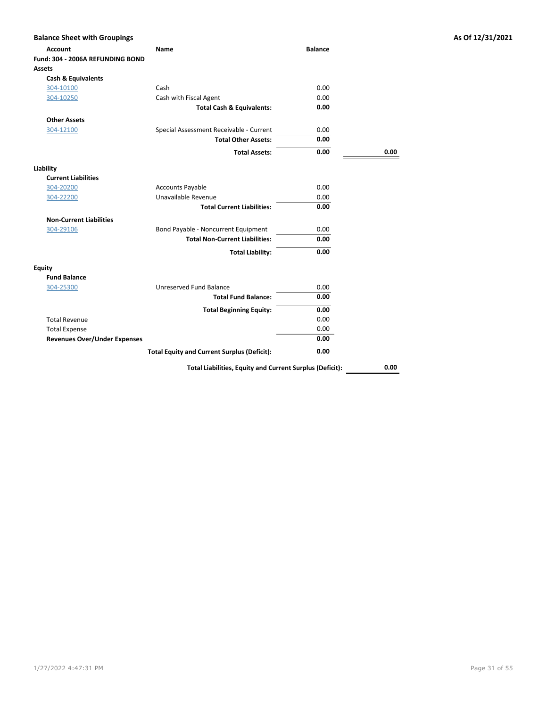| <b>Balance Sheet with Groupings</b> |                                                          |                |      | As Of 12/31/2021 |
|-------------------------------------|----------------------------------------------------------|----------------|------|------------------|
| <b>Account</b>                      | Name                                                     | <b>Balance</b> |      |                  |
| Fund: 304 - 2006A REFUNDING BOND    |                                                          |                |      |                  |
| Assets                              |                                                          |                |      |                  |
| <b>Cash &amp; Equivalents</b>       |                                                          |                |      |                  |
| 304-10100                           | Cash                                                     | 0.00           |      |                  |
| 304-10250                           | Cash with Fiscal Agent                                   | 0.00           |      |                  |
|                                     | <b>Total Cash &amp; Equivalents:</b>                     | 0.00           |      |                  |
| <b>Other Assets</b>                 |                                                          |                |      |                  |
| 304-12100                           | Special Assessment Receivable - Current                  | 0.00           |      |                  |
|                                     | <b>Total Other Assets:</b>                               | 0.00           |      |                  |
|                                     | <b>Total Assets:</b>                                     | 0.00           | 0.00 |                  |
| Liability                           |                                                          |                |      |                  |
| <b>Current Liabilities</b>          |                                                          |                |      |                  |
| 304-20200                           | <b>Accounts Payable</b>                                  | 0.00           |      |                  |
| 304-22200                           | Unavailable Revenue                                      | 0.00           |      |                  |
|                                     | <b>Total Current Liabilities:</b>                        | 0.00           |      |                  |
| <b>Non-Current Liabilities</b>      |                                                          |                |      |                  |
| 304-29106                           | Bond Payable - Noncurrent Equipment                      | 0.00           |      |                  |
|                                     | <b>Total Non-Current Liabilities:</b>                    | 0.00           |      |                  |
|                                     | <b>Total Liability:</b>                                  | 0.00           |      |                  |
| <b>Equity</b>                       |                                                          |                |      |                  |
| <b>Fund Balance</b>                 |                                                          |                |      |                  |
| 304-25300                           | Unreserved Fund Balance                                  | 0.00           |      |                  |
|                                     | <b>Total Fund Balance:</b>                               | 0.00           |      |                  |
|                                     | <b>Total Beginning Equity:</b>                           | 0.00           |      |                  |
| <b>Total Revenue</b>                |                                                          | 0.00           |      |                  |
| <b>Total Expense</b>                |                                                          | 0.00           |      |                  |
| <b>Revenues Over/Under Expenses</b> |                                                          | 0.00           |      |                  |
|                                     | <b>Total Equity and Current Surplus (Deficit):</b>       | 0.00           |      |                  |
|                                     | Total Liabilities, Equity and Current Surplus (Deficit): |                | 0.00 |                  |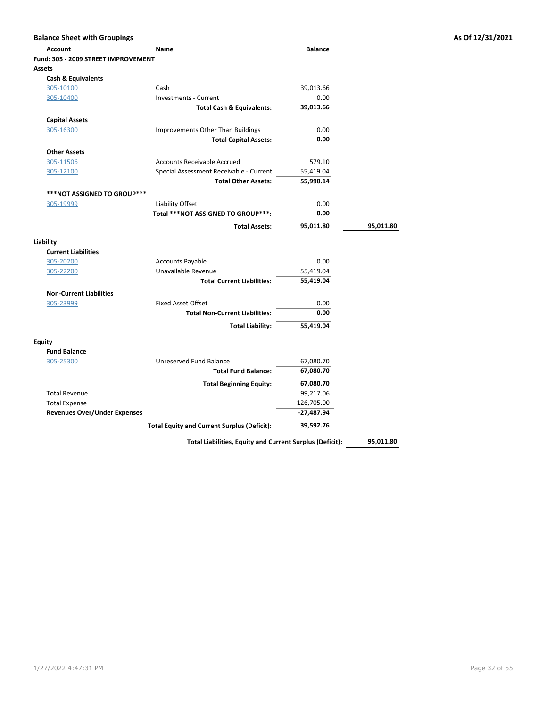| <b>Balance Sheet with Groupings</b> |                                                    |                |           | As Of 12/31/2021 |
|-------------------------------------|----------------------------------------------------|----------------|-----------|------------------|
| <b>Account</b>                      | Name                                               | <b>Balance</b> |           |                  |
| Fund: 305 - 2009 STREET IMPROVEMENT |                                                    |                |           |                  |
| <b>Assets</b>                       |                                                    |                |           |                  |
| <b>Cash &amp; Equivalents</b>       |                                                    |                |           |                  |
| 305-10100                           | Cash                                               | 39,013.66      |           |                  |
| 305-10400                           | <b>Investments - Current</b>                       | 0.00           |           |                  |
|                                     | <b>Total Cash &amp; Equivalents:</b>               | 39,013.66      |           |                  |
| <b>Capital Assets</b>               |                                                    |                |           |                  |
| 305-16300                           | Improvements Other Than Buildings                  | 0.00           |           |                  |
|                                     | <b>Total Capital Assets:</b>                       | 0.00           |           |                  |
| <b>Other Assets</b>                 |                                                    |                |           |                  |
| 305-11506                           | <b>Accounts Receivable Accrued</b>                 | 579.10         |           |                  |
| 305-12100                           | Special Assessment Receivable - Current            | 55,419.04      |           |                  |
|                                     | <b>Total Other Assets:</b>                         | 55,998.14      |           |                  |
| <b>***NOT ASSIGNED TO GROUP***</b>  |                                                    |                |           |                  |
| 305-19999                           | Liability Offset                                   | 0.00           |           |                  |
|                                     | Total ***NOT ASSIGNED TO GROUP***:                 | 0.00           |           |                  |
|                                     |                                                    |                |           |                  |
|                                     | <b>Total Assets:</b>                               | 95,011.80      | 95,011.80 |                  |
| Liability                           |                                                    |                |           |                  |
| <b>Current Liabilities</b>          |                                                    |                |           |                  |
| 305-20200                           | <b>Accounts Payable</b>                            | 0.00           |           |                  |
| 305-22200                           | Unavailable Revenue                                | 55,419.04      |           |                  |
|                                     | <b>Total Current Liabilities:</b>                  | 55,419.04      |           |                  |
| <b>Non-Current Liabilities</b>      |                                                    |                |           |                  |
| 305-23999                           | <b>Fixed Asset Offset</b>                          | 0.00           |           |                  |
|                                     | <b>Total Non-Current Liabilities:</b>              | 0.00           |           |                  |
|                                     | <b>Total Liability:</b>                            | 55,419.04      |           |                  |
|                                     |                                                    |                |           |                  |
| <b>Equity</b>                       |                                                    |                |           |                  |
| <b>Fund Balance</b>                 |                                                    |                |           |                  |
| 305-25300                           | Unreserved Fund Balance                            | 67,080.70      |           |                  |
|                                     | <b>Total Fund Balance:</b>                         | 67,080.70      |           |                  |
|                                     | <b>Total Beginning Equity:</b>                     | 67,080.70      |           |                  |
| <b>Total Revenue</b>                |                                                    | 99,217.06      |           |                  |
| <b>Total Expense</b>                |                                                    | 126,705.00     |           |                  |
| <b>Revenues Over/Under Expenses</b> |                                                    | $-27,487.94$   |           |                  |
|                                     | <b>Total Equity and Current Surplus (Deficit):</b> | 39,592.76      |           |                  |

Total Liabilities, Equity and Current Surplus (Deficit): \_\_\_\_\_\_95,011.80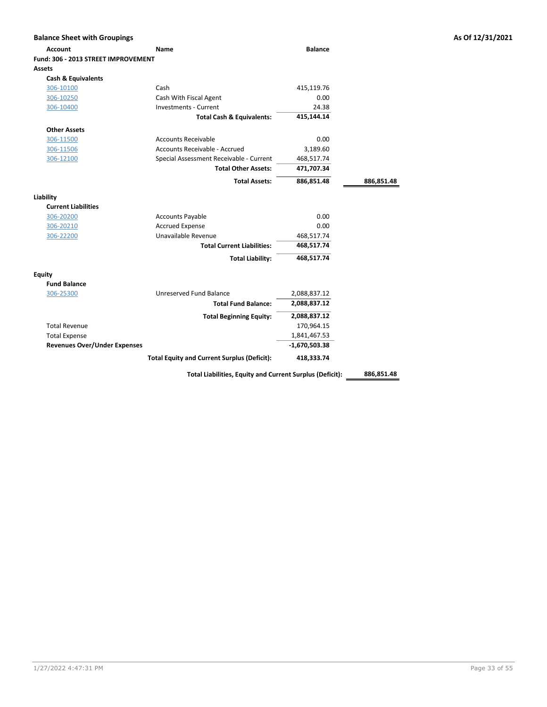| <b>Balance Sheet with Groupings</b> |                                                          |                 |            | As Of 12/31/2021 |
|-------------------------------------|----------------------------------------------------------|-----------------|------------|------------------|
| <b>Account</b>                      | Name                                                     | <b>Balance</b>  |            |                  |
| Fund: 306 - 2013 STREET IMPROVEMENT |                                                          |                 |            |                  |
| Assets                              |                                                          |                 |            |                  |
| <b>Cash &amp; Equivalents</b>       |                                                          |                 |            |                  |
| 306-10100                           | Cash                                                     | 415,119.76      |            |                  |
| 306-10250                           | Cash With Fiscal Agent                                   | 0.00            |            |                  |
| 306-10400                           | Investments - Current                                    | 24.38           |            |                  |
|                                     | <b>Total Cash &amp; Equivalents:</b>                     | 415,144.14      |            |                  |
| <b>Other Assets</b>                 |                                                          |                 |            |                  |
| 306-11500                           | <b>Accounts Receivable</b>                               | 0.00            |            |                  |
| 306-11506                           | Accounts Receivable - Accrued                            | 3,189.60        |            |                  |
| 306-12100                           | Special Assessment Receivable - Current                  | 468,517.74      |            |                  |
|                                     | <b>Total Other Assets:</b>                               | 471,707.34      |            |                  |
|                                     | <b>Total Assets:</b>                                     | 886,851.48      | 886,851.48 |                  |
| Liability                           |                                                          |                 |            |                  |
| <b>Current Liabilities</b>          |                                                          |                 |            |                  |
| 306-20200                           | <b>Accounts Payable</b>                                  | 0.00            |            |                  |
| 306-20210                           | <b>Accrued Expense</b>                                   | 0.00            |            |                  |
| 306-22200                           | Unavailable Revenue                                      | 468,517.74      |            |                  |
|                                     | <b>Total Current Liabilities:</b>                        | 468,517.74      |            |                  |
|                                     | <b>Total Liability:</b>                                  | 468,517.74      |            |                  |
| <b>Equity</b>                       |                                                          |                 |            |                  |
| <b>Fund Balance</b>                 |                                                          |                 |            |                  |
| 306-25300                           | Unreserved Fund Balance                                  | 2,088,837.12    |            |                  |
|                                     | <b>Total Fund Balance:</b>                               | 2,088,837.12    |            |                  |
|                                     | <b>Total Beginning Equity:</b>                           | 2,088,837.12    |            |                  |
| <b>Total Revenue</b>                |                                                          | 170,964.15      |            |                  |
| <b>Total Expense</b>                |                                                          | 1,841,467.53    |            |                  |
| <b>Revenues Over/Under Expenses</b> |                                                          | $-1,670,503.38$ |            |                  |
|                                     | <b>Total Equity and Current Surplus (Deficit):</b>       | 418,333.74      |            |                  |
|                                     | Total Liabilities, Equity and Current Surplus (Deficit): |                 | 886,851.48 |                  |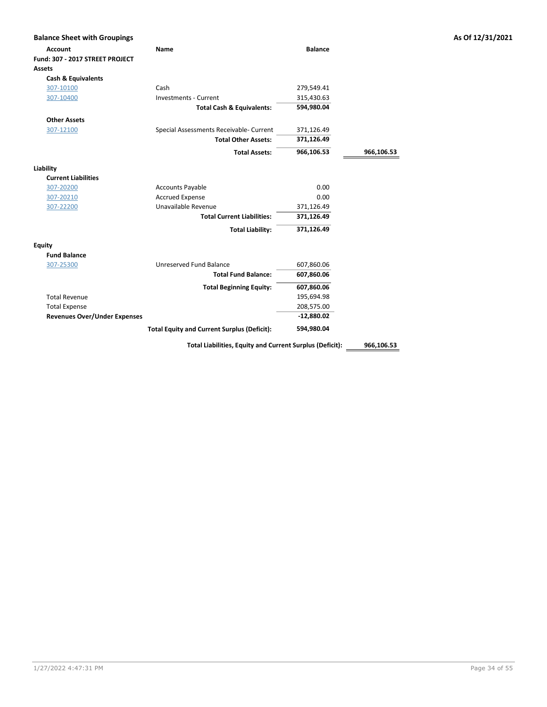| <b>Balance Sheet with Groupings</b> |                                                          |                |            | As Of 12/31/2021 |
|-------------------------------------|----------------------------------------------------------|----------------|------------|------------------|
| <b>Account</b>                      | Name                                                     | <b>Balance</b> |            |                  |
| Fund: 307 - 2017 STREET PROJECT     |                                                          |                |            |                  |
| Assets                              |                                                          |                |            |                  |
| <b>Cash &amp; Equivalents</b>       |                                                          |                |            |                  |
| 307-10100                           | Cash                                                     | 279,549.41     |            |                  |
| 307-10400                           | <b>Investments - Current</b>                             | 315,430.63     |            |                  |
|                                     | <b>Total Cash &amp; Equivalents:</b>                     | 594,980.04     |            |                  |
| <b>Other Assets</b>                 |                                                          |                |            |                  |
| 307-12100                           | Special Assessments Receivable- Current                  | 371,126.49     |            |                  |
|                                     | <b>Total Other Assets:</b>                               | 371,126.49     |            |                  |
|                                     | <b>Total Assets:</b>                                     | 966,106.53     | 966,106.53 |                  |
| Liability                           |                                                          |                |            |                  |
| <b>Current Liabilities</b>          |                                                          |                |            |                  |
| 307-20200                           | <b>Accounts Payable</b>                                  | 0.00           |            |                  |
| 307-20210                           | <b>Accrued Expense</b>                                   | 0.00           |            |                  |
| 307-22200                           | Unavailable Revenue                                      | 371,126.49     |            |                  |
|                                     | <b>Total Current Liabilities:</b>                        | 371,126.49     |            |                  |
|                                     | <b>Total Liability:</b>                                  | 371,126.49     |            |                  |
| <b>Equity</b>                       |                                                          |                |            |                  |
| <b>Fund Balance</b>                 |                                                          |                |            |                  |
| 307-25300                           | Unreserved Fund Balance                                  | 607,860.06     |            |                  |
|                                     | <b>Total Fund Balance:</b>                               | 607,860.06     |            |                  |
|                                     | <b>Total Beginning Equity:</b>                           | 607,860.06     |            |                  |
| <b>Total Revenue</b>                |                                                          | 195,694.98     |            |                  |
| <b>Total Expense</b>                |                                                          | 208,575.00     |            |                  |
| <b>Revenues Over/Under Expenses</b> |                                                          | $-12,880.02$   |            |                  |
|                                     | <b>Total Equity and Current Surplus (Deficit):</b>       | 594,980.04     |            |                  |
|                                     | Total Liabilities, Equity and Current Surplus (Deficit): |                | 966,106.53 |                  |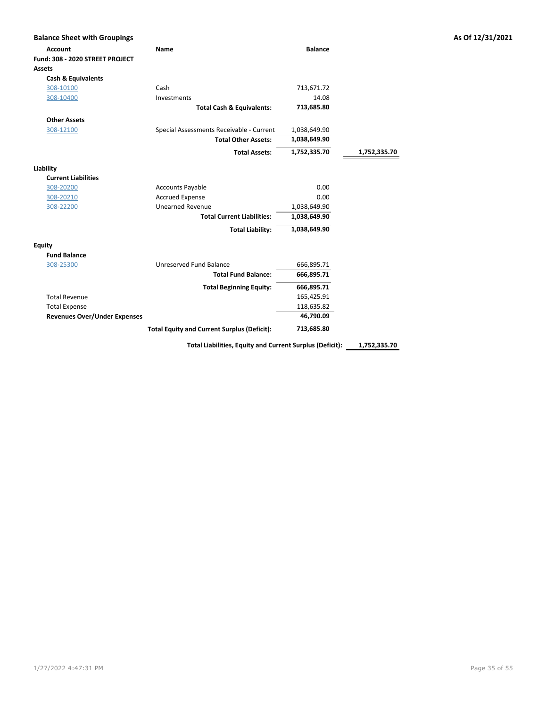| <b>Balance Sheet with Groupings</b> |                                                          |                |              | As Of 12/31/2021 |
|-------------------------------------|----------------------------------------------------------|----------------|--------------|------------------|
| <b>Account</b>                      | Name                                                     | <b>Balance</b> |              |                  |
| Fund: 308 - 2020 STREET PROJECT     |                                                          |                |              |                  |
| <b>Assets</b>                       |                                                          |                |              |                  |
| <b>Cash &amp; Equivalents</b>       |                                                          |                |              |                  |
| 308-10100                           | Cash                                                     | 713,671.72     |              |                  |
| 308-10400                           | Investments                                              | 14.08          |              |                  |
|                                     | <b>Total Cash &amp; Equivalents:</b>                     | 713,685.80     |              |                  |
| <b>Other Assets</b>                 |                                                          |                |              |                  |
| 308-12100                           | Special Assessments Receivable - Current                 | 1,038,649.90   |              |                  |
|                                     | <b>Total Other Assets:</b>                               | 1,038,649.90   |              |                  |
|                                     | <b>Total Assets:</b>                                     | 1,752,335.70   | 1,752,335.70 |                  |
| Liability                           |                                                          |                |              |                  |
| <b>Current Liabilities</b>          |                                                          |                |              |                  |
| 308-20200                           | <b>Accounts Payable</b>                                  | 0.00           |              |                  |
| 308-20210                           | <b>Accrued Expense</b>                                   | 0.00           |              |                  |
| 308-22200                           | <b>Unearned Revenue</b>                                  | 1,038,649.90   |              |                  |
|                                     | <b>Total Current Liabilities:</b>                        | 1,038,649.90   |              |                  |
|                                     | <b>Total Liability:</b>                                  | 1,038,649.90   |              |                  |
| <b>Equity</b>                       |                                                          |                |              |                  |
| <b>Fund Balance</b>                 |                                                          |                |              |                  |
| 308-25300                           | Unreserved Fund Balance                                  | 666,895.71     |              |                  |
|                                     | <b>Total Fund Balance:</b>                               | 666,895.71     |              |                  |
|                                     | <b>Total Beginning Equity:</b>                           | 666,895.71     |              |                  |
| <b>Total Revenue</b>                |                                                          | 165,425.91     |              |                  |
| <b>Total Expense</b>                |                                                          | 118,635.82     |              |                  |
| <b>Revenues Over/Under Expenses</b> |                                                          | 46,790.09      |              |                  |
|                                     | <b>Total Equity and Current Surplus (Deficit):</b>       | 713,685.80     |              |                  |
|                                     | Total Liabilities, Equity and Current Surplus (Deficit): |                | 1,752,335.70 |                  |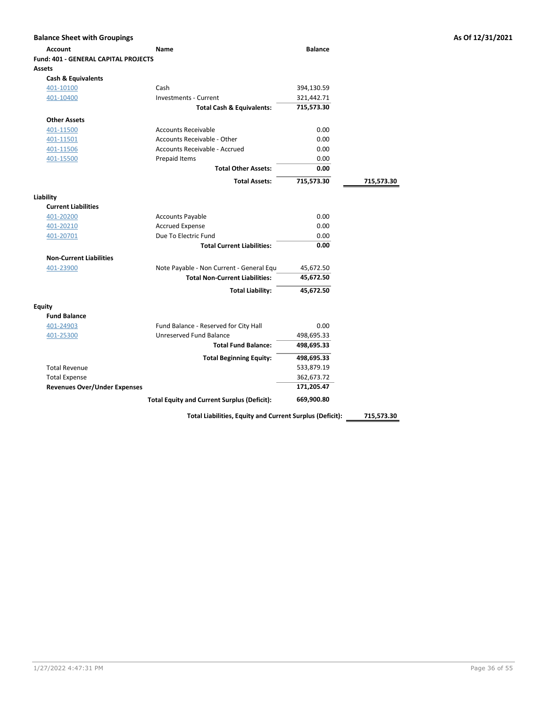| <b>Balance Sheet with Groupings</b>  |                                                    |                |            |
|--------------------------------------|----------------------------------------------------|----------------|------------|
| <b>Account</b>                       | Name                                               | <b>Balance</b> |            |
| Fund: 401 - GENERAL CAPITAL PROJECTS |                                                    |                |            |
| <b>Assets</b>                        |                                                    |                |            |
| <b>Cash &amp; Equivalents</b>        |                                                    |                |            |
| 401-10100                            | Cash                                               | 394,130.59     |            |
| 401-10400                            | <b>Investments - Current</b>                       | 321,442.71     |            |
|                                      | <b>Total Cash &amp; Equivalents:</b>               | 715,573.30     |            |
| <b>Other Assets</b>                  |                                                    |                |            |
| 401-11500                            | <b>Accounts Receivable</b>                         | 0.00           |            |
| 401-11501                            | Accounts Receivable - Other                        | 0.00           |            |
| 401-11506                            | Accounts Receivable - Accrued                      | 0.00           |            |
| 401-15500                            | Prepaid Items                                      | 0.00           |            |
|                                      | <b>Total Other Assets:</b>                         | 0.00           |            |
|                                      | <b>Total Assets:</b>                               | 715,573.30     | 715,573.30 |
| Liability                            |                                                    |                |            |
| <b>Current Liabilities</b>           |                                                    |                |            |
| 401-20200                            | <b>Accounts Payable</b>                            | 0.00           |            |
| 401-20210                            | <b>Accrued Expense</b>                             | 0.00           |            |
| 401-20701                            | Due To Electric Fund                               | 0.00           |            |
|                                      | <b>Total Current Liabilities:</b>                  | 0.00           |            |
| <b>Non-Current Liabilities</b>       |                                                    |                |            |
| 401-23900                            | Note Payable - Non Current - General Equ           | 45,672.50      |            |
|                                      | <b>Total Non-Current Liabilities:</b>              | 45,672.50      |            |
|                                      | <b>Total Liability:</b>                            | 45,672.50      |            |
| Equity                               |                                                    |                |            |
| <b>Fund Balance</b>                  |                                                    |                |            |
| 401-24903                            | Fund Balance - Reserved for City Hall              | 0.00           |            |
| 401-25300                            | Unreserved Fund Balance                            | 498,695.33     |            |
|                                      | <b>Total Fund Balance:</b>                         | 498,695.33     |            |
|                                      | <b>Total Beginning Equity:</b>                     | 498,695.33     |            |
| <b>Total Revenue</b>                 |                                                    | 533,879.19     |            |
| <b>Total Expense</b>                 |                                                    | 362,673.72     |            |
| <b>Revenues Over/Under Expenses</b>  |                                                    | 171,205.47     |            |
|                                      | <b>Total Equity and Current Surplus (Deficit):</b> | 669,900.80     |            |

Total Liabilities, Equity and Current Surplus (Deficit): 215,573.30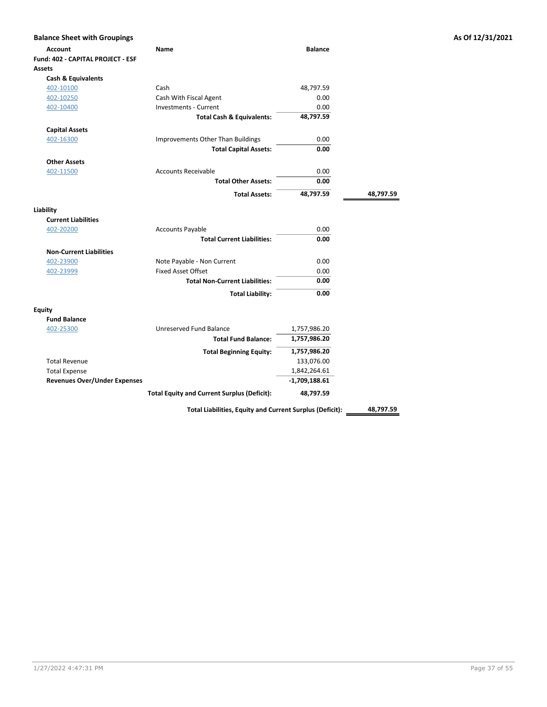| <b>Balance Sheet with Groupings</b> |                                                    |                 |           | As Of 12/31/2021 |
|-------------------------------------|----------------------------------------------------|-----------------|-----------|------------------|
| <b>Account</b>                      | Name                                               | <b>Balance</b>  |           |                  |
| Fund: 402 - CAPITAL PROJECT - ESF   |                                                    |                 |           |                  |
| <b>Assets</b>                       |                                                    |                 |           |                  |
| <b>Cash &amp; Equivalents</b>       |                                                    |                 |           |                  |
| 402-10100                           | Cash                                               | 48,797.59       |           |                  |
| 402-10250                           | Cash With Fiscal Agent                             | 0.00            |           |                  |
| 402-10400                           | <b>Investments - Current</b>                       | 0.00            |           |                  |
|                                     | <b>Total Cash &amp; Equivalents:</b>               | 48,797.59       |           |                  |
| <b>Capital Assets</b>               |                                                    |                 |           |                  |
| 402-16300                           | Improvements Other Than Buildings                  | 0.00            |           |                  |
|                                     | <b>Total Capital Assets:</b>                       | 0.00            |           |                  |
| <b>Other Assets</b>                 |                                                    |                 |           |                  |
| 402-11500                           | <b>Accounts Receivable</b>                         | 0.00            |           |                  |
|                                     | <b>Total Other Assets:</b>                         | 0.00            |           |                  |
|                                     |                                                    |                 |           |                  |
|                                     | <b>Total Assets:</b>                               | 48,797.59       | 48,797.59 |                  |
| Liability                           |                                                    |                 |           |                  |
| <b>Current Liabilities</b>          |                                                    |                 |           |                  |
| 402-20200                           | <b>Accounts Payable</b>                            | 0.00            |           |                  |
|                                     | <b>Total Current Liabilities:</b>                  | 0.00            |           |                  |
| <b>Non-Current Liabilities</b>      |                                                    |                 |           |                  |
| 402-23900                           | Note Payable - Non Current                         | 0.00            |           |                  |
| 402-23999                           | <b>Fixed Asset Offset</b>                          | 0.00            |           |                  |
|                                     | <b>Total Non-Current Liabilities:</b>              | 0.00            |           |                  |
|                                     | <b>Total Liability:</b>                            | 0.00            |           |                  |
|                                     |                                                    |                 |           |                  |
| <b>Equity</b>                       |                                                    |                 |           |                  |
| <b>Fund Balance</b>                 |                                                    |                 |           |                  |
| 402-25300                           | Unreserved Fund Balance                            | 1,757,986.20    |           |                  |
|                                     | <b>Total Fund Balance:</b>                         | 1,757,986.20    |           |                  |
|                                     | <b>Total Beginning Equity:</b>                     | 1,757,986.20    |           |                  |
| <b>Total Revenue</b>                |                                                    | 133,076.00      |           |                  |
| <b>Total Expense</b>                |                                                    | 1,842,264.61    |           |                  |
| <b>Revenues Over/Under Expenses</b> |                                                    | $-1,709,188.61$ |           |                  |
|                                     | <b>Total Equity and Current Surplus (Deficit):</b> | 48,797.59       |           |                  |

Total Liabilities, Equity and Current Surplus (Deficit): 48,797.59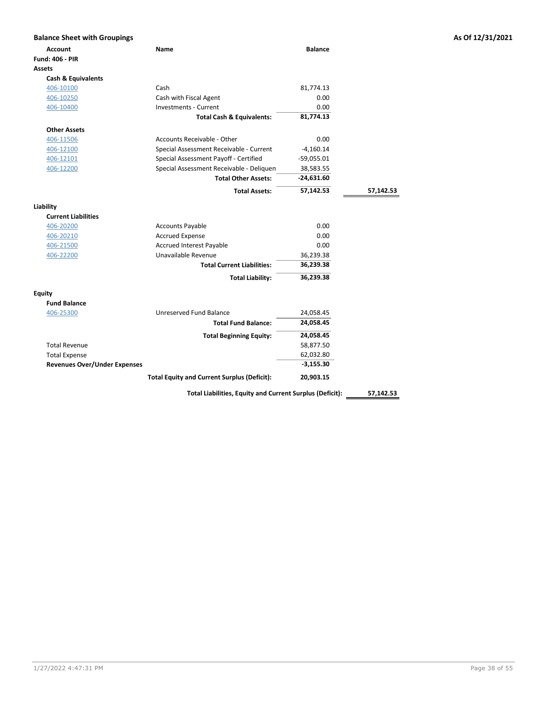| <b>Balance Sheet with Groupings</b> |                                                    |                |           | As Of 12/31/2021 |
|-------------------------------------|----------------------------------------------------|----------------|-----------|------------------|
| <b>Account</b>                      | Name                                               | <b>Balance</b> |           |                  |
| <b>Fund: 406 - PIR</b>              |                                                    |                |           |                  |
| <b>Assets</b>                       |                                                    |                |           |                  |
| Cash & Equivalents                  |                                                    |                |           |                  |
| 406-10100                           | Cash                                               | 81,774.13      |           |                  |
| 406-10250                           | Cash with Fiscal Agent                             | 0.00           |           |                  |
| 406-10400                           | <b>Investments - Current</b>                       | 0.00           |           |                  |
|                                     | <b>Total Cash &amp; Equivalents:</b>               | 81,774.13      |           |                  |
| <b>Other Assets</b>                 |                                                    |                |           |                  |
| 406-11506                           | Accounts Receivable - Other                        | 0.00           |           |                  |
| 406-12100                           | Special Assessment Receivable - Current            | $-4,160.14$    |           |                  |
| 406-12101                           | Special Assessment Payoff - Certified              | $-59,055.01$   |           |                  |
| 406-12200                           | Special Assessment Receivable - Deliquen           | 38,583.55      |           |                  |
|                                     | <b>Total Other Assets:</b>                         | $-24,631.60$   |           |                  |
|                                     | <b>Total Assets:</b>                               | 57,142.53      | 57,142.53 |                  |
| Liability                           |                                                    |                |           |                  |
| <b>Current Liabilities</b>          |                                                    |                |           |                  |
| 406-20200                           | <b>Accounts Payable</b>                            | 0.00           |           |                  |
| 406-20210                           | <b>Accrued Expense</b>                             | 0.00           |           |                  |
| 406-21500                           | <b>Accrued Interest Payable</b>                    | 0.00           |           |                  |
| 406-22200                           | Unavailable Revenue                                | 36,239.38      |           |                  |
|                                     | <b>Total Current Liabilities:</b>                  | 36,239.38      |           |                  |
|                                     | <b>Total Liability:</b>                            | 36,239.38      |           |                  |
| <b>Equity</b>                       |                                                    |                |           |                  |
| <b>Fund Balance</b>                 |                                                    |                |           |                  |
| 406-25300                           | Unreserved Fund Balance                            | 24,058.45      |           |                  |
|                                     | <b>Total Fund Balance:</b>                         | 24,058.45      |           |                  |
|                                     | <b>Total Beginning Equity:</b>                     | 24,058.45      |           |                  |
| <b>Total Revenue</b>                |                                                    | 58,877.50      |           |                  |
| <b>Total Expense</b>                |                                                    | 62,032.80      |           |                  |
| <b>Revenues Over/Under Expenses</b> |                                                    | $-3,155.30$    |           |                  |
|                                     | <b>Total Equity and Current Surplus (Deficit):</b> | 20,903.15      |           |                  |
|                                     |                                                    |                |           |                  |

Total Liabilities, Equity and Current Surplus (Deficit): 57,142.53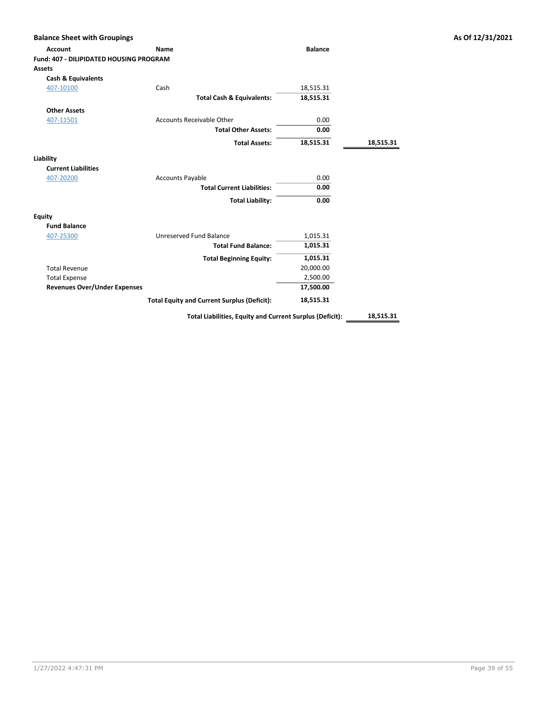| <b>Account</b>                                 | <b>Name</b>                                              | <b>Balance</b> |           |
|------------------------------------------------|----------------------------------------------------------|----------------|-----------|
| <b>Fund: 407 - DILIPIDATED HOUSING PROGRAM</b> |                                                          |                |           |
| <b>Assets</b>                                  |                                                          |                |           |
| <b>Cash &amp; Equivalents</b>                  |                                                          |                |           |
| 407-10100                                      | Cash                                                     | 18,515.31      |           |
|                                                | <b>Total Cash &amp; Equivalents:</b>                     | 18,515.31      |           |
| <b>Other Assets</b>                            |                                                          |                |           |
| 407-11501                                      | <b>Accounts Receivable Other</b>                         | 0.00           |           |
|                                                | <b>Total Other Assets:</b>                               | 0.00           |           |
|                                                | <b>Total Assets:</b>                                     | 18,515.31      | 18,515.31 |
| Liability                                      |                                                          |                |           |
| <b>Current Liabilities</b>                     |                                                          |                |           |
| 407-20200                                      | <b>Accounts Payable</b>                                  | 0.00           |           |
|                                                | <b>Total Current Liabilities:</b>                        | 0.00           |           |
|                                                | <b>Total Liability:</b>                                  | 0.00           |           |
| <b>Equity</b>                                  |                                                          |                |           |
| <b>Fund Balance</b>                            |                                                          |                |           |
| 407-25300                                      | Unreserved Fund Balance                                  | 1,015.31       |           |
|                                                | <b>Total Fund Balance:</b>                               | 1,015.31       |           |
|                                                | <b>Total Beginning Equity:</b>                           | 1,015.31       |           |
| <b>Total Revenue</b>                           |                                                          | 20,000.00      |           |
| <b>Total Expense</b>                           |                                                          | 2,500.00       |           |
| <b>Revenues Over/Under Expenses</b>            |                                                          | 17,500.00      |           |
|                                                | <b>Total Equity and Current Surplus (Deficit):</b>       | 18,515.31      |           |
|                                                | Total Liabilities, Equity and Current Surplus (Deficit): |                | 18,515.31 |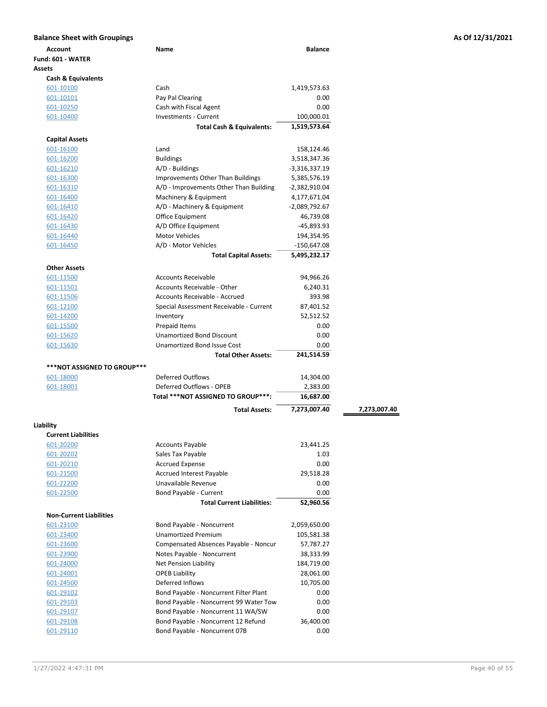| Account                                    | Name                                      | <b>Balance</b>         |              |
|--------------------------------------------|-------------------------------------------|------------------------|--------------|
| Fund: 601 - WATER                          |                                           |                        |              |
| Assets                                     |                                           |                        |              |
| <b>Cash &amp; Equivalents</b><br>601-10100 | Cash                                      | 1,419,573.63           |              |
| 601-10101                                  | Pay Pal Clearing                          | 0.00                   |              |
| 601-10250                                  | Cash with Fiscal Agent                    | 0.00                   |              |
| 601-10400                                  | <b>Investments - Current</b>              | 100,000.01             |              |
|                                            | <b>Total Cash &amp; Equivalents:</b>      | 1,519,573.64           |              |
| <b>Capital Assets</b>                      |                                           |                        |              |
| 601-16100                                  | Land                                      | 158,124.46             |              |
| 601-16200                                  | <b>Buildings</b>                          | 3,518,347.36           |              |
| 601-16210                                  | A/D - Buildings                           | $-3,316,337.19$        |              |
| 601-16300                                  | <b>Improvements Other Than Buildings</b>  | 5,385,576.19           |              |
| 601-16310                                  | A/D - Improvements Other Than Building    | -2,382,910.04          |              |
| 601-16400                                  | Machinery & Equipment                     | 4,177,671.04           |              |
| 601-16410                                  | A/D - Machinery & Equipment               | -2,089,792.67          |              |
| 601-16420                                  | <b>Office Equipment</b>                   | 46,739.08              |              |
| 601-16430                                  | A/D Office Equipment                      | $-45,893.93$           |              |
| 601-16440                                  | <b>Motor Vehicles</b>                     | 194,354.95             |              |
| 601-16450                                  | A/D - Motor Vehicles                      | -150,647.08            |              |
|                                            | <b>Total Capital Assets:</b>              | 5,495,232.17           |              |
| <b>Other Assets</b>                        |                                           |                        |              |
| 601-11500                                  | <b>Accounts Receivable</b>                | 94,966.26              |              |
| 601-11501                                  | Accounts Receivable - Other               | 6,240.31               |              |
| 601-11506                                  | Accounts Receivable - Accrued             | 393.98                 |              |
| 601-12100                                  | Special Assessment Receivable - Current   | 87,401.52              |              |
| 601-14200                                  | Inventory                                 | 52,512.52              |              |
| 601-15500                                  | Prepaid Items                             | 0.00                   |              |
| 601-15620                                  | <b>Unamortized Bond Discount</b>          | 0.00                   |              |
| 601-15630                                  | <b>Unamortized Bond Issue Cost</b>        | 0.00                   |              |
|                                            | <b>Total Other Assets:</b>                | 241,514.59             |              |
| ***NOT ASSIGNED TO GROUP***                |                                           |                        |              |
| 601-18000                                  | <b>Deferred Outflows</b>                  | 14,304.00              |              |
| 601-18001                                  | Deferred Outflows - OPEB                  | 2,383.00               |              |
|                                            | Total ***NOT ASSIGNED TO GROUP***:        | 16,687.00              |              |
|                                            | <b>Total Assets:</b>                      | 7,273,007.40           | 7,273,007.40 |
| Liability                                  |                                           |                        |              |
| <b>Current Liabilities</b>                 |                                           |                        |              |
| 601-20200                                  | <b>Accounts Payable</b>                   | 23,441.25              |              |
| 601-20202                                  | Sales Tax Payable                         | 1.03                   |              |
| 601-20210                                  | <b>Accrued Expense</b>                    | 0.00                   |              |
| 601-21500                                  | <b>Accrued Interest Payable</b>           | 29,518.28              |              |
| 601-22200                                  | Unavailable Revenue                       | 0.00                   |              |
| 601-22500                                  | Bond Payable - Current                    | 0.00                   |              |
|                                            | <b>Total Current Liabilities:</b>         | 52,960.56              |              |
| <b>Non-Current Liabilities</b>             |                                           |                        |              |
| 601-23100                                  | Bond Payable - Noncurrent                 | 2,059,650.00           |              |
| 601-23400                                  | <b>Unamortized Premium</b>                | 105,581.38             |              |
| 601-23600                                  | Compensated Absences Payable - Noncur     | 57,787.27              |              |
| 601-23900                                  | Notes Payable - Noncurrent                | 38,333.99              |              |
| 601-24000                                  | Net Pension Liability                     | 184,719.00             |              |
| 601-24001                                  | <b>OPEB Liability</b><br>Deferred Inflows | 28,061.00<br>10,705.00 |              |
| 601-24500<br>601-29102                     | Bond Payable - Noncurrent Filter Plant    | 0.00                   |              |
| 601-29103                                  | Bond Payable - Noncurrent 99 Water Tow    | 0.00                   |              |
| 601-29107                                  | Bond Payable - Noncurrent 11 WA/SW        | 0.00                   |              |
| 601-29108                                  | Bond Payable - Noncurrent 12 Refund       | 36,400.00              |              |
| 601-29110                                  | Bond Payable - Noncurrent 07B             | 0.00                   |              |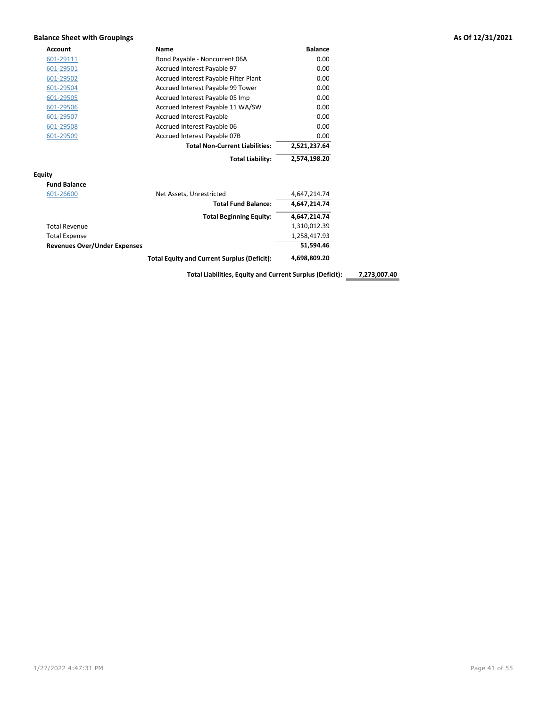### Balance Sheet with Groupings As Of 12/31/2021

| <b>Account</b> | Name                                  | <b>Balance</b> |
|----------------|---------------------------------------|----------------|
| 601-29111      | Bond Payable - Noncurrent 06A         | 0.00           |
| 601-29501      | Accrued Interest Payable 97           | 0.00           |
| 601-29502      | Accrued Interest Payable Filter Plant | 0.00           |
| 601-29504      | Accrued Interest Payable 99 Tower     | 0.00           |
| 601-29505      | Accrued Interest Payable 05 Imp       | 0.00           |
| 601-29506      | Accrued Interest Payable 11 WA/SW     | 0.00           |
| 601-29507      | <b>Accrued Interest Payable</b>       | 0.00           |
| 601-29508      | Accrued Interest Payable 06           | 0.00           |
| 601-29509      | Accrued Interest Payable 07B          | 0.00           |
|                | <b>Total Non-Current Liabilities:</b> | 2,521,237.64   |
|                | <b>Total Liability:</b>               | 2,574,198.20   |

### Equity

| <b>Fund Balance</b>                 |                                                    |              |
|-------------------------------------|----------------------------------------------------|--------------|
| 601-26600                           | Net Assets, Unrestricted                           | 4,647,214.74 |
|                                     | <b>Total Fund Balance:</b>                         | 4,647,214.74 |
|                                     | <b>Total Beginning Equity:</b>                     | 4.647.214.74 |
| <b>Total Revenue</b>                |                                                    | 1,310,012.39 |
| <b>Total Expense</b>                |                                                    | 1,258,417.93 |
| <b>Revenues Over/Under Expenses</b> |                                                    | 51.594.46    |
|                                     | <b>Total Equity and Current Surplus (Deficit):</b> | 4,698,809.20 |

Total Liabilities, Equity and Current Surplus (Deficit): \_\_\_\_\_\_\_\_\_\_\_\_\_\_\_\_\_\_\_\_\_\_\_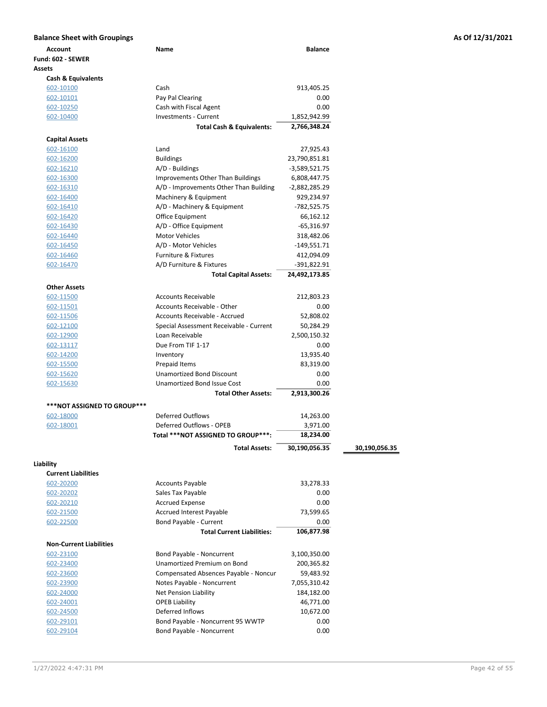| Account                        | Name                                                     | <b>Balance</b> |               |
|--------------------------------|----------------------------------------------------------|----------------|---------------|
| Fund: 602 - SEWER              |                                                          |                |               |
| <b>Assets</b>                  |                                                          |                |               |
| <b>Cash &amp; Equivalents</b>  |                                                          |                |               |
| 602-10100                      | Cash                                                     | 913,405.25     |               |
| 602-10101                      | Pay Pal Clearing                                         | 0.00           |               |
| 602-10250                      | Cash with Fiscal Agent                                   | 0.00           |               |
| 602-10400                      | <b>Investments - Current</b>                             | 1,852,942.99   |               |
|                                | <b>Total Cash &amp; Equivalents:</b>                     | 2,766,348.24   |               |
| <b>Capital Assets</b>          |                                                          |                |               |
| 602-16100                      | Land                                                     | 27,925.43      |               |
| 602-16200                      | <b>Buildings</b>                                         | 23,790,851.81  |               |
| 602-16210                      | A/D - Buildings                                          | -3,589,521.75  |               |
| 602-16300                      | <b>Improvements Other Than Buildings</b>                 | 6,808,447.75   |               |
| 602-16310                      | A/D - Improvements Other Than Building                   | -2,882,285.29  |               |
| 602-16400                      | Machinery & Equipment                                    | 929,234.97     |               |
| 602-16410                      | A/D - Machinery & Equipment                              | -782,525.75    |               |
| 602-16420                      | Office Equipment                                         | 66,162.12      |               |
| 602-16430                      | A/D - Office Equipment                                   | $-65,316.97$   |               |
| 602-16440                      | Motor Vehicles                                           | 318,482.06     |               |
| 602-16450                      | A/D - Motor Vehicles                                     | -149,551.71    |               |
| 602-16460                      | <b>Furniture &amp; Fixtures</b>                          | 412,094.09     |               |
| 602-16470                      | A/D Furniture & Fixtures                                 | -391,822.91    |               |
|                                | <b>Total Capital Assets:</b>                             | 24,492,173.85  |               |
| <b>Other Assets</b>            |                                                          |                |               |
| 602-11500                      | <b>Accounts Receivable</b>                               | 212,803.23     |               |
| 602-11501                      | Accounts Receivable - Other                              | 0.00           |               |
| 602-11506                      | Accounts Receivable - Accrued                            | 52,808.02      |               |
| 602-12100                      | Special Assessment Receivable - Current                  | 50,284.29      |               |
| 602-12900                      | Loan Receivable                                          | 2,500,150.32   |               |
| 602-13117                      | Due From TIF 1-17                                        | 0.00           |               |
| 602-14200                      | Inventory                                                | 13,935.40      |               |
| 602-15500                      | Prepaid Items                                            | 83,319.00      |               |
| 602-15620                      | <b>Unamortized Bond Discount</b>                         | 0.00           |               |
| 602-15630                      | Unamortized Bond Issue Cost                              | 0.00           |               |
|                                | <b>Total Other Assets:</b>                               | 2,913,300.26   |               |
| ***NOT ASSIGNED TO GROUP***    |                                                          |                |               |
| 602-18000                      | <b>Deferred Outflows</b>                                 | 14,263.00      |               |
| 602-18001                      | Deferred Outflows - OPEB                                 | 3,971.00       |               |
|                                | Total ***NOT ASSIGNED TO GROUP***:                       | 18,234.00      |               |
|                                |                                                          |                |               |
|                                | <b>Total Assets:</b>                                     | 30,190,056.35  | 30,190,056.35 |
| Liability                      |                                                          |                |               |
| <b>Current Liabilities</b>     |                                                          |                |               |
| 602-20200                      | <b>Accounts Payable</b>                                  | 33,278.33      |               |
| 602-20202                      | Sales Tax Payable                                        | 0.00           |               |
| 602-20210                      | <b>Accrued Expense</b>                                   | 0.00           |               |
| 602-21500                      | <b>Accrued Interest Payable</b>                          | 73,599.65      |               |
| 602-22500                      | Bond Payable - Current                                   | 0.00           |               |
|                                | <b>Total Current Liabilities:</b>                        | 106,877.98     |               |
| <b>Non-Current Liabilities</b> |                                                          |                |               |
| 602-23100                      | Bond Payable - Noncurrent<br>Unamortized Premium on Bond | 3,100,350.00   |               |
| 602-23400                      |                                                          | 200,365.82     |               |
| 602-23600                      | Compensated Absences Payable - Noncur                    | 59,483.92      |               |
| 602-23900                      | Notes Payable - Noncurrent                               | 7,055,310.42   |               |
| 602-24000                      | Net Pension Liability                                    | 184,182.00     |               |
| 602-24001                      | <b>OPEB Liability</b>                                    | 46,771.00      |               |
| 602-24500                      | Deferred Inflows                                         | 10,672.00      |               |
| 602-29101                      | Bond Payable - Noncurrent 95 WWTP                        | 0.00           |               |
| 602-29104                      | Bond Payable - Noncurrent                                | 0.00           |               |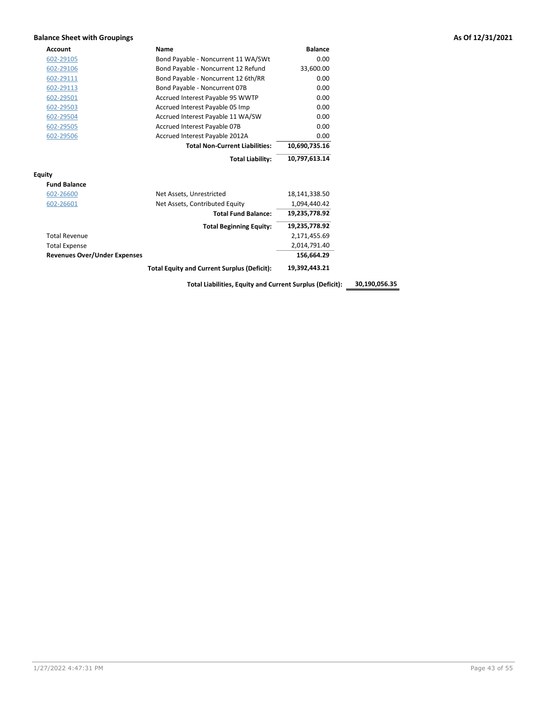### Balance Sheet with Groupings **As Of 12/31/2021 As Of 12/31/2021**

| <b>Account</b>                      | Name                                               | <b>Balance</b> |
|-------------------------------------|----------------------------------------------------|----------------|
| 602-29105                           | Bond Payable - Noncurrent 11 WA/SWt                | 0.00           |
| 602-29106                           | Bond Payable - Noncurrent 12 Refund                | 33,600.00      |
| 602-29111                           | Bond Payable - Noncurrent 12 6th/RR                | 0.00           |
| 602-29113                           | Bond Payable - Noncurrent 07B                      | 0.00           |
| 602-29501                           | Accrued Interest Payable 95 WWTP                   | 0.00           |
| 602-29503                           | Accrued Interest Payable 05 Imp                    | 0.00           |
| 602-29504                           | Accrued Interest Payable 11 WA/SW                  | 0.00           |
| 602-29505                           | Accrued Interest Payable 07B                       | 0.00           |
| 602-29506                           | Accrued Interest Payable 2012A                     | 0.00           |
|                                     | <b>Total Non-Current Liabilities:</b>              | 10,690,735.16  |
|                                     | <b>Total Liability:</b>                            | 10,797,613.14  |
| <b>Equity</b>                       |                                                    |                |
| <b>Fund Balance</b>                 |                                                    |                |
| 602-26600                           | Net Assets, Unrestricted                           | 18,141,338.50  |
| 602-26601                           | Net Assets, Contributed Equity                     | 1,094,440.42   |
|                                     | <b>Total Fund Balance:</b>                         | 19,235,778.92  |
|                                     | <b>Total Beginning Equity:</b>                     | 19,235,778.92  |
| <b>Total Revenue</b>                |                                                    | 2,171,455.69   |
| <b>Total Expense</b>                |                                                    | 2,014,791.40   |
| <b>Revenues Over/Under Expenses</b> |                                                    | 156,664.29     |
|                                     | <b>Total Equity and Current Surplus (Deficit):</b> | 19,392,443.21  |

Total Liabilities, Equity and Current Surplus (Deficit): 30,190,056.35

1/27/2022 4:47:31 PM Page 43 of 55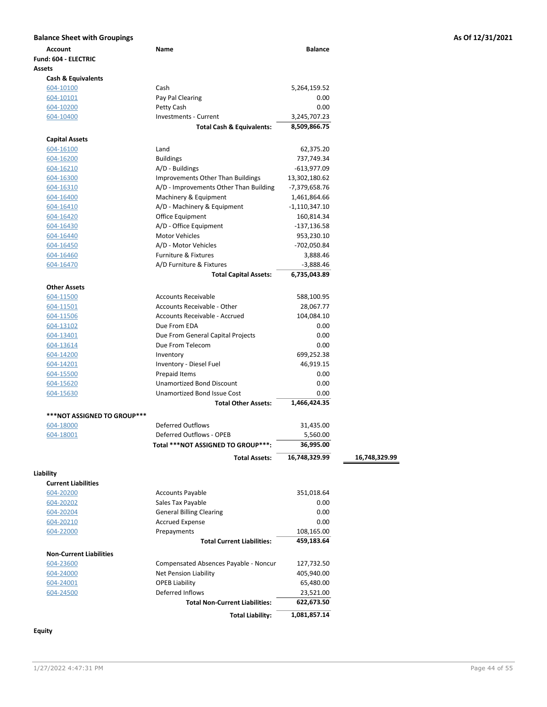| Account<br>Fund: 604 - ELECTRIC    | Name                                                 | <b>Balance</b> |               |
|------------------------------------|------------------------------------------------------|----------------|---------------|
|                                    |                                                      |                |               |
|                                    |                                                      |                |               |
| Assets                             |                                                      |                |               |
| Cash & Equivalents                 |                                                      |                |               |
| 604-10100                          | Cash                                                 | 5,264,159.52   |               |
| 604-10101                          | Pay Pal Clearing                                     | 0.00           |               |
| 604-10200                          | Petty Cash                                           | 0.00           |               |
| 604-10400                          | <b>Investments - Current</b>                         | 3,245,707.23   |               |
|                                    | <b>Total Cash &amp; Equivalents:</b>                 | 8,509,866.75   |               |
| <b>Capital Assets</b>              |                                                      |                |               |
| 604-16100                          | Land                                                 | 62,375.20      |               |
| 604-16200                          | <b>Buildings</b>                                     | 737,749.34     |               |
| 604-16210                          | A/D - Buildings                                      | -613,977.09    |               |
| 604-16300                          | Improvements Other Than Buildings                    | 13,302,180.62  |               |
| 604-16310                          | A/D - Improvements Other Than Building               | -7,379,658.76  |               |
| 604-16400                          | Machinery & Equipment                                | 1,461,864.66   |               |
| 604-16410                          | A/D - Machinery & Equipment                          | -1,110,347.10  |               |
| 604-16420                          | Office Equipment                                     | 160,814.34     |               |
| 604-16430                          | A/D - Office Equipment                               | $-137,136.58$  |               |
| 604-16440                          | <b>Motor Vehicles</b>                                | 953,230.10     |               |
| 604-16450                          | A/D - Motor Vehicles                                 | -702,050.84    |               |
| 604-16460                          | <b>Furniture &amp; Fixtures</b>                      | 3,888.46       |               |
| 604-16470                          | A/D Furniture & Fixtures                             | $-3,888.46$    |               |
|                                    | <b>Total Capital Assets:</b>                         | 6,735,043.89   |               |
|                                    |                                                      |                |               |
| <b>Other Assets</b>                |                                                      |                |               |
| 604-11500                          | <b>Accounts Receivable</b>                           | 588,100.95     |               |
| 604-11501                          | Accounts Receivable - Other                          | 28,067.77      |               |
| 604-11506                          | Accounts Receivable - Accrued                        | 104,084.10     |               |
| 604-13102                          | Due From EDA                                         | 0.00           |               |
| 604-13401                          | Due From General Capital Projects                    | 0.00           |               |
| 604-13614                          | Due From Telecom                                     | 0.00           |               |
| 604-14200                          | Inventory                                            | 699,252.38     |               |
| 604-14201                          | Inventory - Diesel Fuel                              | 46,919.15      |               |
| 604-15500                          | Prepaid Items                                        | 0.00           |               |
| 604-15620                          | <b>Unamortized Bond Discount</b>                     | 0.00           |               |
| 604-15630                          | <b>Unamortized Bond Issue Cost</b>                   | 0.00           |               |
|                                    | <b>Total Other Assets:</b>                           | 1,466,424.35   |               |
| <b>***NOT ASSIGNED TO GROUP***</b> |                                                      |                |               |
| 604-18000                          | Deferred Outflows                                    | 31,435.00      |               |
| 604-18001                          | Deferred Outflows - OPEB                             | 5,560.00       |               |
|                                    | Total ***NOT ASSIGNED TO GROUP***:                   | 36,995.00      |               |
|                                    | <b>Total Assets:</b>                                 | 16,748,329.99  | 16,748,329.99 |
|                                    |                                                      |                |               |
| Liability                          |                                                      |                |               |
| <b>Current Liabilities</b>         |                                                      |                |               |
| 604-20200                          | <b>Accounts Payable</b>                              | 351,018.64     |               |
| 604-20202                          | Sales Tax Payable<br><b>General Billing Clearing</b> | 0.00           |               |
| 604-20204                          |                                                      | 0.00           |               |
| 604-20210                          | <b>Accrued Expense</b>                               | 0.00           |               |
| 604-22000                          | Prepayments                                          | 108,165.00     |               |
|                                    | <b>Total Current Liabilities:</b>                    | 459,183.64     |               |
| <b>Non-Current Liabilities</b>     |                                                      |                |               |
| 604-23600                          | Compensated Absences Payable - Noncur                | 127,732.50     |               |
| 604-24000                          | Net Pension Liability                                | 405,940.00     |               |
| 604-24001                          | <b>OPEB Liability</b>                                | 65,480.00      |               |
| 604-24500                          | Deferred Inflows                                     | 23,521.00      |               |
|                                    | <b>Total Non-Current Liabilities:</b>                | 622,673.50     |               |
|                                    | <b>Total Liability:</b>                              | 1,081,857.14   |               |

Equity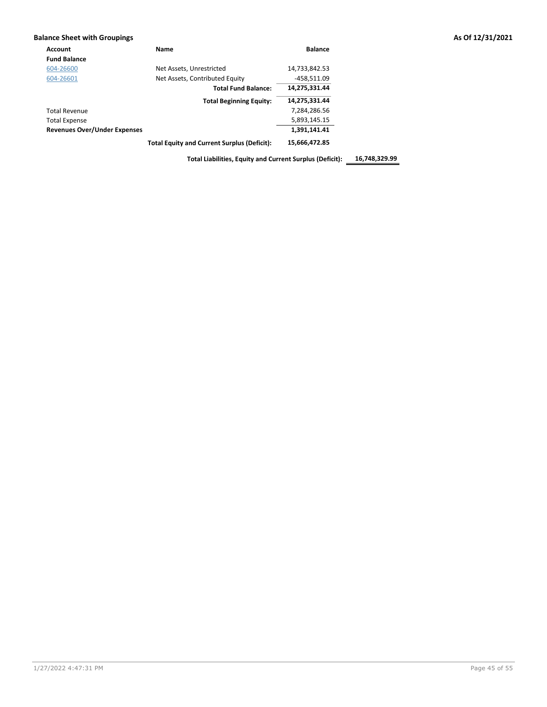### Balance Sheet with Groupings **As Of 12/31/2021**

| <b>Account</b>                      | Name                                               | <b>Balance</b> |
|-------------------------------------|----------------------------------------------------|----------------|
| <b>Fund Balance</b>                 |                                                    |                |
| 604-26600                           | Net Assets, Unrestricted                           | 14,733,842.53  |
| 604-26601                           | Net Assets, Contributed Equity                     | -458.511.09    |
|                                     | <b>Total Fund Balance:</b>                         | 14,275,331.44  |
|                                     | <b>Total Beginning Equity:</b>                     | 14,275,331.44  |
| <b>Total Revenue</b>                |                                                    | 7,284,286.56   |
| <b>Total Expense</b>                |                                                    | 5,893,145.15   |
| <b>Revenues Over/Under Expenses</b> |                                                    | 1,391,141.41   |
|                                     | <b>Total Equity and Current Surplus (Deficit):</b> | 15,666,472.85  |

Total Liabilities, Equity and Current Surplus (Deficit): 16,748,329.99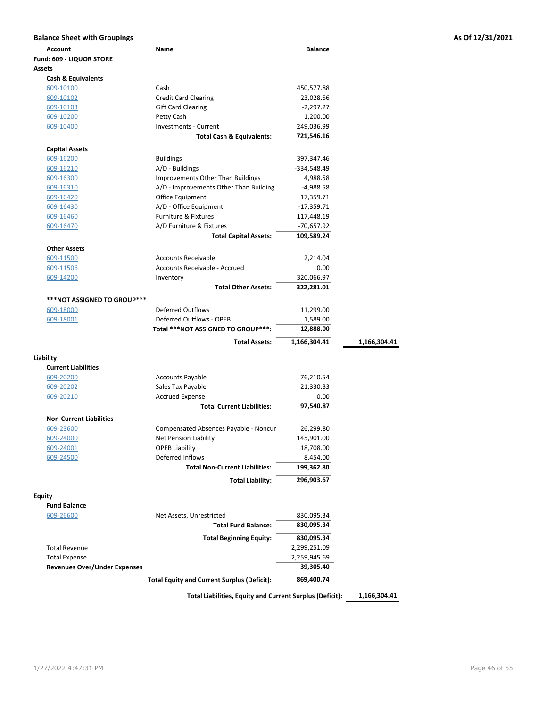| <b>Balance Sheet with Groupings</b> |                                                          |                |              | As Of 12/31/2021 |
|-------------------------------------|----------------------------------------------------------|----------------|--------------|------------------|
| <b>Account</b>                      | Name                                                     | <b>Balance</b> |              |                  |
| Fund: 609 - LIQUOR STORE            |                                                          |                |              |                  |
| Assets                              |                                                          |                |              |                  |
| <b>Cash &amp; Equivalents</b>       |                                                          |                |              |                  |
| 609-10100                           | Cash                                                     | 450,577.88     |              |                  |
| 609-10102                           | <b>Credit Card Clearing</b>                              | 23,028.56      |              |                  |
| 609-10103                           | <b>Gift Card Clearing</b>                                | $-2,297.27$    |              |                  |
| 609-10200                           | Petty Cash                                               | 1,200.00       |              |                  |
| 609-10400                           | Investments - Current                                    | 249,036.99     |              |                  |
|                                     | <b>Total Cash &amp; Equivalents:</b>                     | 721,546.16     |              |                  |
| <b>Capital Assets</b>               |                                                          |                |              |                  |
| 609-16200                           | <b>Buildings</b>                                         | 397,347.46     |              |                  |
| 609-16210                           | A/D - Buildings                                          | -334,548.49    |              |                  |
| 609-16300                           | <b>Improvements Other Than Buildings</b>                 | 4,988.58       |              |                  |
| 609-16310                           | A/D - Improvements Other Than Building                   | -4,988.58      |              |                  |
| 609-16420                           | Office Equipment                                         | 17,359.71      |              |                  |
| 609-16430                           | A/D - Office Equipment                                   | $-17,359.71$   |              |                  |
| 609-16460                           | Furniture & Fixtures                                     | 117,448.19     |              |                  |
| 609-16470                           | A/D Furniture & Fixtures                                 | $-70,657.92$   |              |                  |
|                                     | <b>Total Capital Assets:</b>                             | 109,589.24     |              |                  |
|                                     |                                                          |                |              |                  |
| <b>Other Assets</b>                 |                                                          |                |              |                  |
| 609-11500                           | <b>Accounts Receivable</b>                               | 2,214.04       |              |                  |
| 609-11506                           | Accounts Receivable - Accrued                            | 0.00           |              |                  |
| 609-14200                           | Inventory                                                | 320,066.97     |              |                  |
|                                     | <b>Total Other Assets:</b>                               | 322,281.01     |              |                  |
| ***NOT ASSIGNED TO GROUP***         |                                                          |                |              |                  |
| 609-18000                           | <b>Deferred Outflows</b>                                 | 11,299.00      |              |                  |
| 609-18001                           | Deferred Outflows - OPEB                                 | 1,589.00       |              |                  |
|                                     | Total ***NOT ASSIGNED TO GROUP***:                       | 12,888.00      |              |                  |
|                                     | <b>Total Assets:</b>                                     | 1,166,304.41   | 1,166,304.41 |                  |
|                                     |                                                          |                |              |                  |
| Liability                           |                                                          |                |              |                  |
| <b>Current Liabilities</b>          |                                                          |                |              |                  |
| 609-20200                           | <b>Accounts Payable</b>                                  | 76,210.54      |              |                  |
| 609-20202                           | Sales Tax Payable                                        | 21,330.33      |              |                  |
| 609-20210                           | <b>Accrued Expense</b>                                   | 0.00           |              |                  |
|                                     | <b>Total Current Liabilities:</b>                        | 97,540.87      |              |                  |
| <b>Non-Current Liabilities</b>      |                                                          |                |              |                  |
| 609-23600                           | Compensated Absences Payable - Noncur                    | 26,299.80      |              |                  |
| 609-24000                           | Net Pension Liability                                    | 145,901.00     |              |                  |
| 609-24001                           | <b>OPEB Liability</b>                                    | 18,708.00      |              |                  |
| 609-24500                           | Deferred Inflows                                         | 8,454.00       |              |                  |
|                                     | <b>Total Non-Current Liabilities:</b>                    | 199,362.80     |              |                  |
|                                     |                                                          |                |              |                  |
|                                     | <b>Total Liability:</b>                                  | 296,903.67     |              |                  |
| <b>Equity</b>                       |                                                          |                |              |                  |
| <b>Fund Balance</b>                 |                                                          |                |              |                  |
| 609-26600                           | Net Assets, Unrestricted                                 | 830,095.34     |              |                  |
|                                     | <b>Total Fund Balance:</b>                               | 830,095.34     |              |                  |
|                                     |                                                          | 830,095.34     |              |                  |
|                                     | <b>Total Beginning Equity:</b>                           |                |              |                  |
| <b>Total Revenue</b>                |                                                          | 2,299,251.09   |              |                  |
| <b>Total Expense</b>                |                                                          | 2,259,945.69   |              |                  |
| <b>Revenues Over/Under Expenses</b> |                                                          | 39,305.40      |              |                  |
|                                     | <b>Total Equity and Current Surplus (Deficit):</b>       | 869,400.74     |              |                  |
|                                     |                                                          |                |              |                  |
|                                     | Total Liabilities, Equity and Current Surplus (Deficit): |                | 1,166,304.41 |                  |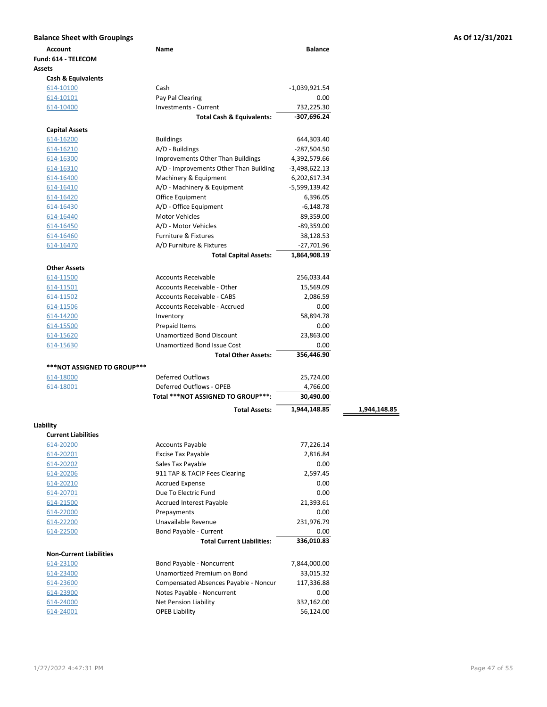| <b>Account</b>                 | Name                                     | <b>Balance</b>  |              |
|--------------------------------|------------------------------------------|-----------------|--------------|
| Fund: 614 - TELECOM            |                                          |                 |              |
| Assets                         |                                          |                 |              |
| <b>Cash &amp; Equivalents</b>  |                                          |                 |              |
| 614-10100                      | Cash                                     | -1,039,921.54   |              |
| 614-10101                      | Pay Pal Clearing                         | 0.00            |              |
| 614-10400                      | <b>Investments - Current</b>             | 732,225.30      |              |
|                                | <b>Total Cash &amp; Equivalents:</b>     | -307,696.24     |              |
| <b>Capital Assets</b>          |                                          |                 |              |
| 614-16200                      | <b>Buildings</b>                         | 644,303.40      |              |
| 614-16210                      | A/D - Buildings                          | $-287,504.50$   |              |
| 614-16300                      | <b>Improvements Other Than Buildings</b> | 4,392,579.66    |              |
| 614-16310                      | A/D - Improvements Other Than Building   | $-3,498,622.13$ |              |
| 614-16400                      | Machinery & Equipment                    | 6,202,617.34    |              |
| 614-16410                      | A/D - Machinery & Equipment              | -5,599,139.42   |              |
| 614-16420                      | Office Equipment                         | 6,396.05        |              |
| 614-16430                      | A/D - Office Equipment                   | $-6,148.78$     |              |
| 614-16440                      | <b>Motor Vehicles</b>                    | 89,359.00       |              |
| 614-16450                      | A/D - Motor Vehicles                     | $-89,359.00$    |              |
| 614-16460                      | <b>Furniture &amp; Fixtures</b>          | 38,128.53       |              |
| 614-16470                      | A/D Furniture & Fixtures                 | $-27,701.96$    |              |
|                                | <b>Total Capital Assets:</b>             | 1,864,908.19    |              |
| <b>Other Assets</b>            |                                          |                 |              |
| 614-11500                      | <b>Accounts Receivable</b>               | 256,033.44      |              |
| 614-11501                      | Accounts Receivable - Other              | 15,569.09       |              |
| 614-11502                      | <b>Accounts Receivable - CABS</b>        | 2,086.59        |              |
| 614-11506                      | Accounts Receivable - Accrued            | 0.00            |              |
| 614-14200                      | Inventory                                | 58,894.78       |              |
| 614-15500                      | Prepaid Items                            | 0.00            |              |
| 614-15620                      | <b>Unamortized Bond Discount</b>         | 23,863.00       |              |
| 614-15630                      | <b>Unamortized Bond Issue Cost</b>       | 0.00            |              |
|                                | <b>Total Other Assets:</b>               | 356,446.90      |              |
| ***NOT ASSIGNED TO GROUP***    |                                          |                 |              |
| 614-18000                      | <b>Deferred Outflows</b>                 | 25,724.00       |              |
| 614-18001                      | Deferred Outflows - OPEB                 | 4,766.00        |              |
|                                | Total ***NOT ASSIGNED TO GROUP***:       | 30,490.00       |              |
|                                | <b>Total Assets:</b>                     | 1,944,148.85    | 1,944,148.85 |
| Liability                      |                                          |                 |              |
| <b>Current Liabilities</b>     |                                          |                 |              |
| 614-20200                      | <b>Accounts Payable</b>                  | 77,226.14       |              |
| 614-20201                      | <b>Excise Tax Payable</b>                | 2,816.84        |              |
| 614-20202                      | Sales Tax Payable                        | 0.00            |              |
| 614-20206                      | 911 TAP & TACIP Fees Clearing            | 2,597.45        |              |
| 614-20210                      | <b>Accrued Expense</b>                   | 0.00            |              |
| 614-20701                      | Due To Electric Fund                     | 0.00            |              |
| 614-21500                      | <b>Accrued Interest Payable</b>          | 21,393.61       |              |
| 614-22000                      | Prepayments                              | 0.00            |              |
| 614-22200                      | Unavailable Revenue                      | 231,976.79      |              |
| 614-22500                      | Bond Payable - Current                   | 0.00            |              |
|                                | <b>Total Current Liabilities:</b>        | 336,010.83      |              |
| <b>Non-Current Liabilities</b> |                                          |                 |              |
| 614-23100                      | Bond Payable - Noncurrent                | 7,844,000.00    |              |
| 614-23400                      | Unamortized Premium on Bond              | 33,015.32       |              |
| 614-23600                      | Compensated Absences Payable - Noncur    | 117,336.88      |              |
| 614-23900                      | Notes Payable - Noncurrent               | 0.00            |              |
| 614-24000                      | <b>Net Pension Liability</b>             | 332,162.00      |              |
| 614-24001                      | <b>OPEB Liability</b>                    | 56,124.00       |              |
|                                |                                          |                 |              |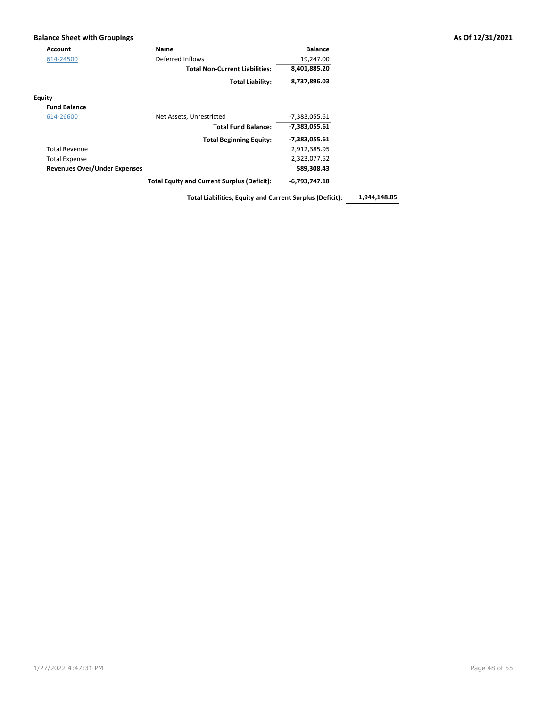## Balance Sheet with Groupings **As Of 12/31/2021** Account **Name Constanting Constanting Constanting Constanting Constanting Constanting Constanting Constanting Constanting Constanting Constanting Constanting Constanting Constanting Constanting Constanting Constanting Co**

| 614-24500                           | Deferred Inflows                                   | 19,247.00       |
|-------------------------------------|----------------------------------------------------|-----------------|
|                                     | <b>Total Non-Current Liabilities:</b>              | 8,401,885.20    |
|                                     | <b>Total Liability:</b>                            | 8,737,896.03    |
| <b>Equity</b>                       |                                                    |                 |
| <b>Fund Balance</b>                 |                                                    |                 |
| 614-26600                           | Net Assets, Unrestricted                           | $-7,383,055.61$ |
|                                     | <b>Total Fund Balance:</b>                         | -7,383,055.61   |
|                                     | <b>Total Beginning Equity:</b>                     | -7,383,055.61   |
| <b>Total Revenue</b>                |                                                    | 2,912,385.95    |
| <b>Total Expense</b>                |                                                    | 2,323,077.52    |
| <b>Revenues Over/Under Expenses</b> |                                                    | 589.308.43      |
|                                     | <b>Total Equity and Current Surplus (Deficit):</b> | $-6,793,747.18$ |

Total Liabilities, Equity and Current Surplus (Deficit): 1,944,148.85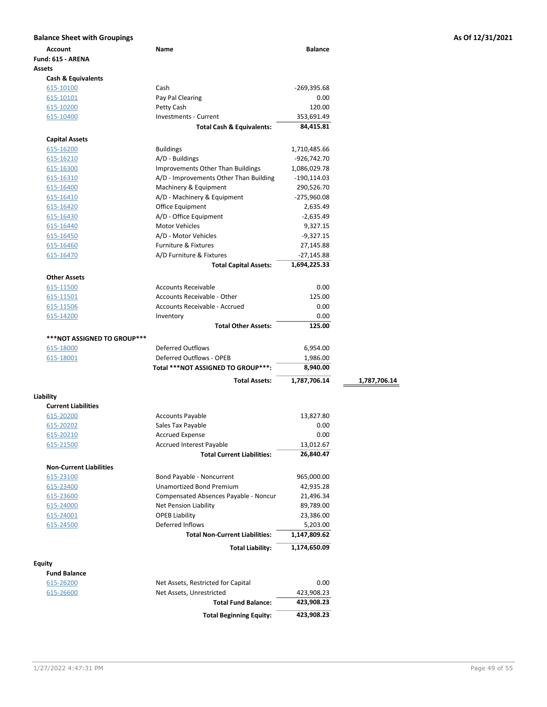| <b>Balance Sheet with Groupings</b> |                                        |                          |              | As Of 12/31/2021 |
|-------------------------------------|----------------------------------------|--------------------------|--------------|------------------|
| <b>Account</b>                      | Name                                   | <b>Balance</b>           |              |                  |
| Fund: 615 - ARENA                   |                                        |                          |              |                  |
| <b>Assets</b>                       |                                        |                          |              |                  |
| Cash & Equivalents                  |                                        |                          |              |                  |
| 615-10100                           | Cash                                   | $-269,395.68$            |              |                  |
| 615-10101                           | Pay Pal Clearing                       | 0.00                     |              |                  |
| 615-10200                           | Petty Cash                             | 120.00                   |              |                  |
| 615-10400                           | Investments - Current                  | 353,691.49               |              |                  |
|                                     | <b>Total Cash &amp; Equivalents:</b>   | 84,415.81                |              |                  |
| <b>Capital Assets</b>               |                                        |                          |              |                  |
| 615-16200                           | <b>Buildings</b>                       | 1,710,485.66             |              |                  |
| 615-16210                           | A/D - Buildings                        | -926,742.70              |              |                  |
| 615-16300                           | Improvements Other Than Buildings      | 1,086,029.78             |              |                  |
| 615-16310                           | A/D - Improvements Other Than Building | -190,114.03              |              |                  |
| 615-16400                           | Machinery & Equipment                  | 290,526.70               |              |                  |
| 615-16410                           | A/D - Machinery & Equipment            | -275,960.08              |              |                  |
| 615-16420                           | Office Equipment                       | 2,635.49                 |              |                  |
| 615-16430                           | A/D - Office Equipment                 | $-2,635.49$              |              |                  |
| 615-16440                           | <b>Motor Vehicles</b>                  | 9,327.15                 |              |                  |
| 615-16450                           | A/D - Motor Vehicles                   | $-9,327.15$              |              |                  |
| 615-16460                           | <b>Furniture &amp; Fixtures</b>        | 27,145.88                |              |                  |
| 615-16470                           | A/D Furniture & Fixtures               | -27,145.88               |              |                  |
|                                     | <b>Total Capital Assets:</b>           | 1,694,225.33             |              |                  |
|                                     |                                        |                          |              |                  |
| <b>Other Assets</b>                 |                                        |                          |              |                  |
| 615-11500                           | <b>Accounts Receivable</b>             | 0.00                     |              |                  |
| 615-11501                           | Accounts Receivable - Other            | 125.00                   |              |                  |
| 615-11506                           | Accounts Receivable - Accrued          | 0.00                     |              |                  |
| 615-14200                           | Inventory                              | 0.00<br>125.00           |              |                  |
|                                     | <b>Total Other Assets:</b>             |                          |              |                  |
| <b>***NOT ASSIGNED TO GROUP***</b>  |                                        |                          |              |                  |
| 615-18000                           | <b>Deferred Outflows</b>               | 6,954.00                 |              |                  |
| 615-18001                           | Deferred Outflows - OPEB               | 1,986.00                 |              |                  |
|                                     | Total ***NOT ASSIGNED TO GROUP***:     | 8,940.00                 |              |                  |
|                                     | <b>Total Assets:</b>                   | 1,787,706.14             | 1,787,706.14 |                  |
| Liability                           |                                        |                          |              |                  |
| <b>Current Liabilities</b>          |                                        |                          |              |                  |
| 615-20200                           | <b>Accounts Payable</b>                | 13,827.80                |              |                  |
| 615-20202                           | Sales Tax Payable                      | 0.00                     |              |                  |
| 615-20210                           | <b>Accrued Expense</b>                 | 0.00                     |              |                  |
| 615-21500                           | <b>Accrued Interest Payable</b>        | 13,012.67                |              |                  |
|                                     | <b>Total Current Liabilities:</b>      | 26,840.47                |              |                  |
| <b>Non-Current Liabilities</b>      |                                        |                          |              |                  |
| 615-23100                           | Bond Payable - Noncurrent              | 965,000.00               |              |                  |
| 615-23400                           | <b>Unamortized Bond Premium</b>        | 42,935.28                |              |                  |
|                                     | Compensated Absences Payable - Noncur  | 21,496.34                |              |                  |
| 615-23600                           | Net Pension Liability                  | 89,789.00                |              |                  |
| 615-24000                           | <b>OPEB Liability</b>                  | 23,386.00                |              |                  |
| 615-24001                           | Deferred Inflows                       |                          |              |                  |
| 615-24500                           | <b>Total Non-Current Liabilities:</b>  | 5,203.00<br>1,147,809.62 |              |                  |
|                                     |                                        |                          |              |                  |
|                                     | <b>Total Liability:</b>                | 1,174,650.09             |              |                  |
| <b>Equity</b>                       |                                        |                          |              |                  |
| <b>Fund Balance</b>                 |                                        |                          |              |                  |
| 615-26200                           | Net Assets, Restricted for Capital     | 0.00                     |              |                  |
| 615-26600                           | Net Assets, Unrestricted               | 423,908.23               |              |                  |
|                                     | <b>Total Fund Balance:</b>             | 423,908.23               |              |                  |
|                                     | <b>Total Beginning Equity:</b>         | 423,908.23               |              |                  |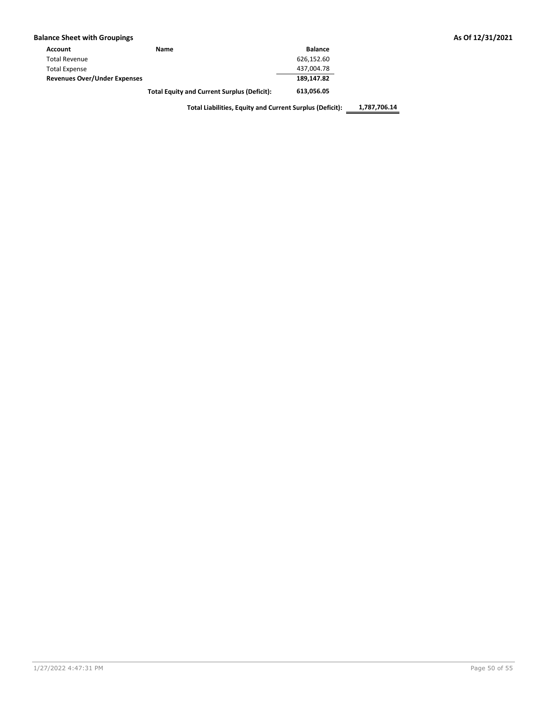|  |  |  | <b>Balance Sheet with Groupings</b> |
|--|--|--|-------------------------------------|
|--|--|--|-------------------------------------|

| Account                             | Name | <b>Balance</b> |
|-------------------------------------|------|----------------|
| <b>Total Revenue</b>                |      | 626,152.60     |
| <b>Total Expense</b>                |      | 437.004.78     |
| <b>Revenues Over/Under Expenses</b> |      | 189,147.82     |
|                                     |      | CAS SEC SE     |

Total Equity and Current Surplus (Deficit): 613,056.05

Total Liabilities, Equity and Current Surplus (Deficit): 1,787,706.14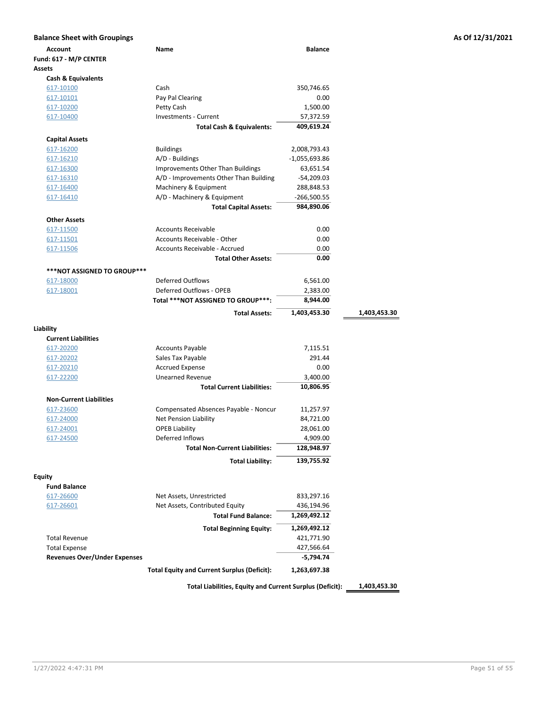| <b>Balance Sheet with Groupings</b> |                                                                       |                        |              | As Of 12/31/2021 |
|-------------------------------------|-----------------------------------------------------------------------|------------------------|--------------|------------------|
| Account                             | Name                                                                  | <b>Balance</b>         |              |                  |
| Fund: 617 - M/P CENTER              |                                                                       |                        |              |                  |
| <b>Assets</b>                       |                                                                       |                        |              |                  |
| <b>Cash &amp; Equivalents</b>       |                                                                       |                        |              |                  |
| 617-10100                           | Cash                                                                  | 350,746.65             |              |                  |
| 617-10101                           | Pay Pal Clearing                                                      | 0.00                   |              |                  |
| 617-10200                           | Petty Cash                                                            | 1,500.00               |              |                  |
| 617-10400                           | <b>Investments - Current</b>                                          | 57,372.59              |              |                  |
|                                     | <b>Total Cash &amp; Equivalents:</b>                                  | 409,619.24             |              |                  |
| <b>Capital Assets</b>               |                                                                       |                        |              |                  |
| 617-16200                           | <b>Buildings</b>                                                      | 2,008,793.43           |              |                  |
| 617-16210                           | A/D - Buildings                                                       | $-1,055,693.86$        |              |                  |
| 617-16300                           | Improvements Other Than Buildings                                     | 63,651.54              |              |                  |
| 617-16310                           | A/D - Improvements Other Than Building                                | $-54,209.03$           |              |                  |
| 617-16400                           | Machinery & Equipment                                                 | 288,848.53             |              |                  |
| <u>617-16410</u>                    | A/D - Machinery & Equipment                                           | $-266,500.55$          |              |                  |
|                                     | <b>Total Capital Assets:</b>                                          | 984,890.06             |              |                  |
| <b>Other Assets</b>                 |                                                                       |                        |              |                  |
| 617-11500                           | <b>Accounts Receivable</b>                                            | 0.00                   |              |                  |
| 617-11501                           | Accounts Receivable - Other                                           | 0.00                   |              |                  |
| 617-11506                           | <b>Accounts Receivable - Accrued</b>                                  | 0.00                   |              |                  |
|                                     | <b>Total Other Assets:</b>                                            | 0.00                   |              |                  |
|                                     |                                                                       |                        |              |                  |
| ***NOT ASSIGNED TO GROUP***         |                                                                       |                        |              |                  |
| 617-18000                           | <b>Deferred Outflows</b>                                              | 6,561.00               |              |                  |
| 617-18001                           | Deferred Outflows - OPEB<br>Total ***NOT ASSIGNED TO GROUP***:        | 2,383.00<br>8,944.00   |              |                  |
|                                     |                                                                       |                        |              |                  |
|                                     | <b>Total Assets:</b>                                                  | 1,403,453.30           | 1,403,453.30 |                  |
| Liability                           |                                                                       |                        |              |                  |
| <b>Current Liabilities</b>          |                                                                       |                        |              |                  |
| 617-20200                           | <b>Accounts Payable</b>                                               | 7,115.51               |              |                  |
| 617-20202                           | Sales Tax Payable                                                     | 291.44                 |              |                  |
| 617-20210                           | <b>Accrued Expense</b>                                                | 0.00                   |              |                  |
| 617-22200                           | <b>Unearned Revenue</b>                                               | 3,400.00               |              |                  |
|                                     | <b>Total Current Liabilities:</b>                                     | 10,806.95              |              |                  |
| <b>Non-Current Liabilities</b>      |                                                                       |                        |              |                  |
|                                     |                                                                       |                        |              |                  |
| 617-23600<br>617-24000              | Compensated Absences Payable - Noncur<br><b>Net Pension Liability</b> | 11,257.97<br>84,721.00 |              |                  |
| 617-24001                           | <b>OPEB Liability</b>                                                 | 28,061.00              |              |                  |
| 617-24500                           | Deferred Inflows                                                      | 4,909.00               |              |                  |
|                                     | <b>Total Non-Current Liabilities:</b>                                 | 128,948.97             |              |                  |
|                                     |                                                                       |                        |              |                  |
|                                     | <b>Total Liability:</b>                                               | 139,755.92             |              |                  |
| <b>Equity</b>                       |                                                                       |                        |              |                  |
| <b>Fund Balance</b>                 |                                                                       |                        |              |                  |
| 617-26600                           | Net Assets, Unrestricted                                              | 833,297.16             |              |                  |
| 617-26601                           | Net Assets, Contributed Equity                                        | 436,194.96             |              |                  |
|                                     | <b>Total Fund Balance:</b>                                            | 1,269,492.12           |              |                  |
|                                     | <b>Total Beginning Equity:</b>                                        | 1,269,492.12           |              |                  |
| <b>Total Revenue</b>                |                                                                       | 421,771.90             |              |                  |
| <b>Total Expense</b>                |                                                                       | 427,566.64             |              |                  |
| <b>Revenues Over/Under Expenses</b> |                                                                       | $-5,794.74$            |              |                  |
|                                     |                                                                       |                        |              |                  |
|                                     | <b>Total Equity and Current Surplus (Deficit):</b>                    | 1,263,697.38           |              |                  |
|                                     | Total Liabilities, Equity and Current Surplus (Deficit):              |                        | 1,403,453.30 |                  |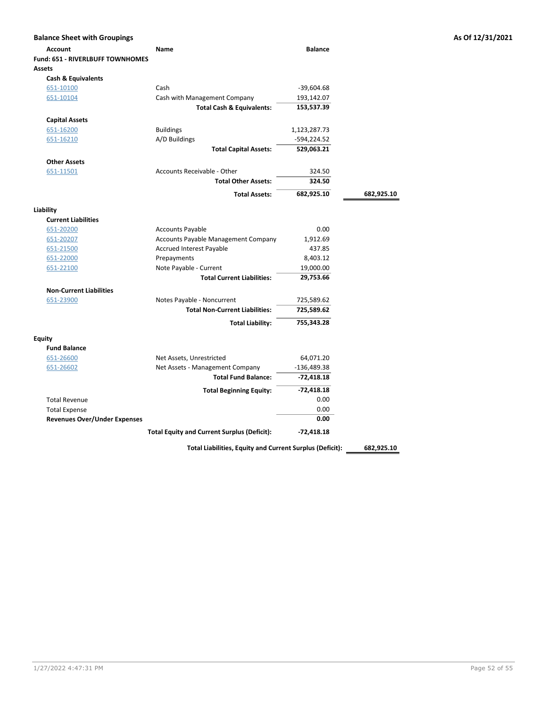| <b>Balance Sheet with Groupings</b>     |                                                          |                |            | As Of 12/31/2021 |
|-----------------------------------------|----------------------------------------------------------|----------------|------------|------------------|
| <b>Account</b>                          | Name                                                     | <b>Balance</b> |            |                  |
| <b>Fund: 651 - RIVERLBUFF TOWNHOMES</b> |                                                          |                |            |                  |
| Assets                                  |                                                          |                |            |                  |
| <b>Cash &amp; Equivalents</b>           |                                                          |                |            |                  |
| 651-10100                               | Cash                                                     | $-39,604.68$   |            |                  |
| 651-10104                               | Cash with Management Company                             | 193,142.07     |            |                  |
|                                         | <b>Total Cash &amp; Equivalents:</b>                     | 153,537.39     |            |                  |
| <b>Capital Assets</b>                   |                                                          |                |            |                  |
| 651-16200                               | <b>Buildings</b>                                         | 1,123,287.73   |            |                  |
| 651-16210                               | A/D Buildings                                            | -594,224.52    |            |                  |
|                                         | <b>Total Capital Assets:</b>                             | 529,063.21     |            |                  |
| <b>Other Assets</b>                     |                                                          |                |            |                  |
| 651-11501                               | Accounts Receivable - Other                              | 324.50         |            |                  |
|                                         | <b>Total Other Assets:</b>                               | 324.50         |            |                  |
|                                         | <b>Total Assets:</b>                                     | 682,925.10     | 682,925.10 |                  |
| Liability                               |                                                          |                |            |                  |
| <b>Current Liabilities</b>              |                                                          |                |            |                  |
| 651-20200                               | <b>Accounts Payable</b>                                  | 0.00           |            |                  |
| 651-20207                               | Accounts Payable Management Company                      | 1,912.69       |            |                  |
| 651-21500                               | Accrued Interest Payable                                 | 437.85         |            |                  |
| 651-22000                               | Prepayments                                              | 8,403.12       |            |                  |
| 651-22100                               | Note Payable - Current                                   | 19,000.00      |            |                  |
|                                         | <b>Total Current Liabilities:</b>                        | 29,753.66      |            |                  |
| <b>Non-Current Liabilities</b>          |                                                          |                |            |                  |
| 651-23900                               | Notes Payable - Noncurrent                               | 725,589.62     |            |                  |
|                                         | <b>Total Non-Current Liabilities:</b>                    | 725,589.62     |            |                  |
|                                         | <b>Total Liability:</b>                                  | 755,343.28     |            |                  |
| <b>Equity</b>                           |                                                          |                |            |                  |
| <b>Fund Balance</b>                     |                                                          |                |            |                  |
| 651-26600                               | Net Assets, Unrestricted                                 | 64,071.20      |            |                  |
| 651-26602                               | Net Assets - Management Company                          | $-136,489.38$  |            |                  |
|                                         | <b>Total Fund Balance:</b>                               | $-72,418.18$   |            |                  |
|                                         | <b>Total Beginning Equity:</b>                           | $-72,418.18$   |            |                  |
| <b>Total Revenue</b>                    |                                                          | 0.00           |            |                  |
| <b>Total Expense</b>                    |                                                          | 0.00           |            |                  |
| <b>Revenues Over/Under Expenses</b>     |                                                          | 0.00           |            |                  |
|                                         | <b>Total Equity and Current Surplus (Deficit):</b>       | $-72,418.18$   |            |                  |
|                                         | Total Liabilities, Equity and Current Surplus (Deficit): |                | 682,925.10 |                  |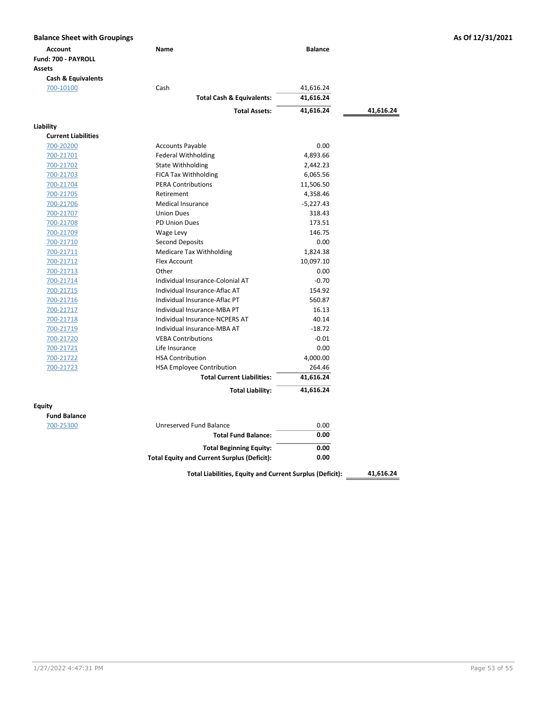| <b>Account</b>                | Name                                               | <b>Balance</b> |           |
|-------------------------------|----------------------------------------------------|----------------|-----------|
| Fund: 700 - PAYROLL           |                                                    |                |           |
| <b>Assets</b>                 |                                                    |                |           |
| <b>Cash &amp; Equivalents</b> |                                                    |                |           |
| 700-10100                     | Cash                                               | 41,616.24      |           |
|                               | <b>Total Cash &amp; Equivalents:</b>               | 41,616.24      |           |
|                               | <b>Total Assets:</b>                               | 41,616.24      | 41,616.24 |
| Liability                     |                                                    |                |           |
| <b>Current Liabilities</b>    |                                                    |                |           |
| 700-20200                     | <b>Accounts Payable</b>                            | 0.00           |           |
| 700-21701                     | Federal Withholding                                | 4,893.66       |           |
| 700-21702                     | <b>State Withholding</b>                           | 2,442.23       |           |
| 700-21703                     | FICA Tax Withholding                               | 6,065.56       |           |
| 700-21704                     | <b>PERA Contributions</b>                          | 11,506.50      |           |
| 700-21705                     | Retirement                                         | 4,358.46       |           |
| 700-21706                     | <b>Medical Insurance</b>                           | $-5,227.43$    |           |
| 700-21707                     | <b>Union Dues</b>                                  | 318.43         |           |
| 700-21708                     | <b>PD Union Dues</b>                               | 173.51         |           |
| 700-21709                     | Wage Levy                                          | 146.75         |           |
| 700-21710                     | <b>Second Deposits</b>                             | 0.00           |           |
| 700-21711                     | <b>Medicare Tax Withholding</b>                    | 1,824.38       |           |
| 700-21712                     | <b>Flex Account</b>                                | 10,097.10      |           |
| 700-21713                     | Other                                              | 0.00           |           |
| 700-21714                     | Individual Insurance-Colonial AT                   | $-0.70$        |           |
| 700-21715                     | Individual Insurance-Aflac AT                      | 154.92         |           |
| 700-21716                     | Individual Insurance-Aflac PT                      | 560.87         |           |
| 700-21717                     | Individual Insurance-MBA PT                        | 16.13          |           |
| 700-21718                     | Individual Insurance-NCPERS AT                     | 40.14          |           |
| 700-21719                     | Individual Insurance-MBA AT                        | $-18.72$       |           |
| 700-21720                     | <b>VEBA Contributions</b>                          | $-0.01$        |           |
| 700-21721                     | Life Insurance                                     | 0.00           |           |
| 700-21722                     | <b>HSA Contribution</b>                            | 4,000.00       |           |
| 700-21723                     | <b>HSA Employee Contribution</b>                   | 264.46         |           |
|                               | <b>Total Current Liabilities:</b>                  | 41,616.24      |           |
|                               | <b>Total Liability:</b>                            | 41,616.24      |           |
| <b>Equity</b>                 |                                                    |                |           |
| <b>Fund Balance</b>           |                                                    |                |           |
| 700-25300                     | Unreserved Fund Balance                            | 0.00           |           |
|                               | <b>Total Fund Balance:</b>                         | 0.00           |           |
|                               | <b>Total Beginning Equity:</b>                     | 0.00           |           |
|                               | <b>Total Equity and Current Surplus (Deficit):</b> | 0.00           |           |

Total Liabilities, Equity and Current Surplus (Deficit): \_\_\_\_\_\_\_ 41,616.24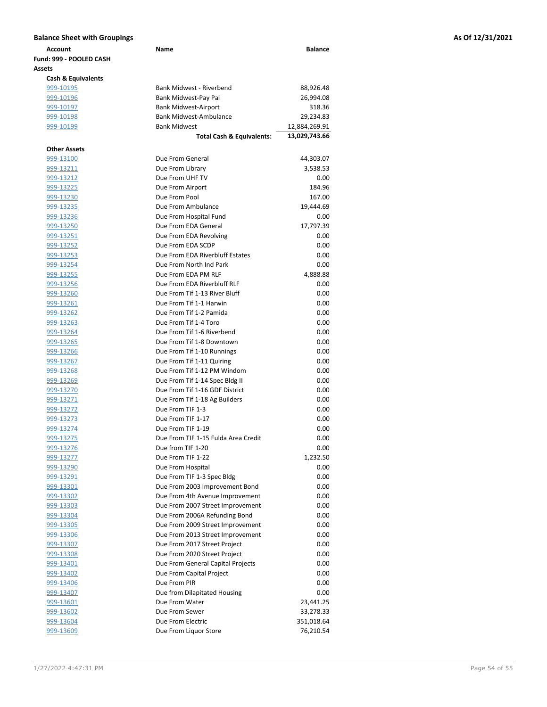| Account                       | Name                                 | <b>Balance</b> |
|-------------------------------|--------------------------------------|----------------|
| Fund: 999 - POOLED CASH       |                                      |                |
| Assets                        |                                      |                |
| <b>Cash &amp; Equivalents</b> |                                      |                |
| 999-10195                     | Bank Midwest - Riverbend             | 88,926.48      |
| 999-10196                     | Bank Midwest-Pay Pal                 | 26,994.08      |
| 999-10197                     | <b>Bank Midwest-Airport</b>          | 318.36         |
| 999-10198                     | <b>Bank Midwest-Ambulance</b>        | 29,234.83      |
| 999-10199                     | <b>Bank Midwest</b>                  | 12,884,269.91  |
|                               | <b>Total Cash &amp; Equivalents:</b> | 13,029,743.66  |
| <b>Other Assets</b>           |                                      |                |
| 999-13100                     | Due From General                     | 44,303.07      |
| 999-13211                     | Due From Library                     | 3,538.53       |
| 999-13212                     | Due From UHF TV                      | 0.00           |
| 999-13225                     | Due From Airport                     | 184.96         |
| 999-13230                     | Due From Pool                        | 167.00         |
| <u>999-13235</u>              | Due From Ambulance                   | 19,444.69      |
| <u>999-13236</u>              | Due From Hospital Fund               | 0.00           |
| 999-13250                     | Due From EDA General                 | 17,797.39      |
| 999-13251                     | Due From EDA Revolving               | 0.00           |
| 999-13252                     | Due From EDA SCDP                    | 0.00           |
| <u>999-13253</u>              | Due From EDA Riverbluff Estates      | 0.00           |
| 999-13254                     | Due From North Ind Park              | 0.00           |
| 999-13255                     | Due From FDA PM RLF                  | 4,888.88       |
| 999-13256                     | Due From FDA Riverbluff RLF          | 0.00           |
| 999-13260                     | Due From Tif 1-13 River Bluff        | 0.00           |
| 999-13261                     | Due From Tif 1-1 Harwin              | 0.00           |
| 999-13262                     | Due From Tif 1-2 Pamida              | 0.00           |
| 999-13263                     | Due From Tif 1-4 Toro                | 0.00           |
| 999-13264                     | Due From Tif 1-6 Riverbend           | 0.00           |
| 999-13265                     | Due From Tif 1-8 Downtown            | 0.00           |
| 999-13266                     | Due From Tif 1-10 Runnings           | 0.00           |
| 999-13267                     | Due From Tif 1-11 Quiring            | 0.00           |
| 999-13268                     | Due From Tif 1-12 PM Windom          | 0.00           |
| 999-13269                     | Due From Tif 1-14 Spec Bldg II       | 0.00           |
| 999-13270                     | Due From Tif 1-16 GDF District       | 0.00           |
| 999-13271                     | Due From Tif 1-18 Ag Builders        | 0.00           |
| 999-13272                     | Due From TIF 1-3                     | 0.00           |
| 999-13273                     | Due From TIF 1-17                    | 0.00           |
| 999-13274                     | Due From TIF 1-19                    | 0.00           |
| 999-13275                     | Due From TIF 1-15 Fulda Area Credit  | 0.00           |
| 999-13276                     | Due from TIF 1-20                    | 0.00           |
| 999-13277                     | Due From TIF 1-22                    | 1,232.50       |
| 999-13290                     | Due From Hospital                    | 0.00           |
| 999-13291                     | Due From TIF 1-3 Spec Bldg           | 0.00           |
| 999-13301                     | Due From 2003 Improvement Bond       | 0.00           |
| 999-13302                     | Due From 4th Avenue Improvement      | 0.00           |
| 999-13303                     | Due From 2007 Street Improvement     | 0.00           |
| 999-13304                     | Due From 2006A Refunding Bond        | 0.00           |
| 999-13305                     | Due From 2009 Street Improvement     | 0.00           |
| 999-13306                     | Due From 2013 Street Improvement     | 0.00           |
| 999-13307                     | Due From 2017 Street Project         | 0.00           |
| 999-13308                     | Due From 2020 Street Project         | 0.00           |
| 999-13401                     | Due From General Capital Projects    | 0.00           |
| 999-13402                     | Due From Capital Project             | 0.00           |
| 999-13406                     | Due From PIR                         | 0.00           |
| 999-13407                     | Due from Dilapitated Housing         | 0.00           |
| 999-13601                     | Due From Water                       | 23,441.25      |
| 999-13602                     | Due From Sewer                       | 33,278.33      |
| 999-13604                     | Due From Electric                    | 351,018.64     |
| 999-13609                     | Due From Liquor Store                | 76,210.54      |
|                               |                                      |                |